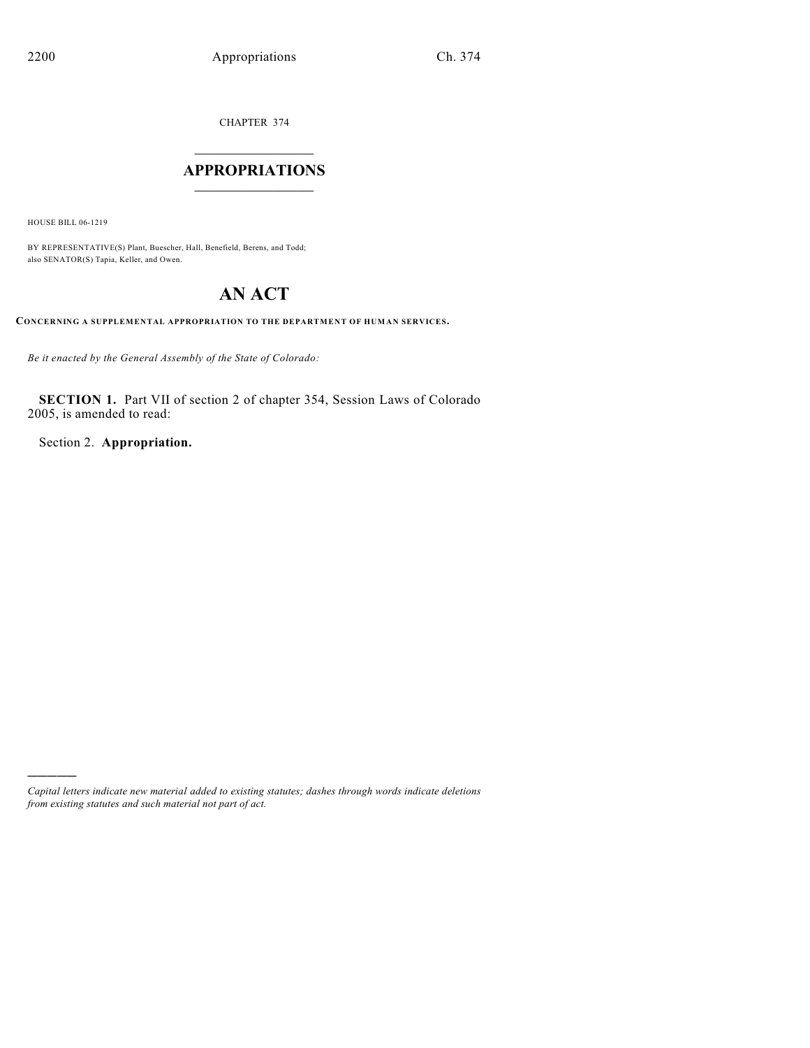CHAPTER 374

# $\overline{\phantom{a}}$  . The set of the set of the set of the set of the set of the set of the set of the set of the set of the set of the set of the set of the set of the set of the set of the set of the set of the set of the set o **APPROPRIATIONS**  $\_$   $\_$   $\_$   $\_$   $\_$   $\_$   $\_$   $\_$

HOUSE BILL 06-1219

)))))

BY REPRESENTATIVE(S) Plant, Buescher, Hall, Benefield, Berens, and Todd; also SENATOR(S) Tapia, Keller, and Owen.

# **AN ACT**

**CONCERNING A SUPPLEMENTAL APPROPRIATION TO THE DEPARTMENT OF HUMAN SERVICES.**

*Be it enacted by the General Assembly of the State of Colorado:*

**SECTION 1.** Part VII of section 2 of chapter 354, Session Laws of Colorado 2005, is amended to read:

Section 2. **Appropriation.**

*Capital letters indicate new material added to existing statutes; dashes through words indicate deletions from existing statutes and such material not part of act.*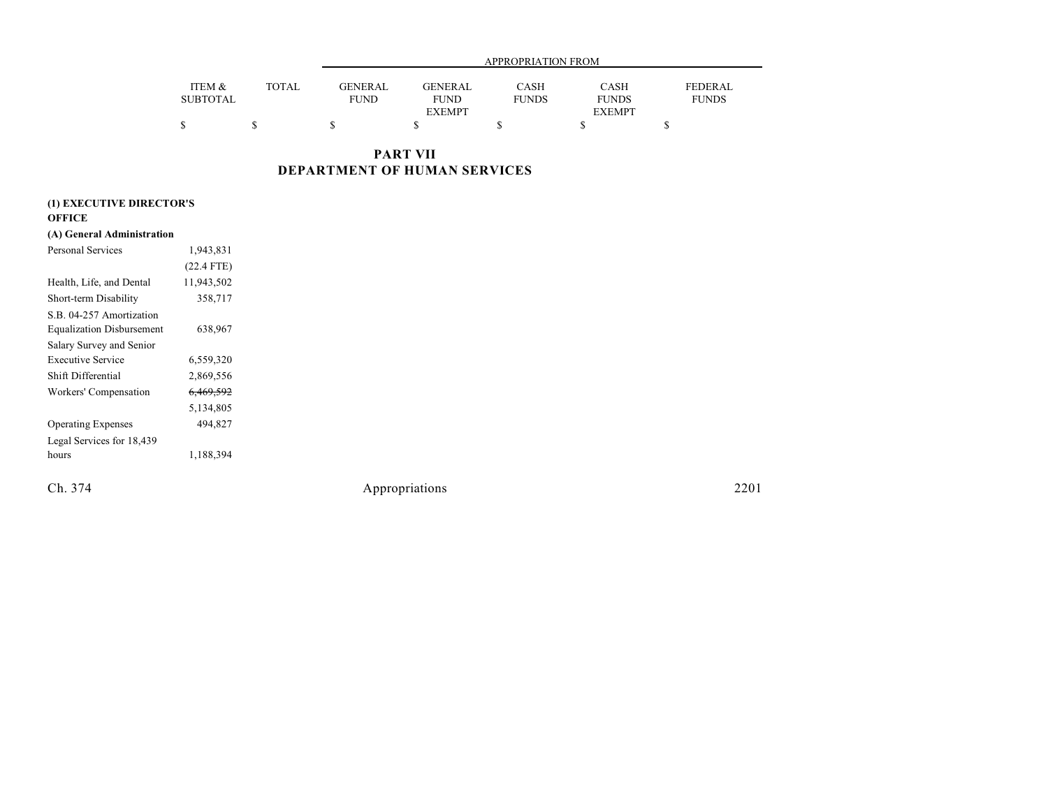|                 |              |                |                | APPROPRIATION FROM |               |              |
|-----------------|--------------|----------------|----------------|--------------------|---------------|--------------|
| ITEM &          | <b>TOTAL</b> | <b>GENERAL</b> | <b>GENERAL</b> | CASH               | CASH          | FEDERAL      |
| <b>SUBTOTAL</b> |              | FUND           | <b>FUND</b>    | <b>FUNDS</b>       | <b>FUNDS</b>  | <b>FUNDS</b> |
|                 |              |                | <b>EXEMPT</b>  |                    | <b>EXEMPT</b> |              |
|                 |              |                |                |                    |               |              |

**PART VII DEPARTMENT OF HUMAN SERVICES**

| (1) EXECUTIVE DIRECTOR'S         |              |  |
|----------------------------------|--------------|--|
| <b>OFFICE</b>                    |              |  |
| (A) General Administration       |              |  |
| Personal Services                | 1,943,831    |  |
|                                  | $(22.4$ FTE) |  |
| Health, Life, and Dental         | 11,943,502   |  |
| Short-term Disability            | 358,717      |  |
| S.B. 04-257 Amortization         |              |  |
| <b>Equalization Disbursement</b> | 638,967      |  |
| Salary Survey and Senior         |              |  |
| <b>Executive Service</b>         | 6,559,320    |  |
| Shift Differential               | 2,869,556    |  |
| Workers' Compensation            | 6,469,592    |  |
|                                  | 5,134,805    |  |
| <b>Operating Expenses</b>        | 494,827      |  |
| Legal Services for 18,439        |              |  |
| hours                            | 1,188,394    |  |
|                                  |              |  |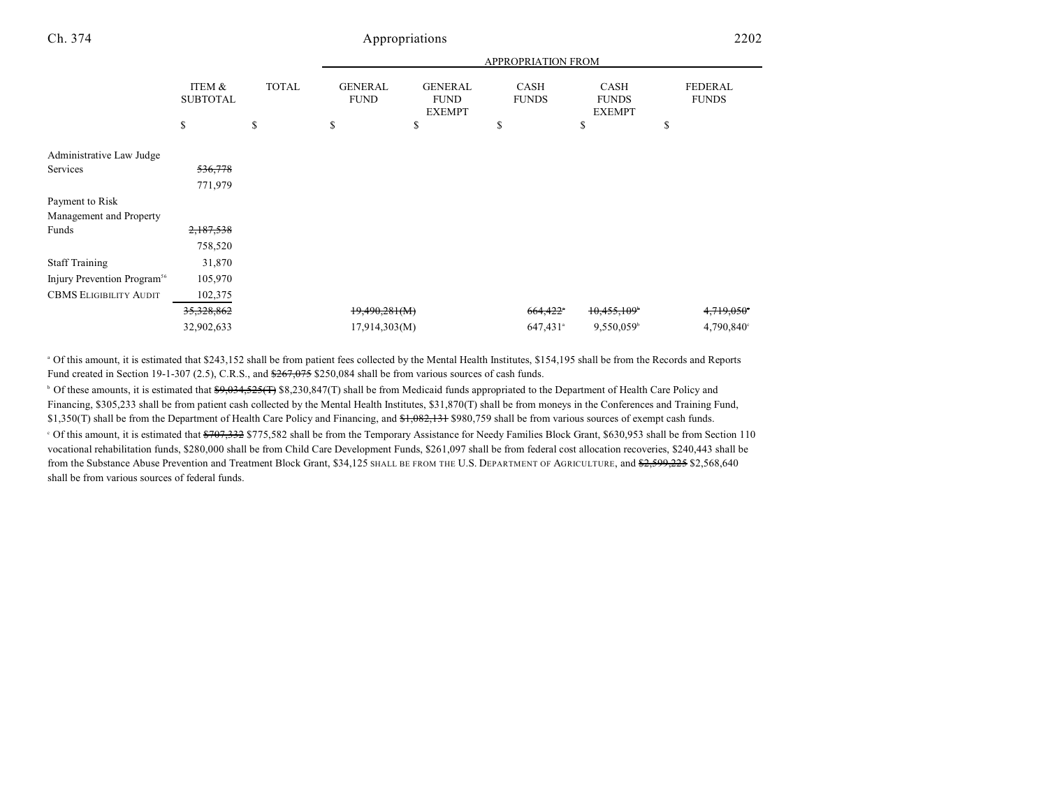|                                         |                                 |                    | <b>APPROPRIATION FROM</b>           |                                                      |                                   |                                             |                                      |  |
|-----------------------------------------|---------------------------------|--------------------|-------------------------------------|------------------------------------------------------|-----------------------------------|---------------------------------------------|--------------------------------------|--|
|                                         | ITEM &<br><b>SUBTOTAL</b><br>\$ | <b>TOTAL</b><br>\$ | <b>GENERAL</b><br><b>FUND</b><br>\$ | <b>GENERAL</b><br><b>FUND</b><br><b>EXEMPT</b><br>\$ | <b>CASH</b><br><b>FUNDS</b><br>\$ | CASH<br><b>FUNDS</b><br><b>EXEMPT</b><br>\$ | <b>FEDERAL</b><br><b>FUNDS</b><br>\$ |  |
|                                         |                                 |                    |                                     |                                                      |                                   |                                             |                                      |  |
| Administrative Law Judge                |                                 |                    |                                     |                                                      |                                   |                                             |                                      |  |
| Services                                | 536,778                         |                    |                                     |                                                      |                                   |                                             |                                      |  |
|                                         | 771,979                         |                    |                                     |                                                      |                                   |                                             |                                      |  |
| Payment to Risk                         |                                 |                    |                                     |                                                      |                                   |                                             |                                      |  |
| Management and Property                 |                                 |                    |                                     |                                                      |                                   |                                             |                                      |  |
| Funds                                   | 2,187,538                       |                    |                                     |                                                      |                                   |                                             |                                      |  |
|                                         | 758,520                         |                    |                                     |                                                      |                                   |                                             |                                      |  |
| <b>Staff Training</b>                   | 31,870                          |                    |                                     |                                                      |                                   |                                             |                                      |  |
| Injury Prevention Program <sup>56</sup> | 105,970                         |                    |                                     |                                                      |                                   |                                             |                                      |  |
| <b>CBMS ELIGIBILITY AUDIT</b>           | 102,375                         |                    |                                     |                                                      |                                   |                                             |                                      |  |
|                                         | 35, 328, 862                    |                    | 19,490,281(M)                       |                                                      | $664,422$ <sup>*</sup>            | 10,455,109                                  | 4,719,050°                           |  |
|                                         | 32,902,633                      |                    | 17,914,303(M)                       |                                                      | 647,431 <sup>a</sup>              | 9,550,059                                   | 4,790,840°                           |  |
|                                         |                                 |                    |                                     |                                                      |                                   |                                             |                                      |  |

 Of this amount, it is estimated that \$243,152 shall be from patient fees collected by the Mental Health Institutes, \$154,195 shall be from the Records and Reports <sup>a</sup> Fund created in Section 19-1-307 (2.5), C.R.S., and  $\frac{267,075}{250,084}$  shall be from various sources of cash funds.

<sup>b</sup> Of these amounts, it is estimated that <del>\$9,034,525(T)</del> \$8,230,847(T) shall be from Medicaid funds appropriated to the Department of Health Care Policy and Financing, \$305,233 shall be from patient cash collected by the Mental Health Institutes, \$31,870(T) shall be from moneys in the Conferences and Training Fund, \$1,350(T) shall be from the Department of Health Care Policy and Financing, and \$1,082,131 \$980,759 shall be from various sources of exempt cash funds. <sup>o</sup> Of this amount, it is estimated that <del>\$707,332</del> \$775,582 shall be from the Temporary Assistance for Needy Families Block Grant, \$630,953 shall be from Section 110 vocational rehabilitation funds, \$280,000 shall be from Child Care Development Funds, \$261,097 shall be from federal cost allocation recoveries, \$240,443 shall be from the Substance Abuse Prevention and Treatment Block Grant, \$34,125 SHALL BE FROM THE U.S. DEPARTMENT OF AGRICULTURE, and \$2,599,225 \$2,568,640 shall be from various sources of federal funds.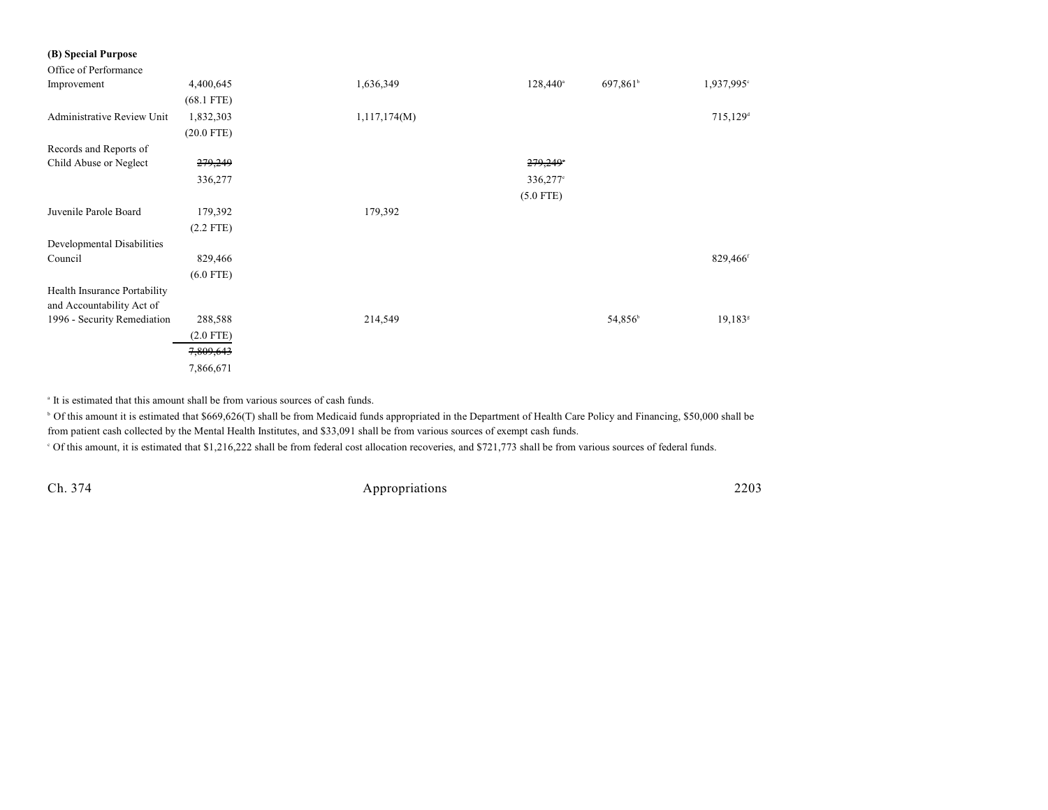### **(B) Special Purpose**

| Office of Performance        |              |              |                   |                      |                       |
|------------------------------|--------------|--------------|-------------------|----------------------|-----------------------|
| Improvement                  | 4,400,645    | 1,636,349    | $128,440^{\circ}$ | 697,861 <sup>b</sup> | 1,937,995°            |
|                              | $(68.1$ FTE) |              |                   |                      |                       |
| Administrative Review Unit   | 1,832,303    | 1,117,174(M) |                   |                      | 715,129 <sup>d</sup>  |
|                              | $(20.0$ FTE) |              |                   |                      |                       |
| Records and Reports of       |              |              |                   |                      |                       |
| Child Abuse or Neglect       | 279,249      |              | 279,249           |                      |                       |
|                              | 336,277      |              | 336,277°          |                      |                       |
|                              |              |              | $(5.0$ FTE)       |                      |                       |
| Juvenile Parole Board        | 179,392      | 179,392      |                   |                      |                       |
|                              | $(2.2$ FTE)  |              |                   |                      |                       |
| Developmental Disabilities   |              |              |                   |                      |                       |
| Council                      | 829,466      |              |                   |                      | 829,466 <sup>f</sup>  |
|                              | $(6.0$ FTE)  |              |                   |                      |                       |
| Health Insurance Portability |              |              |                   |                      |                       |
| and Accountability Act of    |              |              |                   |                      |                       |
| 1996 - Security Remediation  | 288,588      | 214,549      |                   | 54,856 <sup>b</sup>  | $19,183$ <sup>g</sup> |
|                              | $(2.0$ FTE)  |              |                   |                      |                       |
|                              | 7,809,643    |              |                   |                      |                       |
|                              | 7,866,671    |              |                   |                      |                       |

<sup>a</sup> It is estimated that this amount shall be from various sources of cash funds.

<sup>b</sup> Of this amount it is estimated that \$669,626(T) shall be from Medicaid funds appropriated in the Department of Health Care Policy and Financing, \$50,000 shall be from patient cash collected by the Mental Health Institutes, and \$33,091 shall be from various sources of exempt cash funds.

Of this amount, it is estimated that \$1,216,222 shall be from federal cost allocation recoveries, and \$721,773 shall be from various sources of federal funds. <sup>c</sup>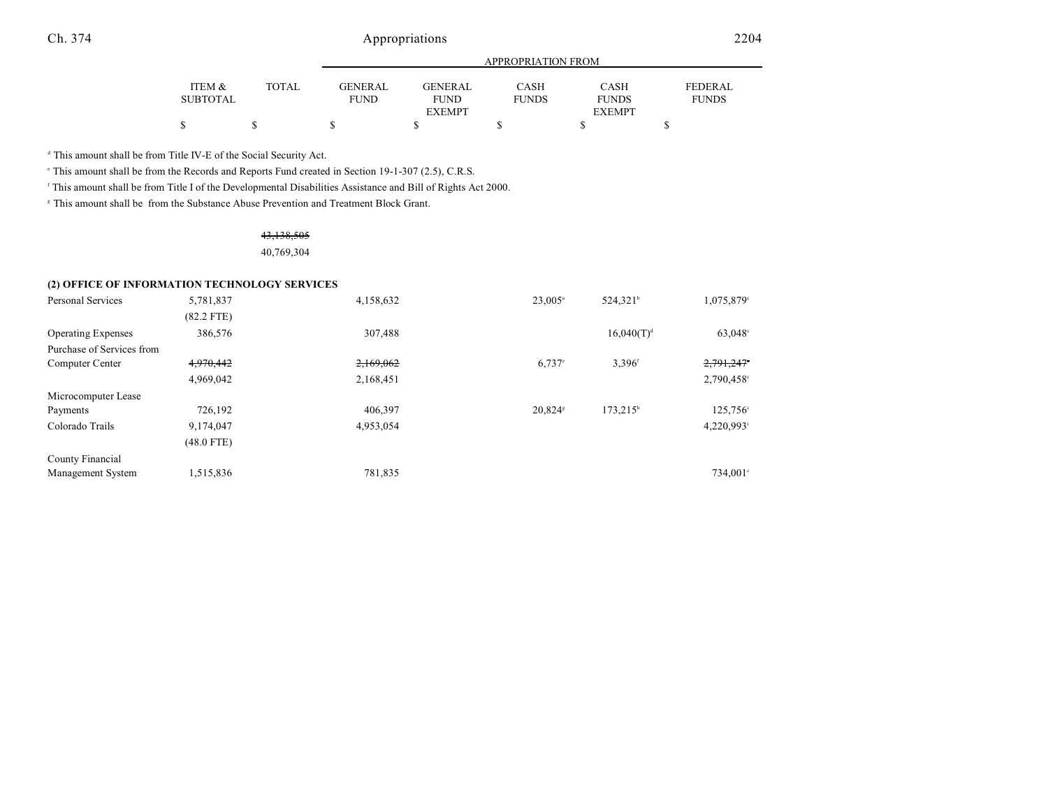|                 |              | APPROPRIATION FROM |                |              |               |                |  |  |  |
|-----------------|--------------|--------------------|----------------|--------------|---------------|----------------|--|--|--|
|                 |              |                    |                |              |               |                |  |  |  |
| ITEM &          | <b>TOTAL</b> | GENERAL            | <b>GENERAL</b> | CASH         | CASH          | <b>FEDERAL</b> |  |  |  |
| <b>SUBTOTAL</b> |              | <b>FUND</b>        | <b>FUND</b>    | <b>FUNDS</b> | <b>FUNDS</b>  | <b>FUNDS</b>   |  |  |  |
|                 |              |                    | <b>EXEMPT</b>  |              | <b>EXEMPT</b> |                |  |  |  |
| S               |              |                    |                |              |               |                |  |  |  |

<sup>d</sup> This amount shall be from Title IV-E of the Social Security Act.

This amount shall be from the Records and Reports Fund created in Section 19-1-307 (2.5), C.R.S.

<sup>f</sup> This amount shall be from Title I of the Developmental Disabilities Assistance and Bill of Rights Act 2000.

<sup>#</sup> This amount shall be from the Substance Abuse Prevention and Treatment Block Grant.

# 43,138,505

40,769,304

### **(2) OFFICE OF INFORMATION TECHNOLOGY SERVICES**

| Personal Services         | 5,781,837    | 4,158,632 | $23.005^{\circ}$     | 524,321 <sup>b</sup> | $1,075,879$ °          |
|---------------------------|--------------|-----------|----------------------|----------------------|------------------------|
|                           | $(82.2$ FTE) |           |                      |                      |                        |
| <b>Operating Expenses</b> | 386,576      | 307,488   |                      | $16,040(T)^d$        | $63,048^{\circ}$       |
| Purchase of Services from |              |           |                      |                      |                        |
| Computer Center           | 4,970,442    | 2,169,062 | $6.737$ <sup>e</sup> | $3.396$ <sup>f</sup> | 2,791,247              |
|                           | 4,969,042    | 2,168,451 |                      |                      | 2,790,458°             |
| Microcomputer Lease       |              |           |                      |                      |                        |
| Payments                  | 726,192      | 406,397   | 20,824 <sup>s</sup>  | $173,215^h$          | 125,756 <sup>c</sup>   |
| Colorado Trails           | 9,174,047    | 4,953,054 |                      |                      | 4,220,993 <sup>i</sup> |
|                           | $(48.0$ FTE) |           |                      |                      |                        |
| County Financial          |              |           |                      |                      |                        |
| Management System         | 1,515,836    | 781,835   |                      |                      | 734,001 <sup>c</sup>   |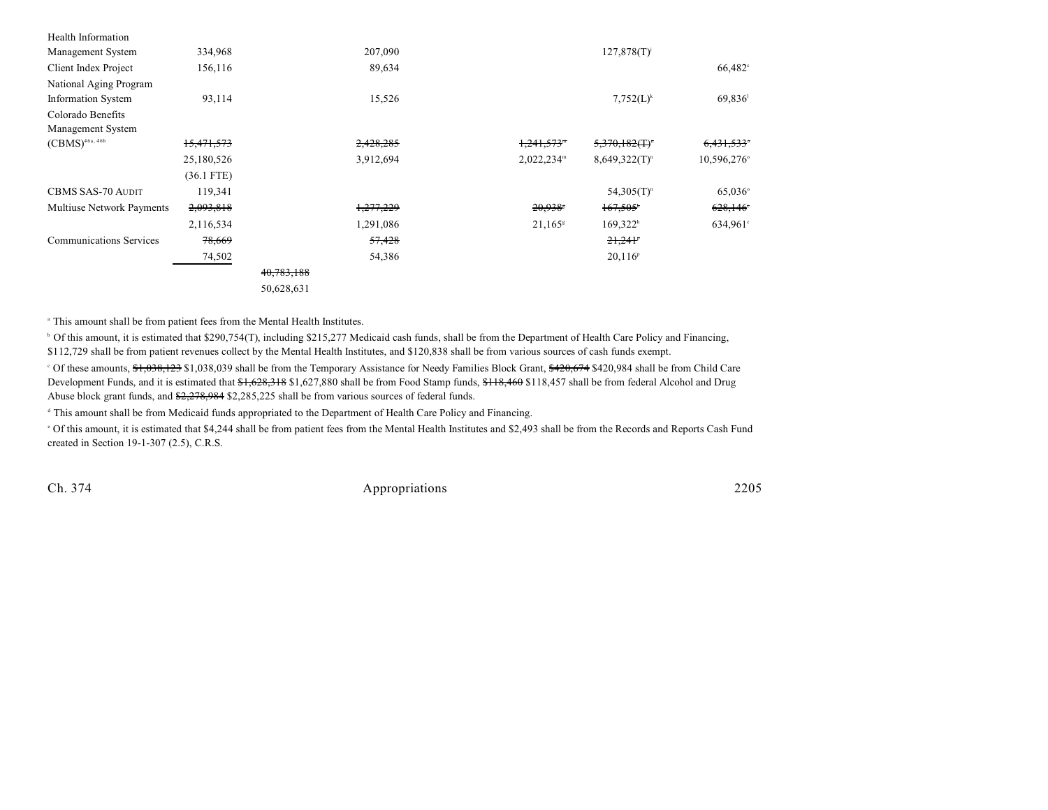| Health Information             |              |            |           |                          |                                             |                  |
|--------------------------------|--------------|------------|-----------|--------------------------|---------------------------------------------|------------------|
| Management System              | 334,968      |            | 207,090   |                          | $127,878(T)^{j}$                            |                  |
| Client Index Project           | 156,116      |            | 89,634    |                          |                                             | $66,482^{\circ}$ |
| National Aging Program         |              |            |           |                          |                                             |                  |
| <b>Information System</b>      | 93,114       |            | 15,526    |                          | $7,752(L)^k$                                | 69,836           |
| Colorado Benefits              |              |            |           |                          |                                             |                  |
| Management System              |              |            |           |                          |                                             |                  |
| $(CBMS)^{46a, 46b}$            | 15,471,573   |            | 2,428,285 | $1,241,573$ <sup>m</sup> | $5,370,182($ T) <sup><math>\pi</math></sup> | 6,431,533        |
|                                | 25,180,526   |            | 3,912,694 | $2,022,234^m$            | $8,649,322(T)^n$                            | 10,596,276°      |
|                                | $(36.1$ FTE) |            |           |                          |                                             |                  |
| <b>CBMS SAS-70 AUDIT</b>       | 119,341      |            |           |                          | $54,305(T)^n$                               | $65,036^{\circ}$ |
| Multiuse Network Payments      | 2,093,818    |            | 1,277,229 | 20,938                   | $167,505$ <sup>*</sup>                      | 628,146          |
|                                | 2,116,534    |            | 1,291,086 | $21,165^{\rm s}$         | 169,322 <sup>h</sup>                        | 634,961°         |
| <b>Communications Services</b> | 78,669       |            | 57,428    |                          | 21,241                                      |                  |
|                                | 74,502       |            | 54,386    |                          | $20,116^{\circ}$                            |                  |
|                                |              | 40,783,188 |           |                          |                                             |                  |
|                                |              | 50,628,631 |           |                          |                                             |                  |

This amount shall be from patient fees from the Mental Health Institutes. <sup>a</sup>

<sup>b</sup> Of this amount, it is estimated that \$290,754(T), including \$215,277 Medicaid cash funds, shall be from the Department of Health Care Policy and Financing, \$112,729 shall be from patient revenues collect by the Mental Health Institutes, and \$120,838 shall be from various sources of cash funds exempt.

<sup>c</sup> Of these amounts, \$1,038,123 \$1,038,039 shall be from the Temporary Assistance for Needy Families Block Grant, \$420,674 \$420,984 shall be from Child Care Development Funds, and it is estimated that \$1,628,318 \$1,627,880 shall be from Food Stamp funds, \$118,460 \$118,457 shall be from federal Alcohol and Drug Abuse block grant funds, and \$2,278,984 \$2,285,225 shall be from various sources of federal funds.

<sup>d</sup> This amount shall be from Medicaid funds appropriated to the Department of Health Care Policy and Financing.

 Of this amount, it is estimated that \$4,244 shall be from patient fees from the Mental Health Institutes and \$2,493 shall be from the Records and Reports Cash Fund <sup>e</sup> created in Section 19-1-307 (2.5), C.R.S.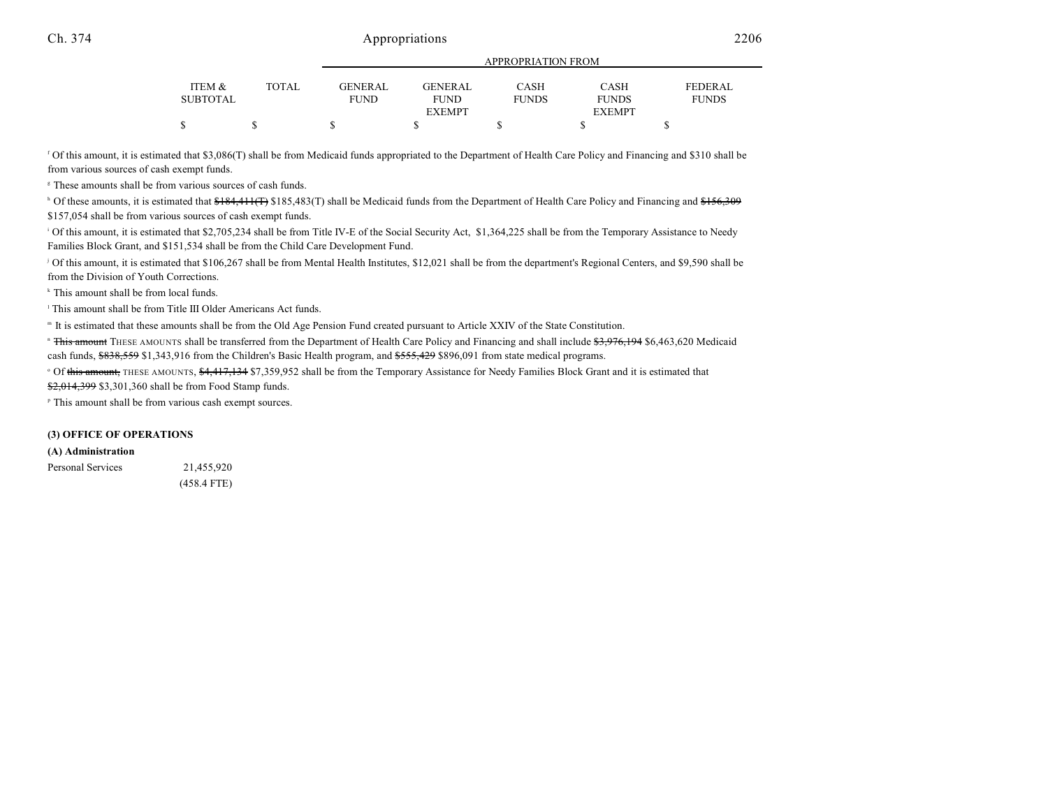|          |              |                |                | <u>IN LIWE KENTIVITI KOM</u> |               |              |
|----------|--------------|----------------|----------------|------------------------------|---------------|--------------|
| ITEM &   | <b>TOTAL</b> | <b>GENERAL</b> | <b>GENERAL</b> | CASH                         | CASH          | FEDERAL      |
| SUBTOTAL |              | <b>FUND</b>    | <b>FUND</b>    | <b>FUNDS</b>                 | <b>FUNDS</b>  | <b>FUNDS</b> |
|          |              |                | <b>EXEMPT</b>  |                              | <b>EXEMPT</b> |              |
|          |              |                |                |                              |               |              |

APPROPRIATION FROM

<sup>f</sup> Of this amount, it is estimated that \$3,086(T) shall be from Medicaid funds appropriated to the Department of Health Care Policy and Financing and \$310 shall be from various sources of cash exempt funds.

<sup>8</sup> These amounts shall be from various sources of cash funds.

<sup>h</sup> Of these amounts, it is estimated that  $$184,411$ (T) \$185,483(T) shall be Medicaid funds from the Department of Health Care Policy and Financing and \$156,309 \$157,054 shall be from various sources of cash exempt funds.

<sup>1</sup> Of this amount, it is estimated that \$2,705,234 shall be from Title IV-E of the Social Security Act, \$1,364,225 shall be from the Temporary Assistance to Needy Families Block Grant, and \$151,534 shall be from the Child Care Development Fund.

<sup>j</sup> Of this amount, it is estimated that \$106,267 shall be from Mental Health Institutes, \$12,021 shall be from the department's Regional Centers, and \$9,590 shall be from the Division of Youth Corrections.

 $*$  This amount shall be from local funds.

<sup>1</sup> This amount shall be from Title III Older Americans Act funds.

It is estimated that these amounts shall be from the Old Age Pension Fund created pursuant to Article XXIV of the State Constitution. <sup>m</sup>

" <del>This amount</del> THESE AMOUNTS shall be transferred from the Department of Health Care Policy and Financing and shall include <del>\$3,976,194</del> \$6,463,620 Medicaid cash funds, \$838,559 \$1,343,916 from the Children's Basic Health program, and \$555,429 \$896,091 from state medical programs.

<sup>o</sup> Of this amount, THESE AMOUNTS, \$4,417,134 \$7,359,952 shall be from the Temporary Assistance for Needy Families Block Grant and it is estimated that \$2,014,399 \$3,301,360 shall be from Food Stamp funds.

<sup>P</sup> This amount shall be from various cash exempt sources.

#### **(3) OFFICE OF OPERATIONS**

#### **(A) Administration**

Personal Services 21,455,920 (458.4 FTE)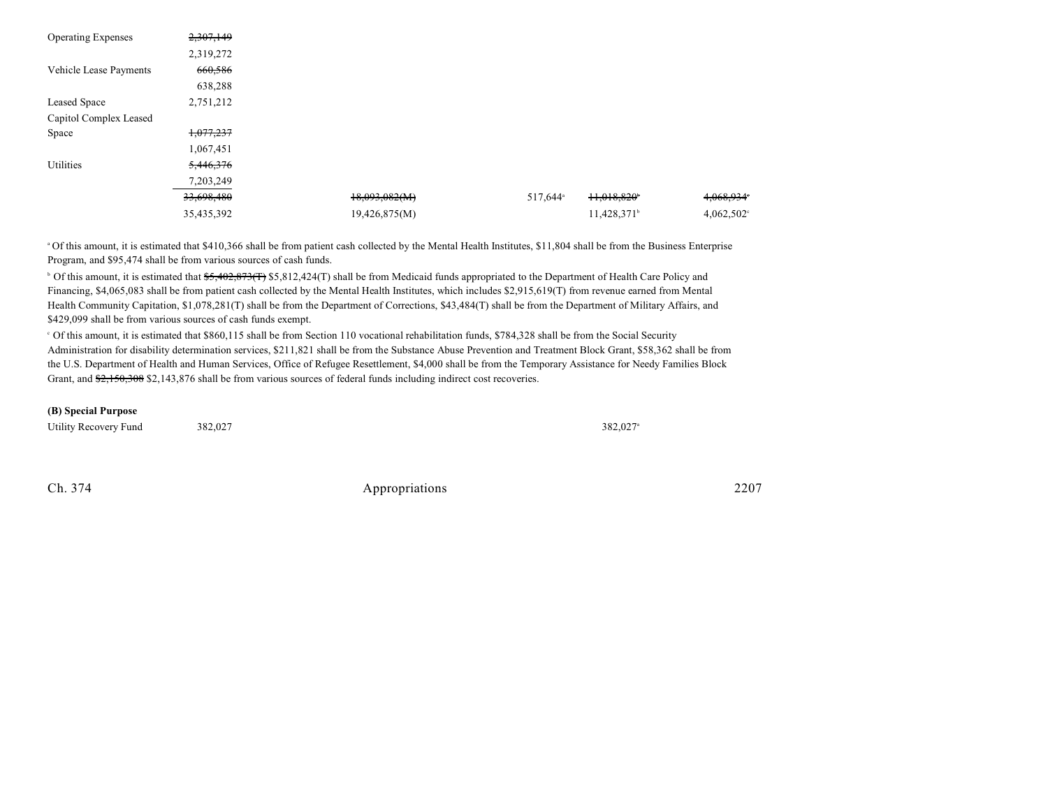| <b>Operating Expenses</b> | 2,307,149  |               |                      |                           |               |
|---------------------------|------------|---------------|----------------------|---------------------------|---------------|
|                           | 2,319,272  |               |                      |                           |               |
| Vehicle Lease Payments    | 660,586    |               |                      |                           |               |
|                           | 638,288    |               |                      |                           |               |
| Leased Space              | 2,751,212  |               |                      |                           |               |
| Capitol Complex Leased    |            |               |                      |                           |               |
| Space                     | 1,077,237  |               |                      |                           |               |
|                           | 1,067,451  |               |                      |                           |               |
| Utilities                 | 5,446,376  |               |                      |                           |               |
|                           | 7,203,249  |               |                      |                           |               |
|                           | 33,698,480 | 18,093,082(M) | 517,644 <sup>a</sup> | $11,018,820$ <sup>*</sup> | 4,068,934     |
|                           | 35,435,392 | 19,426,875(M) |                      | 11,428,371 <sup>b</sup>   | $4,062,502$ ° |

<sup>a</sup> Of this amount, it is estimated that \$410,366 shall be from patient cash collected by the Mental Health Institutes, \$11,804 shall be from the Business Enterprise Program, and \$95,474 shall be from various sources of cash funds.

<sup>b</sup> Of this amount, it is estimated that <del>\$5,402,873(T</del>) \$5,812,424(T) shall be from Medicaid funds appropriated to the Department of Health Care Policy and Financing, \$4,065,083 shall be from patient cash collected by the Mental Health Institutes, which includes \$2,915,619(T) from revenue earned from Mental Health Community Capitation, \$1,078,281(T) shall be from the Department of Corrections, \$43,484(T) shall be from the Department of Military Affairs, and \$429,099 shall be from various sources of cash funds exempt.

 $\degree$  Of this amount, it is estimated that \$860,115 shall be from Section 110 vocational rehabilitation funds, \$784,328 shall be from the Social Security Administration for disability determination services, \$211,821 shall be from the Substance Abuse Prevention and Treatment Block Grant, \$58,362 shall be from the U.S. Department of Health and Human Services, Office of Refugee Resettlement, \$4,000 shall be from the Temporary Assistance for Needy Families Block Grant, and  $\frac{62,150,308}{2,150,308}$  \$2,143,876 shall be from various sources of federal funds including indirect cost recoveries.

#### **(B) Special Purpose**

| Utility Recovery Fund | 382,027 | 382,027 |
|-----------------------|---------|---------|
|-----------------------|---------|---------|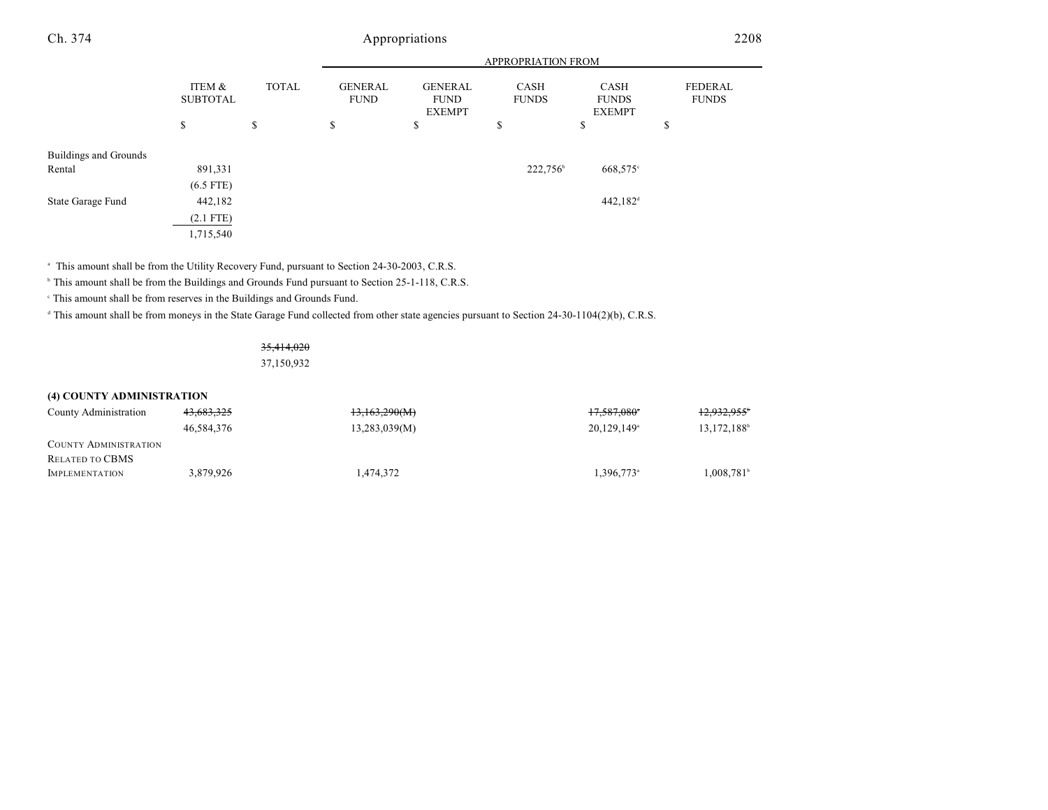|                       |                           |              | <b>APPROPRIATION FROM</b>     |                                                |                      |                                       |                                |  |
|-----------------------|---------------------------|--------------|-------------------------------|------------------------------------------------|----------------------|---------------------------------------|--------------------------------|--|
|                       | ITEM &<br><b>SUBTOTAL</b> | <b>TOTAL</b> | <b>GENERAL</b><br><b>FUND</b> | <b>GENERAL</b><br><b>FUND</b><br><b>EXEMPT</b> | CASH<br><b>FUNDS</b> | CASH<br><b>FUNDS</b><br><b>EXEMPT</b> | <b>FEDERAL</b><br><b>FUNDS</b> |  |
|                       | \$                        | \$           | \$                            | \$                                             | \$                   | ــه<br>P                              | \$                             |  |
| Buildings and Grounds |                           |              |                               |                                                |                      |                                       |                                |  |
| Rental                | 891,331                   |              |                               |                                                | 222,756 <sup>b</sup> | 668,575°                              |                                |  |
|                       | $(6.5$ FTE)               |              |                               |                                                |                      |                                       |                                |  |
| State Garage Fund     | 442,182                   |              |                               |                                                |                      | $442,182$ <sup>d</sup>                |                                |  |
|                       | $(2.1$ FTE)               |              |                               |                                                |                      |                                       |                                |  |
|                       | 1,715,540                 |              |                               |                                                |                      |                                       |                                |  |

<sup>a</sup> This amount shall be from the Utility Recovery Fund, pursuant to Section 24-30-2003, C.R.S.

<sup>b</sup> This amount shall be from the Buildings and Grounds Fund pursuant to Section 25-1-118, C.R.S.

 $^\circ$  This amount shall be from reserves in the Buildings and Grounds Fund.

<sup>d</sup> This amount shall be from moneys in the State Garage Fund collected from other state agencies pursuant to Section 24-30-1104(2)(b), C.R.S.

### 35,414,020

37,150,932

#### **(4) COUNTY ADMINISTRATION**

| County Administration                    | 43,683,325 | 13,163,290(M) | 17,587,080*               | $12,932,955$ <sup>*</sup> |
|------------------------------------------|------------|---------------|---------------------------|---------------------------|
|                                          | 46.584.376 | 13,283,039(M) | $20,129,149$ <sup>a</sup> | 13,172,188 <sup>b</sup>   |
| <b>COUNTY ADMINISTRATION</b>             |            |               |                           |                           |
| RELATED TO CBMS<br><b>IMPLEMENTATION</b> | 3.879.926  | 1.474.372     | 1,396,773 <sup>a</sup>    | 1,008,781                 |
|                                          |            |               |                           |                           |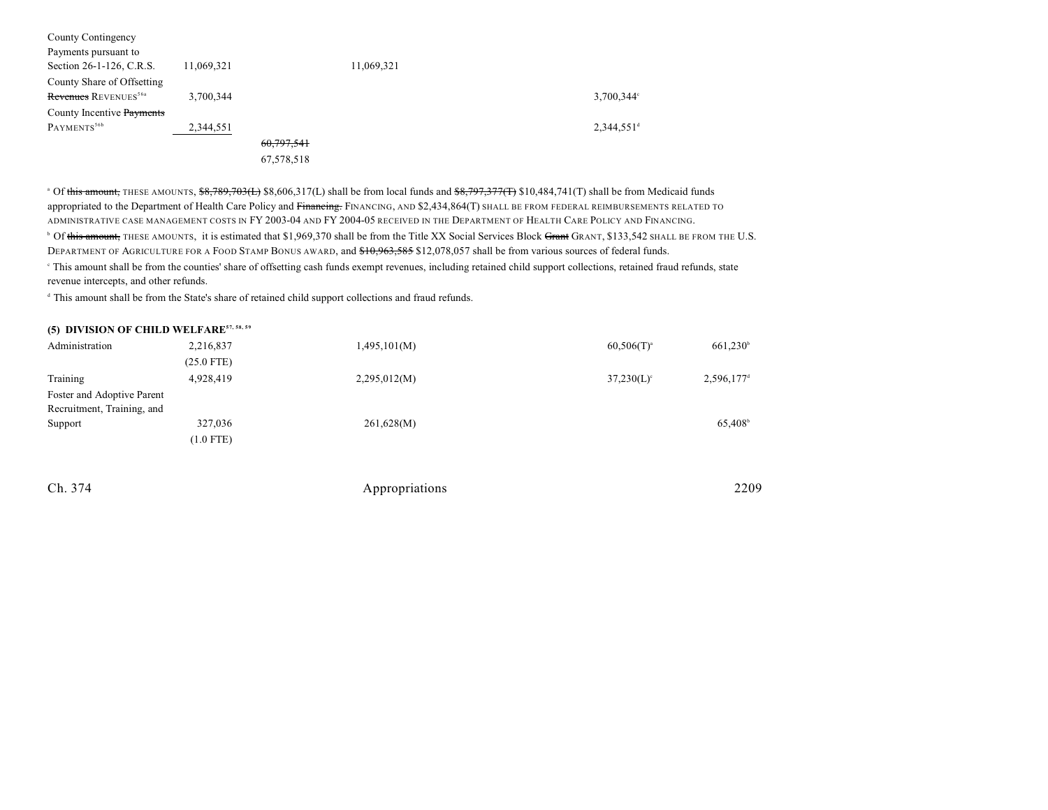| County Contingency               |            |            |            |                          |
|----------------------------------|------------|------------|------------|--------------------------|
| Payments pursuant to             |            |            |            |                          |
| Section 26-1-126, C.R.S.         | 11,069,321 |            | 11,069,321 |                          |
| County Share of Offsetting       |            |            |            |                          |
| Revenues REVENUES <sup>56a</sup> | 3,700,344  |            |            | $3,700,344$ °            |
| County Incentive Payments        |            |            |            |                          |
| PAYMENTS <sup>56b</sup>          | 2,344,551  |            |            | $2,344,551$ <sup>d</sup> |
|                                  |            | 60,797,541 |            |                          |
|                                  |            | 67,578,518 |            |                          |

<sup>a</sup> Of this amount, THESE AMOUNTS, \$8,789,703(L) \$8,606,317(L) shall be from local funds and \$8,797,377(T) \$10,484,741(T) shall be from Medicaid funds appropriated to the Department of Health Care Policy and Financing. FINANCING, AND \$2,434,864(T) SHALL BE FROM FEDERAL REIMBURSEMENTS RELATED TO ADMINISTRATIVE CASE MANAGEMENT COSTS IN FY 2003-04 AND FY 2004-05 RECEIVED IN THE DEPARTMENT OF HEALTH CARE POLICY AND FINANCING.

 $^{\rm b}$  Of <del>this amount,</del> THESE AMOUNTS, it is estimated that \$1,969,370 shall be from the Title XX Social Services Block <del>Grant</del> GRANT, \$133,542 SHALL BE FROM THE U.S. DEPARTMENT OF AGRICULTURE FOR A FOOD STAMP BONUS AWARD, and \$10,963,585 \$12,078,057 shall be from various sources of federal funds.

 This amount shall be from the counties' share of offsetting cash funds exempt revenues, including retained child support collections, retained fraud refunds, state <sup>c</sup> revenue intercepts, and other refunds.

<sup>d</sup> This amount shall be from the State's share of retained child support collections and fraud refunds.

### **(5) DIVISION OF CHILD WELFARE57, 58, 59**

| Administration             | 2,216,837    | 1,495,101(M) | $60,506(T)^{a}$          | 661,230                |
|----------------------------|--------------|--------------|--------------------------|------------------------|
|                            | $(25.0$ FTE) |              |                          |                        |
| Training                   | 4,928,419    | 2,295,012(M) | $37,230(L)$ <sup>c</sup> | 2,596,177 <sup>d</sup> |
| Foster and Adoptive Parent |              |              |                          |                        |
| Recruitment, Training, and |              |              |                          |                        |
| Support                    | 327,036      | 261,628(M)   |                          | 65,408 <sup>b</sup>    |
|                            | $(1.0$ FTE)  |              |                          |                        |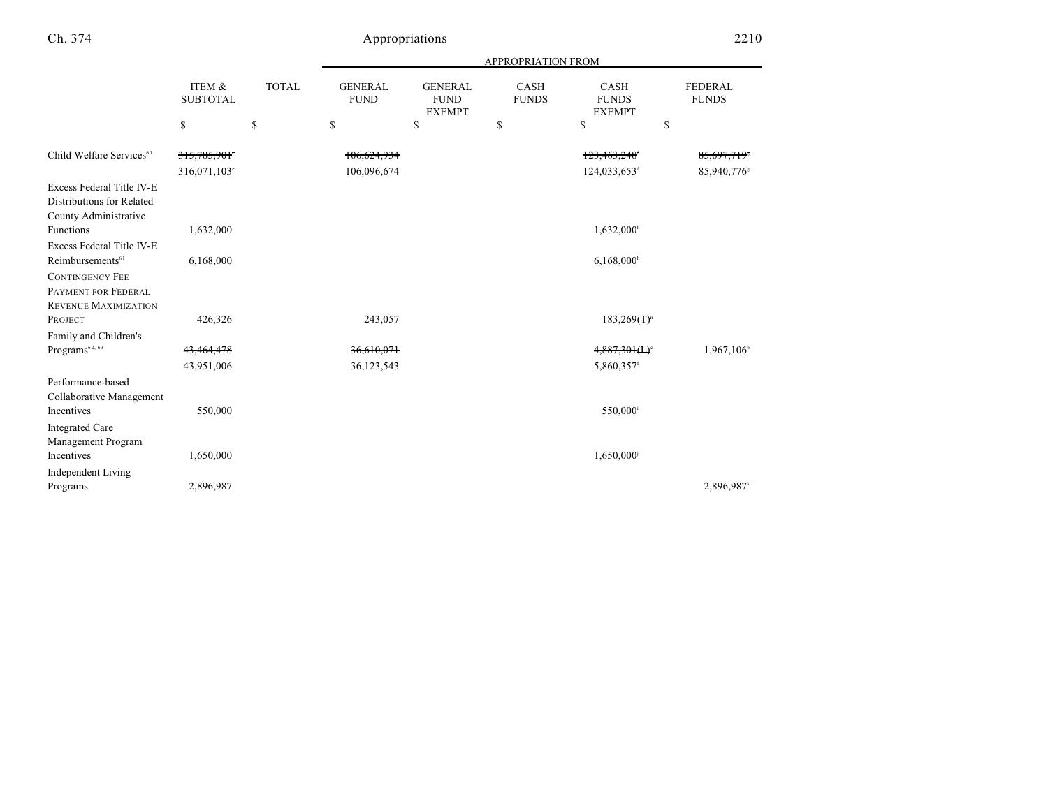|  | × |  |
|--|---|--|

|                                                                                 |                           |              |                               |                                                | <b>APPROPRIATION FROM</b>   |                                              |                                |
|---------------------------------------------------------------------------------|---------------------------|--------------|-------------------------------|------------------------------------------------|-----------------------------|----------------------------------------------|--------------------------------|
|                                                                                 | ITEM &<br><b>SUBTOTAL</b> | <b>TOTAL</b> | <b>GENERAL</b><br><b>FUND</b> | <b>GENERAL</b><br><b>FUND</b><br><b>EXEMPT</b> | <b>CASH</b><br><b>FUNDS</b> | <b>CASH</b><br><b>FUNDS</b><br><b>EXEMPT</b> | <b>FEDERAL</b><br><b>FUNDS</b> |
|                                                                                 | \$                        | \$           | \$                            | \$                                             | \$                          | \$<br>\$                                     |                                |
| Child Welfare Services <sup>60</sup>                                            | 315,785,901°              |              | 106,624,934                   |                                                |                             | 123,463,248 <sup>f</sup>                     | 85,697,719*                    |
|                                                                                 | 316,071,103°              |              | 106,096,674                   |                                                |                             | 124,033,653 <sup>f</sup>                     | 85,940,776 <sup>s</sup>        |
| Excess Federal Title IV-E<br>Distributions for Related<br>County Administrative |                           |              |                               |                                                |                             |                                              |                                |
| Functions                                                                       | 1,632,000                 |              |                               |                                                |                             | $1,632,000$ <sup>h</sup>                     |                                |
| Excess Federal Title IV-E                                                       |                           |              |                               |                                                |                             |                                              |                                |
| Reimbursements <sup>61</sup>                                                    | 6,168,000                 |              |                               |                                                |                             | $6,168,000$ <sup>h</sup>                     |                                |
| <b>CONTINGENCY FEE</b>                                                          |                           |              |                               |                                                |                             |                                              |                                |
| PAYMENT FOR FEDERAL                                                             |                           |              |                               |                                                |                             |                                              |                                |
| REVENUE MAXIMIZATION                                                            |                           |              |                               |                                                |                             |                                              |                                |
| PROJECT                                                                         | 426,326                   |              | 243,057                       |                                                |                             | $183,269(T)^n$                               |                                |
| Family and Children's                                                           |                           |              |                               |                                                |                             |                                              |                                |
| $\rm{Programs}^{62,~63}$                                                        | 43,464,478                |              | 36,610,071                    |                                                |                             | 4,887,301(L)                                 | 1,967,106                      |
|                                                                                 | 43,951,006                |              | 36,123,543                    |                                                |                             | 5,860,357f                                   |                                |
| Performance-based<br>Collaborative Management                                   |                           |              |                               |                                                |                             |                                              |                                |
| Incentives                                                                      | 550,000                   |              |                               |                                                |                             | 550,000 <sup>i</sup>                         |                                |
| <b>Integrated Care</b><br>Management Program                                    |                           |              |                               |                                                |                             |                                              |                                |
| Incentives                                                                      | 1,650,000                 |              |                               |                                                |                             | 1,650,000                                    |                                |
| <b>Independent Living</b><br>Programs                                           | 2,896,987                 |              |                               |                                                |                             |                                              | 2,896,987                      |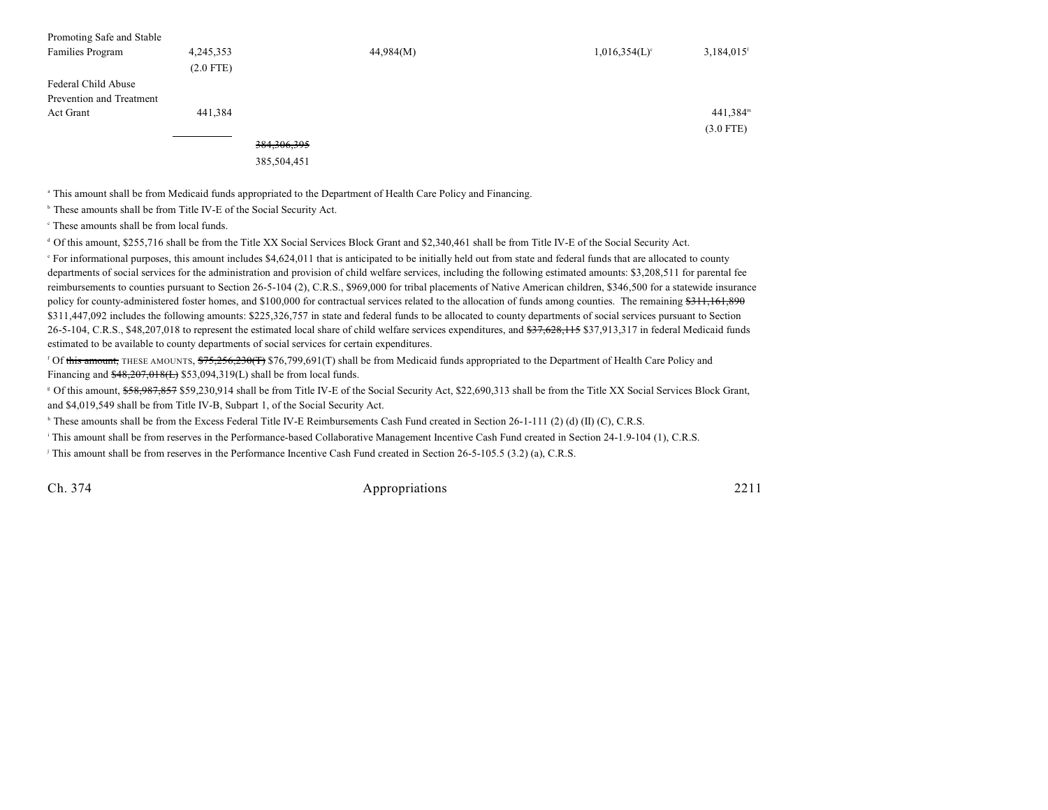| Promoting Safe and Stable |             |               |           |                             |             |
|---------------------------|-------------|---------------|-----------|-----------------------------|-------------|
| Families Program          | 4,245,353   |               | 44,984(M) | $1,016,354(L)$ <sup>c</sup> | 3,184,015   |
|                           | $(2.0$ FTE) |               |           |                             |             |
| Federal Child Abuse       |             |               |           |                             |             |
| Prevention and Treatment  |             |               |           |                             |             |
| Act Grant                 | 441,384     |               |           |                             | $441,384^m$ |
|                           |             |               |           |                             | $(3.0$ FTE) |
|                           |             | 384, 306, 395 |           |                             |             |

385,504,451

This amount shall be from Medicaid funds appropriated to the Department of Health Care Policy and Financing. <sup>a</sup>

<sup>b</sup> These amounts shall be from Title IV-E of the Social Security Act.

 $\cdot$  These amounts shall be from local funds.

 $\degree$  Of this amount, \$255,716 shall be from the Title XX Social Services Block Grant and \$2,340,461 shall be from Title IV-E of the Social Security Act.

 For informational purposes, this amount includes \$4,624,011 that is anticipated to be initially held out from state and federal funds that are allocated to county e departments of social services for the administration and provision of child welfare services, including the following estimated amounts: \$3,208,511 for parental fee reimbursements to counties pursuant to Section 26-5-104 (2), C.R.S., \$969,000 for tribal placements of Native American children, \$346,500 for a statewide insurance policy for county-administered foster homes, and \$100,000 for contractual services related to the allocation of funds among counties. The remaining \$311,161,890 \$311,447,092 includes the following amounts: \$225,326,757 in state and federal funds to be allocated to county departments of social services pursuant to Section 26-5-104, C.R.S., \$48,207,018 to represent the estimated local share of child welfare services expenditures, and \$37,628,115 \$37,913,317 in federal Medicaid funds estimated to be available to county departments of social services for certain expenditures.

<sup>f</sup> Of <del>this amount,</del> THESE AMOUNTS, \$75,256,230(T) \$76,799,691(T) shall be from Medicaid funds appropriated to the Department of Health Care Policy and Financing and  $$48,207,018(E)$  \$53,094,319(L) shall be from local funds.

<sup>g</sup> Of this amount, \$<del>58,987,857</del> \$59,230,914 shall be from Title IV-E of the Social Security Act, \$22,690,313 shall be from the Title XX Social Services Block Grant, and \$4,019,549 shall be from Title IV-B, Subpart 1, of the Social Security Act.

 $\text{``These amounts shall be from the Excess Federal Title IV-E Reinbursements Cash Fund created in Section 26-1-111 (2) (d) (II) (C), C.R.S.}$ 

This amount shall be from reserves in the Performance-based Collaborative Management Incentive Cash Fund created in Section 24-1.9-104 (1), C.R.S.

<sup>j</sup> This amount shall be from reserves in the Performance Incentive Cash Fund created in Section 26-5-105.5 (3.2) (a), C.R.S.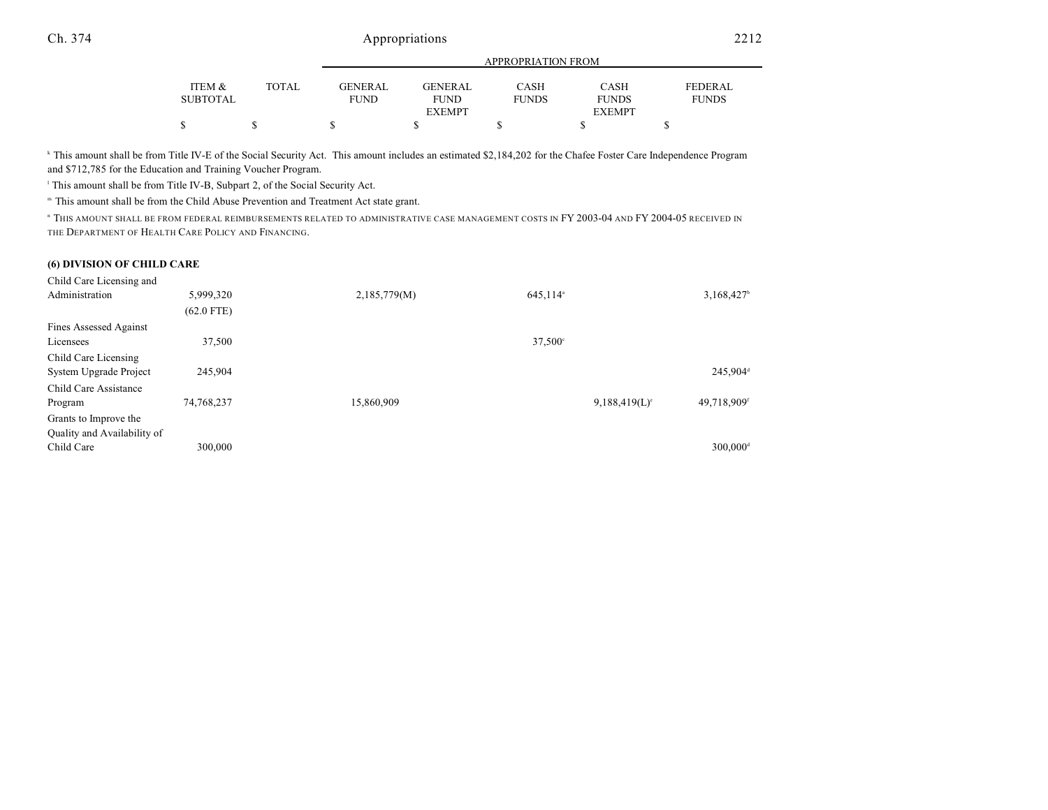|                 |        | APPROPRIATION FROM |                |              |               |                |  |  |
|-----------------|--------|--------------------|----------------|--------------|---------------|----------------|--|--|
|                 |        |                    |                |              |               |                |  |  |
| ITEM &          | TOTAL. | GENERAL            | <b>GENERAL</b> | CASH         | CASH          | <b>FEDERAL</b> |  |  |
| <b>SUBTOTAL</b> |        | <b>FUND</b>        | <b>FUND</b>    | <b>FUNDS</b> | <b>FUNDS</b>  | <b>FUNDS</b>   |  |  |
|                 |        |                    | <b>EXEMPT</b>  |              | <b>EXEMPT</b> |                |  |  |
| S               |        |                    |                |              |               |                |  |  |

<sup>k</sup> This amount shall be from Title IV-E of the Social Security Act. This amount includes an estimated \$2,184,202 for the Chafee Foster Care Independence Program and \$712,785 for the Education and Training Voucher Program.

<sup>1</sup> This amount shall be from Title IV-B, Subpart 2, of the Social Security Act.

" This amount shall be from the Child Abuse Prevention and Treatment Act state grant.

<sup>n</sup> This amount shall be from federal reimbursements related to administrative case management costs in FY 2003-04 and FY 2004-05 received in THE DEPARTMENT OF HEALTH CARE POLICY AND FINANCING.

#### **(6) DIVISION OF CHILD CARE**

| Child Care Licensing and    |              |                                      |                        |                         |
|-----------------------------|--------------|--------------------------------------|------------------------|-------------------------|
| Administration              | 5,999,320    | 2,185,779(M)<br>645,114 <sup>a</sup> |                        | 3,168,427 <sup>b</sup>  |
|                             | $(62.0$ FTE) |                                      |                        |                         |
| Fines Assessed Against      |              |                                      |                        |                         |
| Licensees                   | 37,500       | 37,500°                              |                        |                         |
| Child Care Licensing        |              |                                      |                        |                         |
| System Upgrade Project      | 245.904      |                                      |                        | 245,904 <sup>d</sup>    |
| Child Care Assistance       |              |                                      |                        |                         |
| Program                     | 74,768,237   | 15,860,909                           | $9,188,419(L)^{\circ}$ | 49,718,909 <sup>f</sup> |
| Grants to Improve the       |              |                                      |                        |                         |
| Quality and Availability of |              |                                      |                        |                         |
| Child Care                  | 300,000      |                                      |                        | $300.000$ <sup>d</sup>  |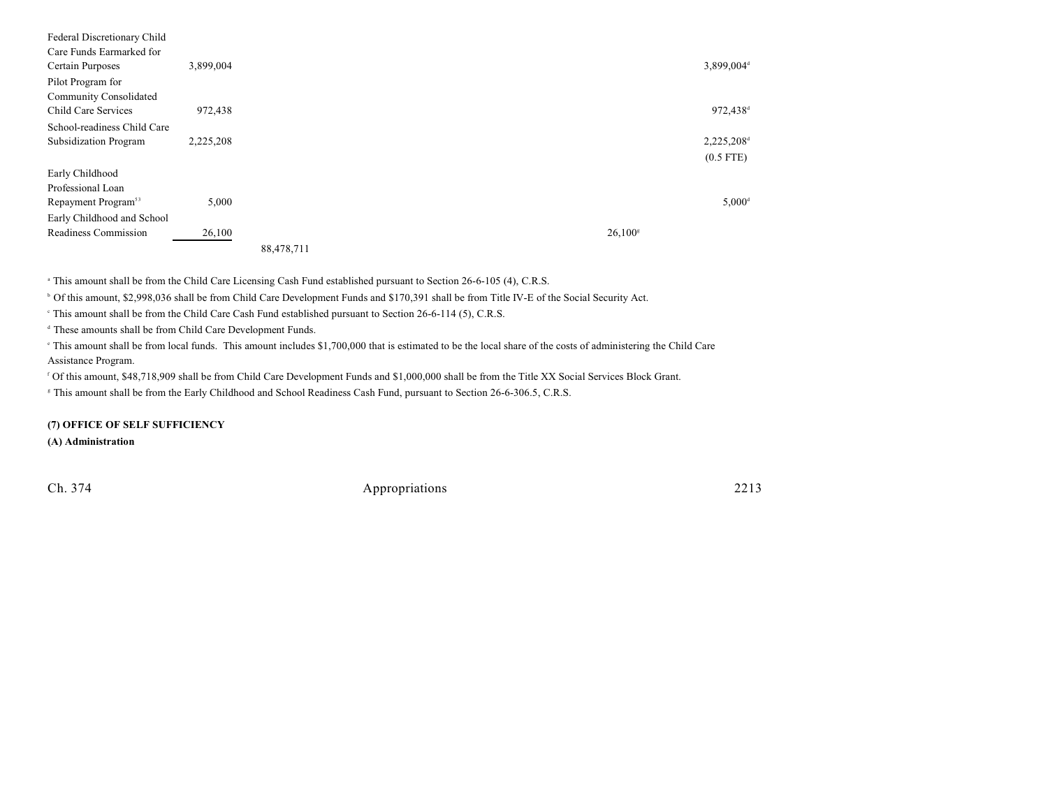| Federal Discretionary Child     |           |            |  |                  |                        |
|---------------------------------|-----------|------------|--|------------------|------------------------|
| Care Funds Earmarked for        |           |            |  |                  |                        |
| Certain Purposes                | 3,899,004 |            |  |                  | 3,899,004 <sup>d</sup> |
| Pilot Program for               |           |            |  |                  |                        |
| Community Consolidated          |           |            |  |                  |                        |
| Child Care Services             | 972,438   |            |  |                  | 972,438 <sup>d</sup>   |
| School-readiness Child Care     |           |            |  |                  |                        |
| Subsidization Program           | 2,225,208 |            |  |                  | 2,225,208 <sup>d</sup> |
|                                 |           |            |  |                  | $(0.5$ FTE)            |
| Early Childhood                 |           |            |  |                  |                        |
| Professional Loan               |           |            |  |                  |                        |
| Repayment Program <sup>53</sup> | 5,000     |            |  |                  | $5,000^{\rm d}$        |
| Early Childhood and School      |           |            |  |                  |                        |
| Readiness Commission            | 26,100    |            |  | $26,100^{\rm s}$ |                        |
|                                 |           | 88,478,711 |  |                  |                        |
|                                 |           |            |  |                  |                        |

<sup>a</sup> This amount shall be from the Child Care Licensing Cash Fund established pursuant to Section 26-6-105 (4), C.R.S.

<sup>b</sup> Of this amount, \$2,998,036 shall be from Child Care Development Funds and \$170,391 shall be from Title IV-E of the Social Security Act.

This amount shall be from the Child Care Cash Fund established pursuant to Section  $26-6-114$  (5), C.R.S.

<sup>d</sup> These amounts shall be from Child Care Development Funds.

 This amount shall be from local funds. This amount includes \$1,700,000 that is estimated to be the local share of the costs of administering the Child Care <sup>e</sup> Assistance Program.

Of this amount, \$48,718,909 shall be from Child Care Development Funds and \$1,000,000 shall be from the Title XX Social Services Block Grant.

This amount shall be from the Early Childhood and School Readiness Cash Fund, pursuant to Section 26-6-306.5, C.R.S. <sup>g</sup>

**(7) OFFICE OF SELF SUFFICIENCY**

**(A) Administration**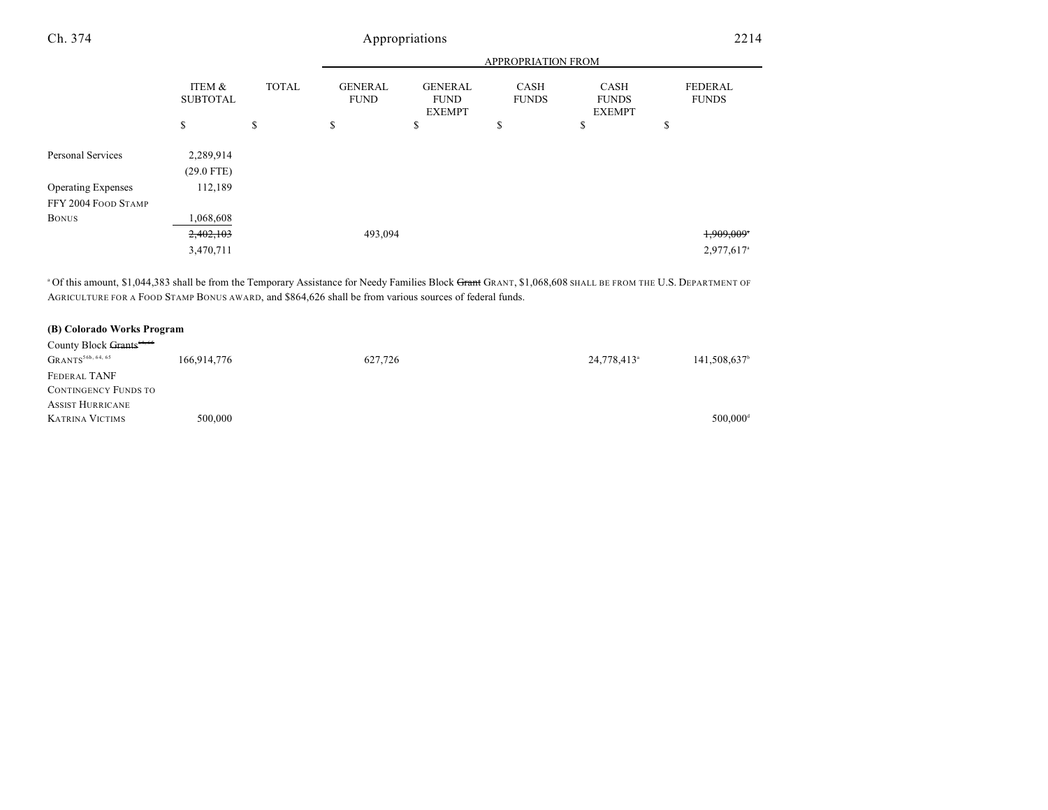|                           |                           |              | <b>APPROPRIATION FROM</b>     |                                                |                             |                                       |                                |
|---------------------------|---------------------------|--------------|-------------------------------|------------------------------------------------|-----------------------------|---------------------------------------|--------------------------------|
|                           | ITEM &<br><b>SUBTOTAL</b> | <b>TOTAL</b> | <b>GENERAL</b><br><b>FUND</b> | <b>GENERAL</b><br><b>FUND</b><br><b>EXEMPT</b> | <b>CASH</b><br><b>FUNDS</b> | CASH<br><b>FUNDS</b><br><b>EXEMPT</b> | <b>FEDERAL</b><br><b>FUNDS</b> |
|                           | \$                        | \$           | \$                            | \$                                             | \$                          | \$                                    | \$                             |
| Personal Services         | 2,289,914<br>$(29.0$ FTE) |              |                               |                                                |                             |                                       |                                |
| <b>Operating Expenses</b> | 112,189                   |              |                               |                                                |                             |                                       |                                |
| FFY 2004 FOOD STAMP       |                           |              |                               |                                                |                             |                                       |                                |
| <b>BONUS</b>              | .068,608                  |              |                               |                                                |                             |                                       |                                |
|                           | 2,402,103                 |              | 493,094                       |                                                |                             |                                       | 1,909,009*                     |
|                           | 3,470,711                 |              |                               |                                                |                             |                                       | 2,977,617 <sup>a</sup>         |

<sup>a</sup> Of this amount, \$1,044,383 shall be from the Temporary Assistance for Needy Families Block Grant GRANT, \$1,068,608 SHALL BE FROM THE U.S. DEPARTMENT OF AGRICULTURE FOR A FOOD STAMP BONUS AWARD, and \$864,626 shall be from various sources of federal funds.

### **(B) Colorado Works Program**

| County Block Grants <sup>64,65</sup> |             |         |                         |                          |
|--------------------------------------|-------------|---------|-------------------------|--------------------------|
| GRANTS <sup>56b, 64, 65</sup>        | 166,914,776 | 627,726 | 24,778,413 <sup>a</sup> | 141,508,637 <sup>b</sup> |
| FEDERAL TANF                         |             |         |                         |                          |
| <b>CONTINGENCY FUNDS TO</b>          |             |         |                         |                          |
| <b>ASSIST HURRICANE</b>              |             |         |                         |                          |
| <b>KATRINA VICTIMS</b>               | 500,000     |         |                         | $500.000$ <sup>d</sup>   |
|                                      |             |         |                         |                          |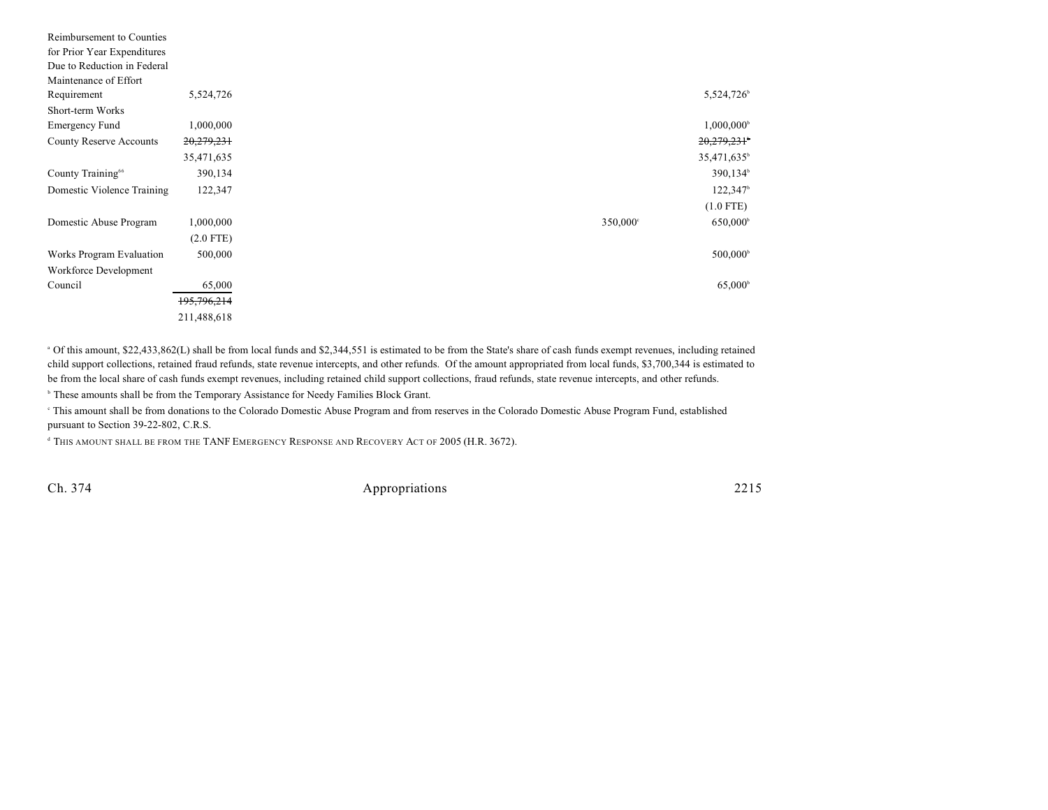| Reimbursement to Counties      |             |             |                         |
|--------------------------------|-------------|-------------|-------------------------|
| for Prior Year Expenditures    |             |             |                         |
| Due to Reduction in Federal    |             |             |                         |
| Maintenance of Effort          |             |             |                         |
| Requirement                    | 5,524,726   |             | 5,524,726               |
| Short-term Works               |             |             |                         |
| <b>Emergency Fund</b>          | 1,000,000   |             | $1,000,000^{\circ}$     |
| <b>County Reserve Accounts</b> | 20,279,231  |             | 20,279,231              |
|                                | 35,471,635  |             | 35,471,635 <sup>b</sup> |
| County Training <sup>66</sup>  | 390,134     |             | 390,134 <sup>b</sup>    |
| Domestic Violence Training     | 122,347     |             | $122,347$ <sup>b</sup>  |
|                                |             |             | $(1.0$ FTE)             |
| Domestic Abuse Program         | 1,000,000   | $350,000$ ° | $650,000^{\circ}$       |
|                                | $(2.0$ FTE) |             |                         |
| Works Program Evaluation       | 500,000     |             | $500,000^{\circ}$       |
| Workforce Development          |             |             |                         |
| Council                        | 65,000      |             | 65,000 <sup>b</sup>     |
|                                | 195,796,214 |             |                         |
|                                | 211,488,618 |             |                         |

<sup>a</sup> Of this amount, \$22,433,862(L) shall be from local funds and \$2,344,551 is estimated to be from the State's share of cash funds exempt revenues, including retained child support collections, retained fraud refunds, state revenue intercepts, and other refunds. Of the amount appropriated from local funds, \$3,700,344 is estimated to be from the local share of cash funds exempt revenues, including retained child support collections, fraud refunds, state revenue intercepts, and other refunds.

<sup>b</sup> These amounts shall be from the Temporary Assistance for Needy Families Block Grant.

 This amount shall be from donations to the Colorado Domestic Abuse Program and from reserves in the Colorado Domestic Abuse Program Fund, established <sup>c</sup> pursuant to Section 39-22-802, C.R.S.

<sup>d</sup> This amount shall be from the TANF EMERGENCY RESPONSE AND RECOVERY ACT OF 2005 (H.R. 3672).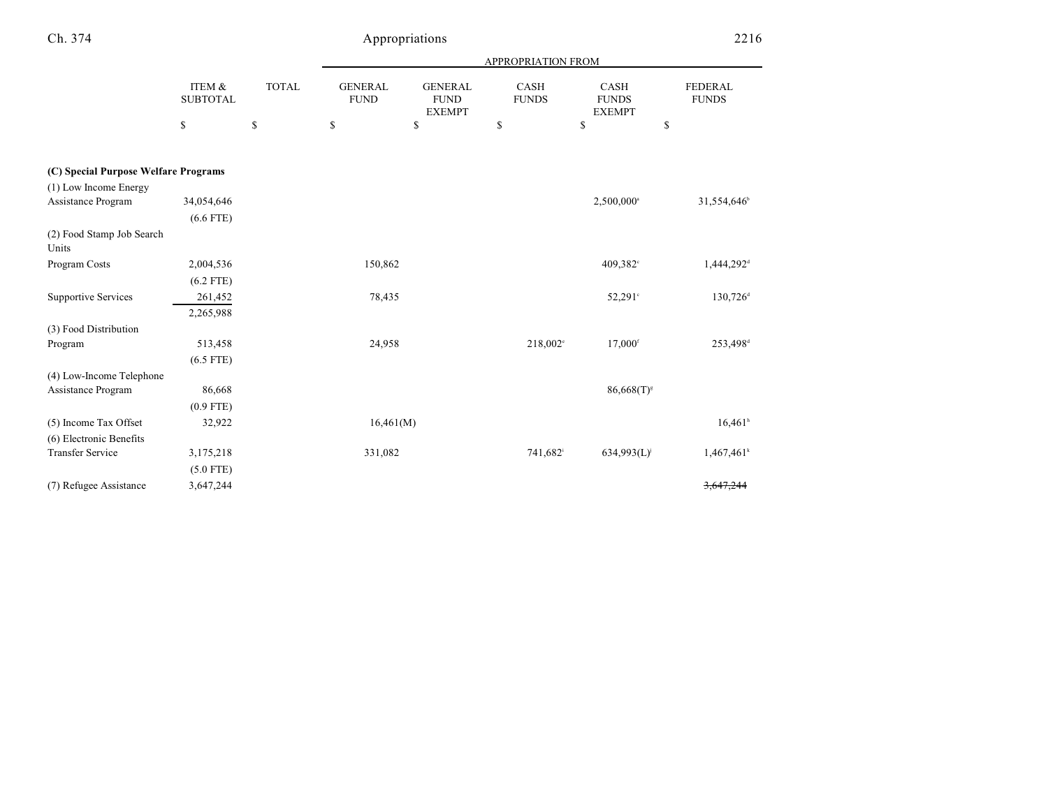| ×<br>i |
|--------|
|--------|

# Appropriations 2216

|                                      |                           |              |                               |                                                | <b>APPROPRIATION FROM</b> |                                       |                         |
|--------------------------------------|---------------------------|--------------|-------------------------------|------------------------------------------------|---------------------------|---------------------------------------|-------------------------|
|                                      | ITEM &<br><b>SUBTOTAL</b> | <b>TOTAL</b> | <b>GENERAL</b><br><b>FUND</b> | <b>GENERAL</b><br><b>FUND</b><br><b>EXEMPT</b> | CASH<br><b>FUNDS</b>      | CASH<br><b>FUNDS</b><br><b>EXEMPT</b> | FEDERAL<br><b>FUNDS</b> |
|                                      | \$                        | \$           | \$                            | \$                                             | \$                        | \$                                    | \$                      |
| (C) Special Purpose Welfare Programs |                           |              |                               |                                                |                           |                                       |                         |
| (1) Low Income Energy                |                           |              |                               |                                                |                           |                                       |                         |
| Assistance Program                   | 34,054,646                |              |                               |                                                |                           | 2,500,000 <sup>a</sup>                | 31,554,646 <sup>b</sup> |
|                                      | $(6.6$ FTE)               |              |                               |                                                |                           |                                       |                         |
| (2) Food Stamp Job Search<br>Units   |                           |              |                               |                                                |                           |                                       |                         |
| Program Costs                        | 2,004,536                 |              | 150,862                       |                                                |                           | 409,382 <sup>c</sup>                  | 1,444,292 <sup>d</sup>  |
|                                      | $(6.2$ FTE)               |              |                               |                                                |                           |                                       |                         |
| <b>Supportive Services</b>           | 261,452                   |              | 78,435                        |                                                |                           | $52,291^{\circ}$                      | $130,726$ <sup>d</sup>  |
|                                      | 2,265,988                 |              |                               |                                                |                           |                                       |                         |
| (3) Food Distribution                |                           |              |                               |                                                |                           |                                       |                         |
| Program                              | 513,458                   |              | 24,958                        |                                                | 218,002 <sup>e</sup>      | $17,000$ <sup>f</sup>                 | 253,498 <sup>d</sup>    |
|                                      | $(6.5$ FTE)               |              |                               |                                                |                           |                                       |                         |
| (4) Low-Income Telephone             |                           |              |                               |                                                |                           |                                       |                         |
| Assistance Program                   | 86,668                    |              |                               |                                                |                           | $86,668(T)^s$                         |                         |
|                                      | $(0.9$ FTE)               |              |                               |                                                |                           |                                       |                         |
| (5) Income Tax Offset                | 32,922                    |              | 16,461(M)                     |                                                |                           |                                       | $16,461$ <sup>h</sup>   |
| (6) Electronic Benefits              |                           |              |                               |                                                |                           |                                       |                         |
| <b>Transfer Service</b>              | 3,175,218                 |              | 331,082                       |                                                | 741,682 <sup>i</sup>      | 634,993(L)                            | $1,467,461^k$           |
|                                      | $(5.0$ FTE)               |              |                               |                                                |                           |                                       |                         |
| (7) Refugee Assistance               | 3,647,244                 |              |                               |                                                |                           |                                       | 3,647,244               |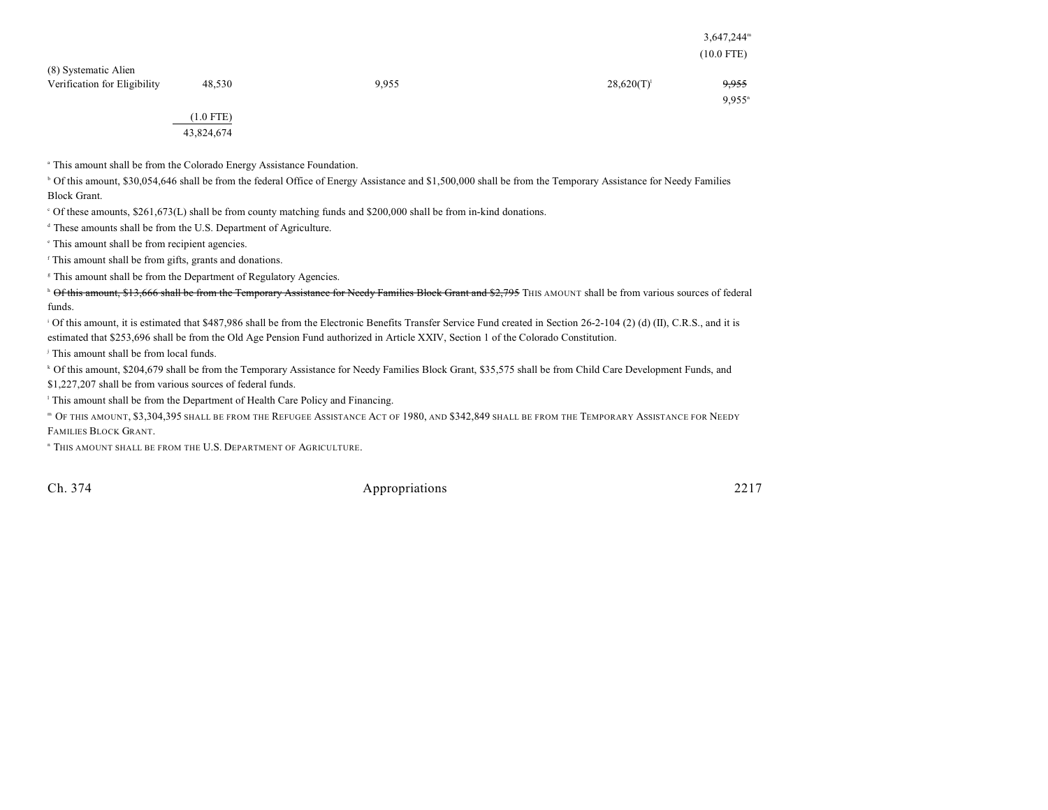|                                                      |           |       |               | $3,647,244^{\rm m}$<br>$(10.0$ FTE) |
|------------------------------------------------------|-----------|-------|---------------|-------------------------------------|
| (8) Systematic Alien<br>Verification for Eligibility | 48,530    | 9,955 | $28,620(T)^1$ | 9,955<br>$9.955$ <sup>n</sup>       |
|                                                      | (1.0 FTE) |       |               |                                     |

(1.0 FTE) 43,824,674

<sup>a</sup> This amount shall be from the Colorado Energy Assistance Foundation.

<sup>b</sup> Of this amount, \$30,054,646 shall be from the federal Office of Energy Assistance and \$1,500,000 shall be from the Temporary Assistance for Needy Families Block Grant.

Of these amounts, \$261,673(L) shall be from county matching funds and \$200,000 shall be from in-kind donations. <sup>c</sup>

 $\alpha$ <sup>d</sup> These amounts shall be from the U.S. Department of Agriculture.

<sup>e</sup> This amount shall be from recipient agencies.

 $\epsilon$ <sup>r</sup> This amount shall be from gifts, grants and donations.

<sup>8</sup> This amount shall be from the Department of Regulatory Agencies.

<sup>h</sup> Of this amount, \$13,666 shall be from the Temporary Assistance for Needy Families Block Grant and \$2,795 THIS AMOUNT shall be from various sources of federal funds.

 $\alpha$  Of this amount, it is estimated that \$487,986 shall be from the Electronic Benefits Transfer Service Fund created in Section 26-2-104 (2) (d) (II), C.R.S., and it is estimated that \$253,696 shall be from the Old Age Pension Fund authorized in Article XXIV, Section 1 of the Colorado Constitution.

<sup>j</sup> This amount shall be from local funds.

<sup>k</sup> Of this amount, \$204,679 shall be from the Temporary Assistance for Needy Families Block Grant, \$35,575 shall be from Child Care Development Funds, and

\$1,227,207 shall be from various sources of federal funds.

<sup>1</sup> This amount shall be from the Department of Health Care Policy and Financing.

 OF THIS AMOUNT, \$3,304,395 SHALL BE FROM THE REFUGEE ASSISTANCE ACT OF 1980, AND \$342,849 SHALL BE FROM THE TEMPORARY ASSISTANCE FOR NEEDY <sup>m</sup> FAMILIES BLOCK GRANT.

<sup>n</sup> This amount shall be from the U.S. Department of Agriculture.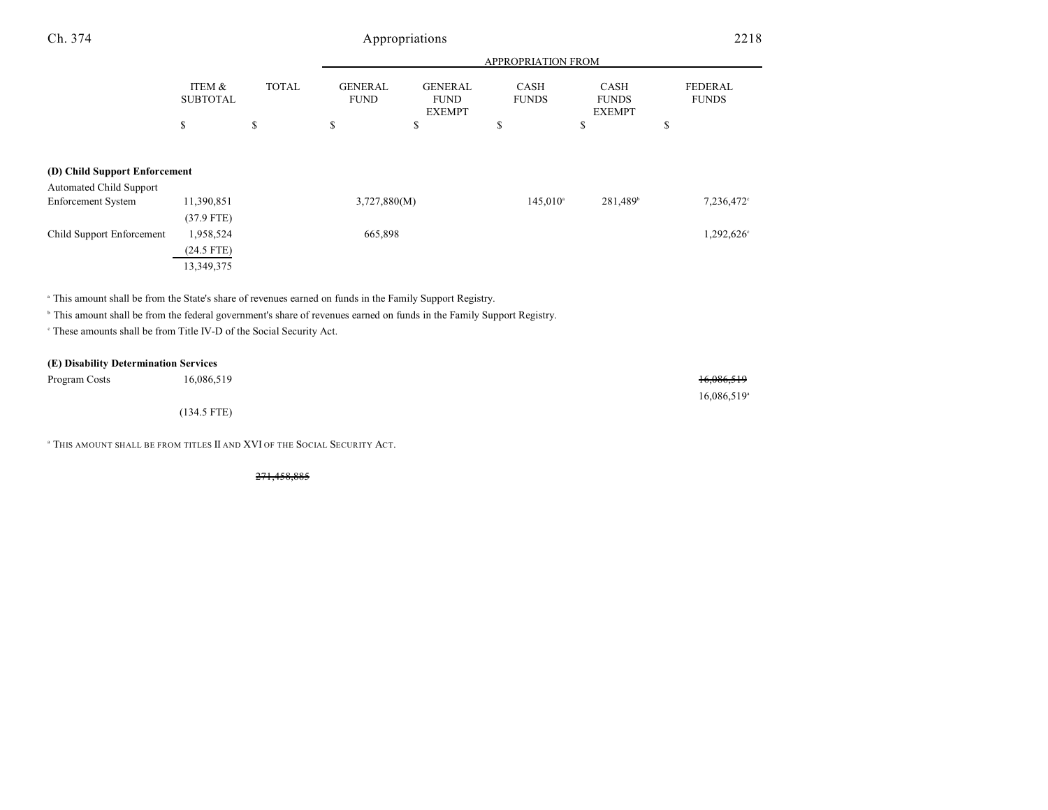| Ch. 374                                              |                           |              |                               | Appropriations                                 |                             |                                              | 2218                           |
|------------------------------------------------------|---------------------------|--------------|-------------------------------|------------------------------------------------|-----------------------------|----------------------------------------------|--------------------------------|
|                                                      |                           |              |                               |                                                | <b>APPROPRIATION FROM</b>   |                                              |                                |
|                                                      | ITEM &<br><b>SUBTOTAL</b> | <b>TOTAL</b> | <b>GENERAL</b><br><b>FUND</b> | <b>GENERAL</b><br><b>FUND</b><br><b>EXEMPT</b> | <b>CASH</b><br><b>FUNDS</b> | <b>CASH</b><br><b>FUNDS</b><br><b>EXEMPT</b> | <b>FEDERAL</b><br><b>FUNDS</b> |
|                                                      | \$                        | \$           | \$                            | \$                                             | \$                          | ъ                                            | \$                             |
| (D) Child Support Enforcement                        |                           |              |                               |                                                |                             |                                              |                                |
| <b>Automated Child Support</b><br>Enforcement System | 11,390,851                |              | 3,727,880(M)                  |                                                | $145,010^{\circ}$           | $281,489^{\circ}$                            | 7,236,472°                     |
|                                                      | $(37.9$ FTE)              |              |                               |                                                |                             |                                              |                                |

<sup>a</sup> This amount shall be from the State's share of revenues earned on funds in the Family Support Registry.

<sup>b</sup> This amount shall be from the federal government's share of revenues earned on funds in the Family Support Registry.

<sup>c</sup> These amounts shall be from Title IV-D of the Social Security Act.

(24.5 FTE) 13,349,375

#### **(E) Disability Determination Services**

| Program Costs | 16,086,519    | 16,086,519              |
|---------------|---------------|-------------------------|
|               |               | 16,086,519 <sup>a</sup> |
|               | $(134.5$ FTE) |                         |

Child Support Enforcement 1,958,524 665,898 1,292,626<sup>c</sup>

<sup>a</sup> This amount shall be from titles II and XVI of the Social Security Act.

271,458,885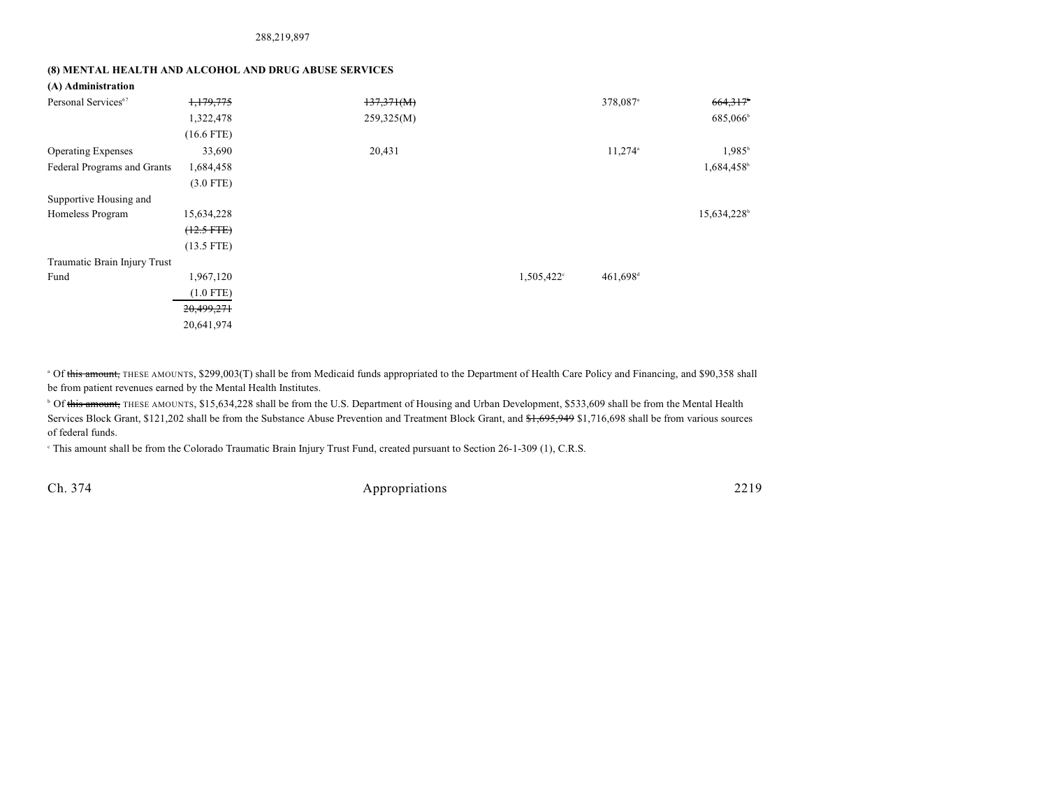288,219,897

### **(8) MENTAL HEALTH AND ALCOHOL AND DRUG ABUSE SERVICES**

| (A) Administration |
|--------------------|
|--------------------|

| Personal Services <sup>67</sup> | 1,179,775       | 137,371(M) |                        | 378,087 <sup>a</sup>  | 664,317                 |
|---------------------------------|-----------------|------------|------------------------|-----------------------|-------------------------|
|                                 | 1,322,478       | 259,325(M) |                        |                       | 685,066 <sup>b</sup>    |
|                                 | $(16.6$ FTE)    |            |                        |                       |                         |
| <b>Operating Expenses</b>       | 33,690          | 20,431     |                        | $11,274$ <sup>a</sup> | $1,985^{\rm b}$         |
| Federal Programs and Grants     | 1,684,458       |            |                        |                       | 1,684,458               |
|                                 | $(3.0$ FTE)     |            |                        |                       |                         |
| Supportive Housing and          |                 |            |                        |                       |                         |
| Homeless Program                | 15,634,228      |            |                        |                       | 15,634,228 <sup>b</sup> |
|                                 | $(12.5$ FTE $)$ |            |                        |                       |                         |
|                                 | $(13.5$ FTE)    |            |                        |                       |                         |
| Traumatic Brain Injury Trust    |                 |            |                        |                       |                         |
| Fund                            | 1,967,120       |            | 1,505,422 <sup>c</sup> | 461,698 <sup>d</sup>  |                         |
|                                 | $(1.0$ FTE)     |            |                        |                       |                         |
|                                 | 20,499,271      |            |                        |                       |                         |
|                                 | 20,641,974      |            |                        |                       |                         |

<sup>a</sup> Of this amount, THESE AMOUNTS, \$299,003(T) shall be from Medicaid funds appropriated to the Department of Health Care Policy and Financing, and \$90,358 shall be from patient revenues earned by the Mental Health Institutes.

<sup>b</sup> Of this amount, THESE AMOUNTS, \$15,634,228 shall be from the U.S. Department of Housing and Urban Development, \$533,609 shall be from the Mental Health Services Block Grant, \$121,202 shall be from the Substance Abuse Prevention and Treatment Block Grant, and \$1,695,949 \$1,716,698 shall be from various sources of federal funds.

This amount shall be from the Colorado Traumatic Brain Injury Trust Fund, created pursuant to Section 26-1-309 (1), C.R.S.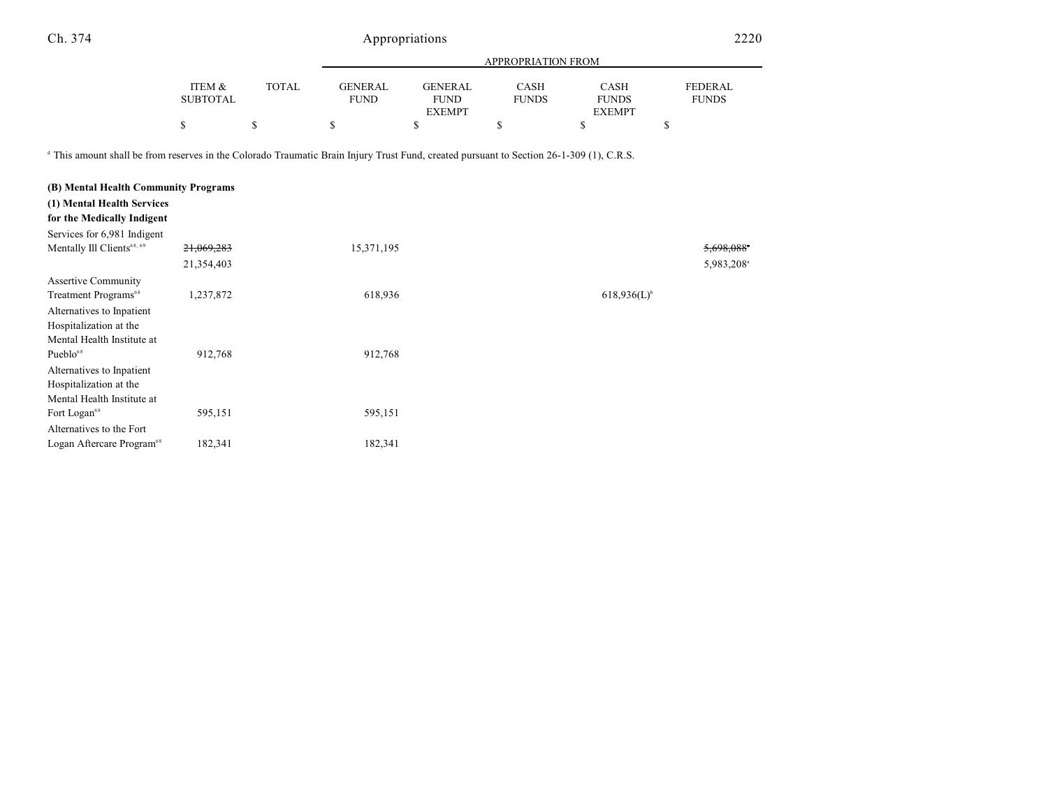|                 |        |                |                | APPROPRIATION FROM |               |                |
|-----------------|--------|----------------|----------------|--------------------|---------------|----------------|
|                 |        |                |                |                    |               |                |
| ITEM &          | TOTAL. | <b>GENERAL</b> | <b>GENERAL</b> | CASH               | CASH          | <b>FEDERAL</b> |
| <b>SUBTOTAL</b> |        | <b>FUND</b>    | <b>FUND</b>    | <b>FUNDS</b>       | <b>FUNDS</b>  | <b>FUNDS</b>   |
|                 |        |                | <b>EXEMPT</b>  |                    | <b>EXEMPT</b> |                |
| S               |        |                |                |                    |               |                |

<sup>d</sup> This amount shall be from reserves in the Colorado Traumatic Brain Injury Trust Fund, created pursuant to Section 26-1-309 (1), C.R.S.

| (B) Mental Health Community Programs                     |            |            |                  |                        |
|----------------------------------------------------------|------------|------------|------------------|------------------------|
| (1) Mental Health Services<br>for the Medically Indigent |            |            |                  |                        |
| Services for 6,981 Indigent                              |            |            |                  |                        |
| Mentally Ill Clients <sup>68, 69</sup>                   | 21,069,283 | 15,371,195 |                  | 5,698,088              |
|                                                          | 21,354,403 |            |                  | 5,983,208 <sup>a</sup> |
| <b>Assertive Community</b>                               |            |            |                  |                        |
| Treatment Programs <sup>68</sup>                         | 1,237,872  | 618,936    | $618,936(L)^{b}$ |                        |
| Alternatives to Inpatient                                |            |            |                  |                        |
| Hospitalization at the                                   |            |            |                  |                        |
| Mental Health Institute at                               |            |            |                  |                        |
| Pueblo <sup>68</sup>                                     | 912,768    | 912,768    |                  |                        |
| Alternatives to Inpatient                                |            |            |                  |                        |
| Hospitalization at the                                   |            |            |                  |                        |
| Mental Health Institute at                               |            |            |                  |                        |
| Fort Logan <sup>68</sup>                                 | 595,151    | 595,151    |                  |                        |
| Alternatives to the Fort                                 |            |            |                  |                        |
| Logan Aftercare Program <sup>68</sup>                    | 182,341    | 182,341    |                  |                        |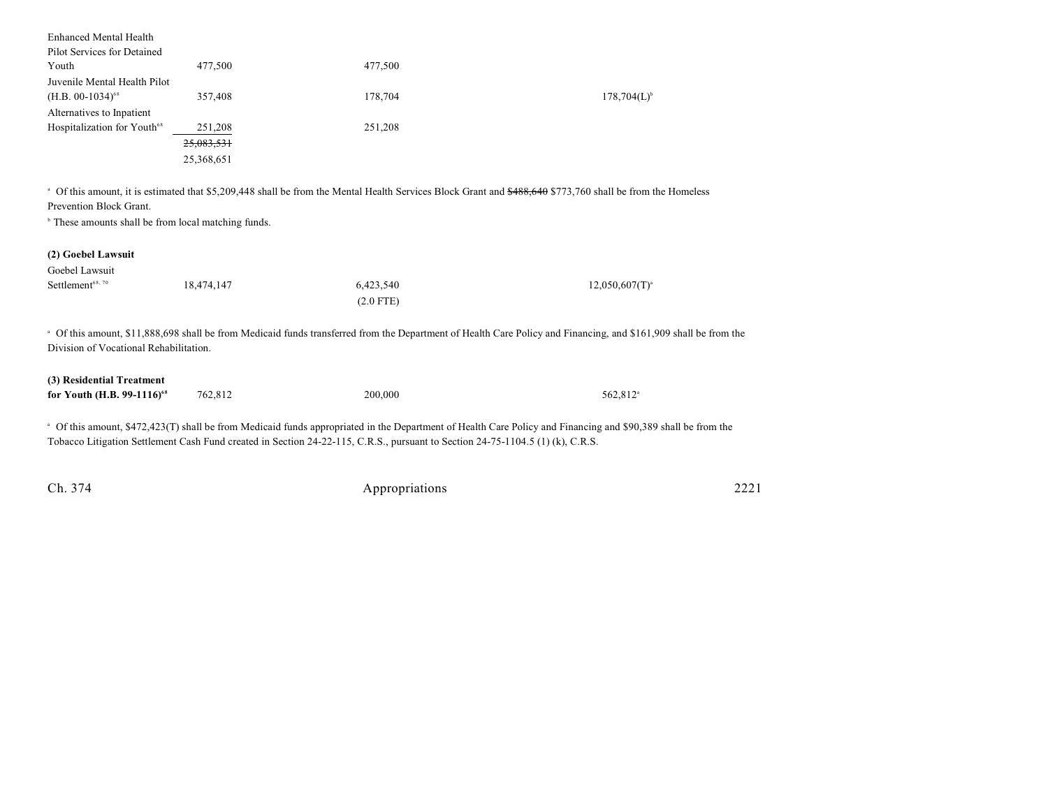| <b>Enhanced Mental Health</b>           |            |         |                  |
|-----------------------------------------|------------|---------|------------------|
| Pilot Services for Detained             |            |         |                  |
| Youth                                   | 477,500    | 477,500 |                  |
| Juvenile Mental Health Pilot            |            |         |                  |
| $(H.B. 00-1034)^{68}$                   | 357,408    | 178,704 | $178,704(L)^{6}$ |
| Alternatives to Inpatient               |            |         |                  |
| Hospitalization for Youth <sup>68</sup> | 251,208    | 251,208 |                  |
|                                         | 25,083,531 |         |                  |
|                                         | 25,368,651 |         |                  |

<sup>a</sup> Of this amount, it is estimated that \$5,209,448 shall be from the Mental Health Services Block Grant and \$488,640 \$773,760 shall be from the Homeless Prevention Block Grant.

 $\,^{\circ}$  These amounts shall be from local matching funds.

### **(2) Goebel Lawsuit**

| Goebel Lawsuit               |            |             |                     |
|------------------------------|------------|-------------|---------------------|
| Settlement <sup>68, 70</sup> | 18,474,147 | 6,423,540   | $12,050,607(T)^{3}$ |
|                              |            | $(2.0$ FTE) |                     |

<sup>a</sup> Of this amount, \$11,888,698 shall be from Medicaid funds transferred from the Department of Health Care Policy and Financing, and \$161,909 shall be from the Division of Vocational Rehabilitation.

| (3) Residential Treatment              |         |         |                      |
|----------------------------------------|---------|---------|----------------------|
| for Youth (H.B. 99-1116) <sup>68</sup> | 762,812 | 200,000 | 562.812 <sup>a</sup> |

<sup>a</sup> Of this amount, \$472,423(T) shall be from Medicaid funds appropriated in the Department of Health Care Policy and Financing and \$90,389 shall be from the Tobacco Litigation Settlement Cash Fund created in Section 24-22-115, C.R.S., pursuant to Section 24-75-1104.5 (1) (k), C.R.S.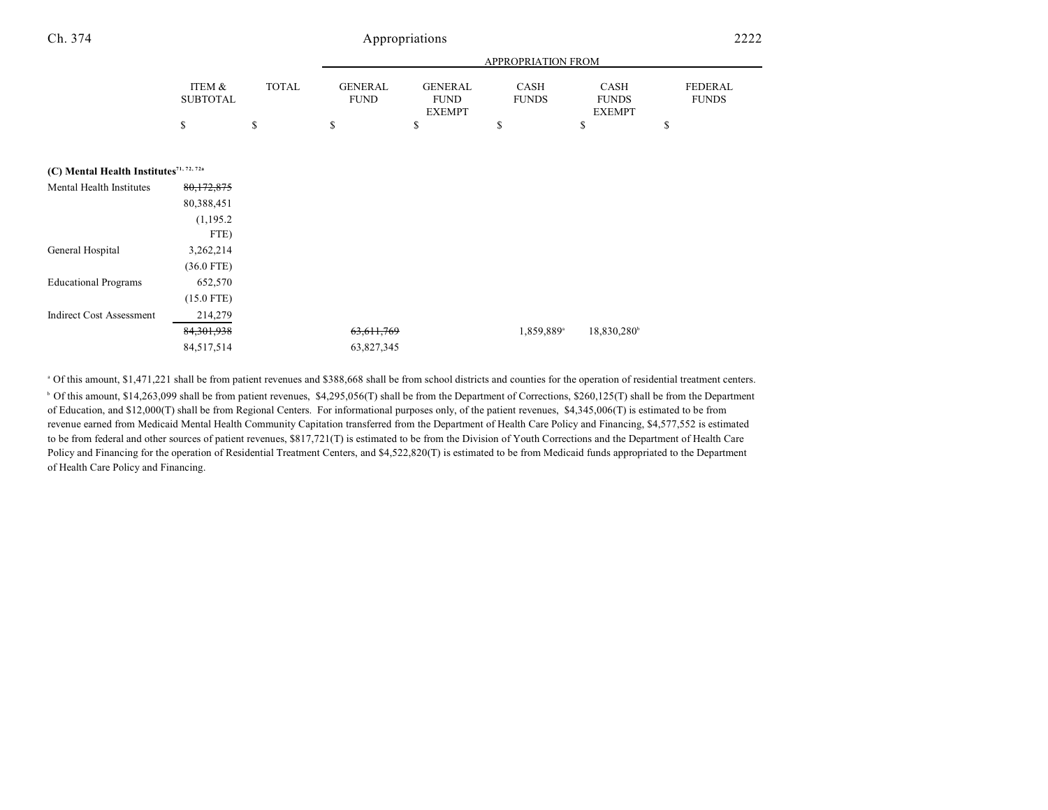|                                                     |                           |              |                               |                                                | APPROPRIATION FROM          |                                       |                                |
|-----------------------------------------------------|---------------------------|--------------|-------------------------------|------------------------------------------------|-----------------------------|---------------------------------------|--------------------------------|
|                                                     | ITEM &<br><b>SUBTOTAL</b> | <b>TOTAL</b> | <b>GENERAL</b><br><b>FUND</b> | <b>GENERAL</b><br><b>FUND</b><br><b>EXEMPT</b> | <b>CASH</b><br><b>FUNDS</b> | CASH<br><b>FUNDS</b><br><b>EXEMPT</b> | <b>FEDERAL</b><br><b>FUNDS</b> |
|                                                     | \$                        | \$           | \$                            | \$                                             | \$                          | \$                                    | \$                             |
|                                                     |                           |              |                               |                                                |                             |                                       |                                |
| (C) Mental Health Institutes <sup>71, 72, 72a</sup> |                           |              |                               |                                                |                             |                                       |                                |
| Mental Health Institutes                            | 80,172,875                |              |                               |                                                |                             |                                       |                                |
|                                                     | 80,388,451                |              |                               |                                                |                             |                                       |                                |
|                                                     | (1,195.2)                 |              |                               |                                                |                             |                                       |                                |
|                                                     | FTE)                      |              |                               |                                                |                             |                                       |                                |
| General Hospital                                    | 3,262,214                 |              |                               |                                                |                             |                                       |                                |
|                                                     | $(36.0$ FTE)              |              |                               |                                                |                             |                                       |                                |
| <b>Educational Programs</b>                         | 652,570                   |              |                               |                                                |                             |                                       |                                |
|                                                     | $(15.0$ FTE)              |              |                               |                                                |                             |                                       |                                |
| <b>Indirect Cost Assessment</b>                     | 214,279                   |              |                               |                                                |                             |                                       |                                |
|                                                     | 84, 301, 938              |              | 63,611,769                    |                                                | 1,859,889 <sup>a</sup>      | 18,830,280                            |                                |
|                                                     | 84,517,514                |              | 63,827,345                    |                                                |                             |                                       |                                |

 Of this amount, \$1,471,221 shall be from patient revenues and \$388,668 shall be from school districts and counties for the operation of residential treatment centers. <sup>a</sup> <sup>b</sup> Of this amount, \$14,263,099 shall be from patient revenues, \$4,295,056(T) shall be from the Department of Corrections, \$260,125(T) shall be from the Department of Education, and \$12,000(T) shall be from Regional Centers. For informational purposes only, of the patient revenues, \$4,345,006(T) is estimated to be from revenue earned from Medicaid Mental Health Community Capitation transferred from the Department of Health Care Policy and Financing, \$4,577,552 is estimated to be from federal and other sources of patient revenues, \$817,721(T) is estimated to be from the Division of Youth Corrections and the Department of Health Care Policy and Financing for the operation of Residential Treatment Centers, and \$4,522,820(T) is estimated to be from Medicaid funds appropriated to the Department of Health Care Policy and Financing.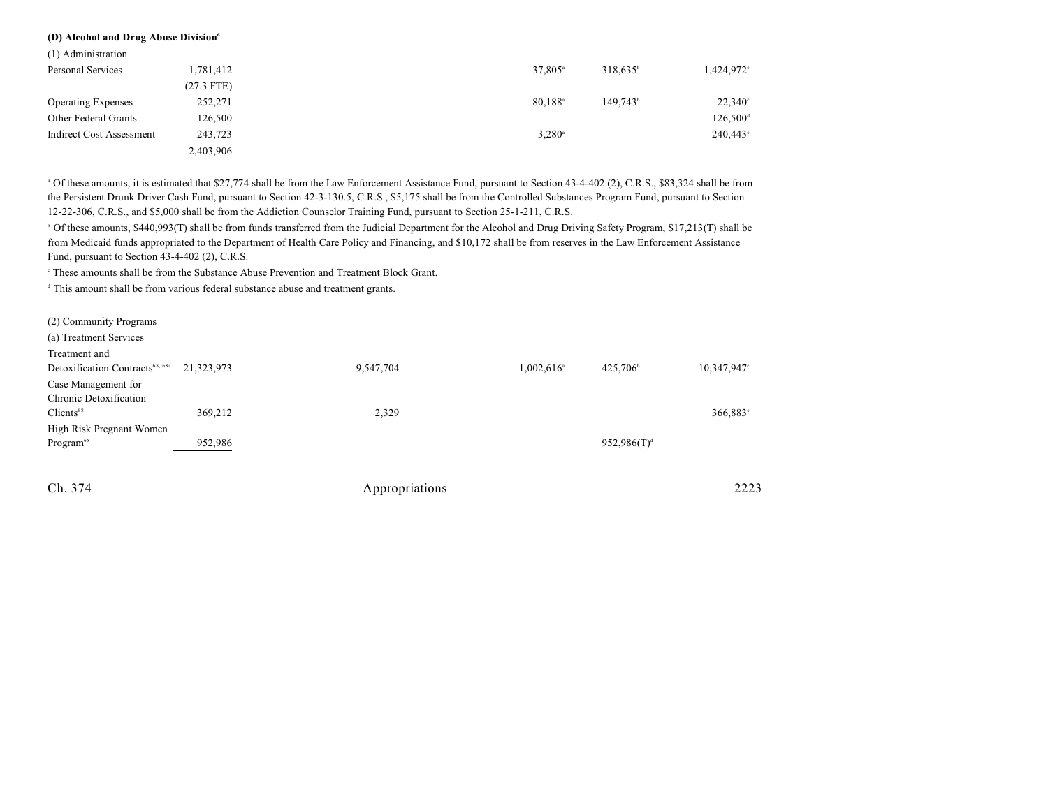#### **(D) Alcohol and Drug Abuse Division<sup>6</sup>**

| (1) Administration        |              |                       |                   |                        |
|---------------------------|--------------|-----------------------|-------------------|------------------------|
| Personal Services         | 1,781,412    | 37,805 <sup>a</sup>   | $318,635^{\circ}$ | 1,424,972 <sup>c</sup> |
|                           | $(27.3$ FTE) |                       |                   |                        |
| <b>Operating Expenses</b> | 252,271      | $80.188$ <sup>a</sup> | $149.743^b$       | $22,340^{\circ}$       |
| Other Federal Grants      | 126,500      |                       |                   | 126,500 <sup>d</sup>   |
| Indirect Cost Assessment  | 243,723      | $3,280^{\circ}$       |                   | $240,443^{\circ}$      |
|                           | 2,403,906    |                       |                   |                        |

<sup>a</sup> Of these amounts, it is estimated that \$27,774 shall be from the Law Enforcement Assistance Fund, pursuant to Section 43-4-402 (2), C.R.S., \$83,324 shall be from the Persistent Drunk Driver Cash Fund, pursuant to Section 42-3-130.5, C.R.S., \$5,175 shall be from the Controlled Substances Program Fund, pursuant to Section 12-22-306, C.R.S., and \$5,000 shall be from the Addiction Counselor Training Fund, pursuant to Section 25-1-211, C.R.S.

<sup>b</sup> Of these amounts, \$440,993(T) shall be from funds transferred from the Judicial Department for the Alcohol and Drug Driving Safety Program, \$17,213(T) shall be from Medicaid funds appropriated to the Department of Health Care Policy and Financing, and \$10,172 shall be from reserves in the Law Enforcement Assistance Fund, pursuant to Section 43-4-402 (2), C.R.S.

<sup>c</sup> These amounts shall be from the Substance Abuse Prevention and Treatment Block Grant.

<sup>d</sup> This amount shall be from various federal substance abuse and treatment grants.

| (2) Community Programs                      |            |           |                          |                      |             |
|---------------------------------------------|------------|-----------|--------------------------|----------------------|-------------|
| (a) Treatment Services                      |            |           |                          |                      |             |
| Treatment and                               |            |           |                          |                      |             |
| Detoxification Contracts <sup>68, 68a</sup> | 21,323,973 | 9,547,704 | $1,002,616$ <sup>a</sup> | 425,706 <sup>b</sup> | 10,347,947° |
| Case Management for                         |            |           |                          |                      |             |
| Chronic Detoxification                      |            |           |                          |                      |             |
| Clients <sup>68</sup>                       | 369,212    | 2,329     |                          |                      | 366,883°    |
| High Risk Pregnant Women                    |            |           |                          |                      |             |
| Program <sup>68</sup>                       | 952,986    |           |                          | $952,986(T)^d$       |             |
|                                             |            |           |                          |                      |             |
|                                             |            |           |                          |                      |             |

Appropriations 2223

| n |  |
|---|--|
|   |  |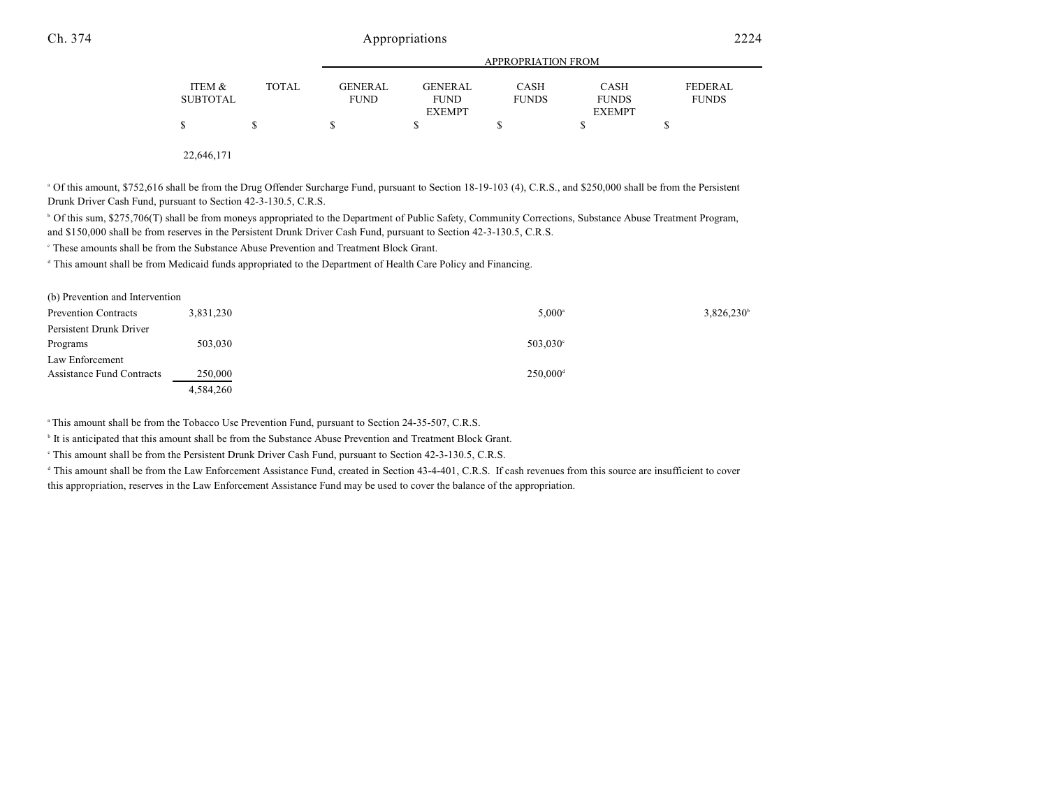|                 |              | APPROPRIATION FROM |                |              |               |                |
|-----------------|--------------|--------------------|----------------|--------------|---------------|----------------|
| ITEM &          | <b>TOTAL</b> | GENERAL            | <b>GENERAL</b> | <b>CASH</b>  | CASH          | <b>FEDERAL</b> |
| <b>SUBTOTAL</b> |              | <b>FUND</b>        | <b>FUND</b>    | <b>FUNDS</b> | <b>FUNDS</b>  | <b>FUNDS</b>   |
|                 |              |                    | <b>EXEMPT</b>  |              | <b>EXEMPT</b> |                |
| S               |              | S                  |                |              |               |                |
|                 |              |                    |                |              |               |                |

22,646,171

<sup>a</sup> Of this amount, \$752,616 shall be from the Drug Offender Surcharge Fund, pursuant to Section 18-19-103 (4), C.R.S., and \$250,000 shall be from the Persistent Drunk Driver Cash Fund, pursuant to Section 42-3-130.5, C.R.S.

<sup>b</sup> Of this sum, \$275,706(T) shall be from moneys appropriated to the Department of Public Safety, Community Corrections, Substance Abuse Treatment Program, and \$150,000 shall be from reserves in the Persistent Drunk Driver Cash Fund, pursuant to Section 42-3-130.5, C.R.S.

These amounts shall be from the Substance Abuse Prevention and Treatment Block Grant.

<sup>d</sup> This amount shall be from Medicaid funds appropriated to the Department of Health Care Policy and Financing.

| (b) Prevention and Intervention |           |                        |                     |
|---------------------------------|-----------|------------------------|---------------------|
| <b>Prevention Contracts</b>     | 3,831,230 | $5,000^{\circ}$        | $3,826,230^{\circ}$ |
| Persistent Drunk Driver         |           |                        |                     |
| Programs                        | 503,030   | $503,030^{\circ}$      |                     |
| Law Enforcement                 |           |                        |                     |
| Assistance Fund Contracts       | 250,000   | $250,000$ <sup>d</sup> |                     |
|                                 | 4,584,260 |                        |                     |

<sup>a</sup> This amount shall be from the Tobacco Use Prevention Fund, pursuant to Section 24-35-507, C.R.S.

It is anticipated that this amount shall be from the Substance Abuse Prevention and Treatment Block Grant.

This amount shall be from the Persistent Drunk Driver Cash Fund, pursuant to Section 42-3-130.5, C.R.S. <sup>c</sup>

<sup>d</sup> This amount shall be from the Law Enforcement Assistance Fund, created in Section 43-4-401, C.R.S. If cash revenues from this source are insufficient to cover this appropriation, reserves in the Law Enforcement Assistance Fund may be used to cover the balance of the appropriation.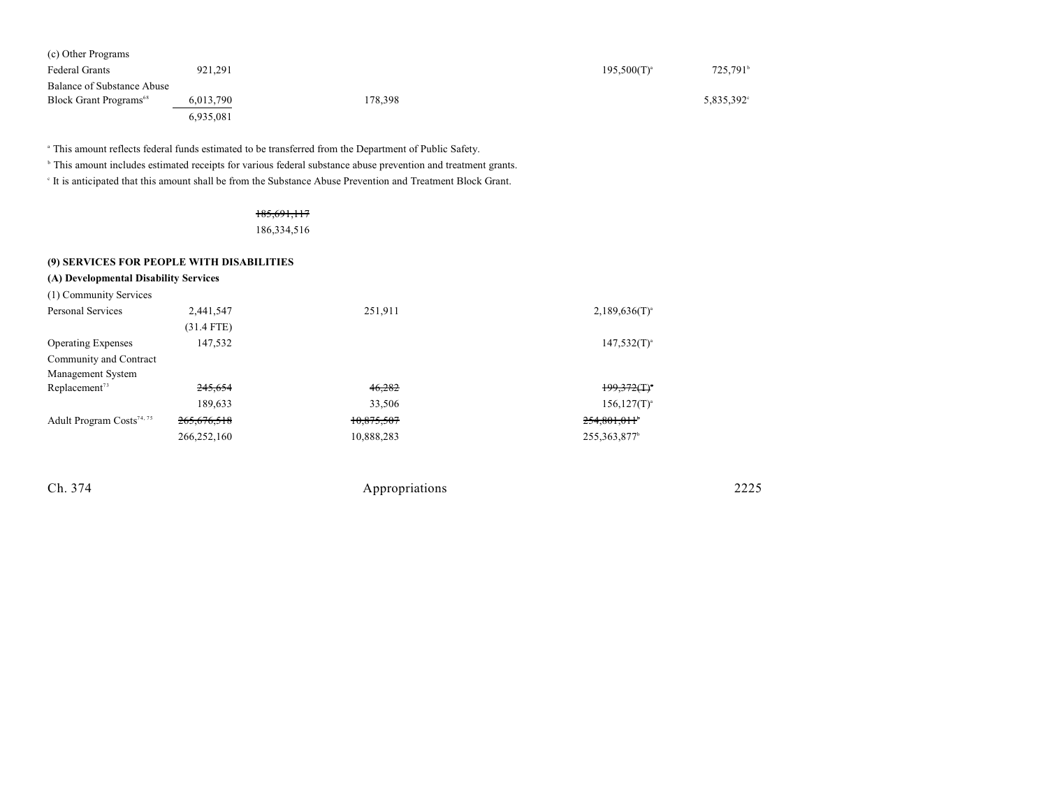| (c) Other Programs                        |           |         |                  |                      |
|-------------------------------------------|-----------|---------|------------------|----------------------|
| <b>Federal Grants</b>                     | 921.291   |         | $195,500(T)^{a}$ | 725,791 <sup>b</sup> |
| Balance of Substance Abuse                |           |         |                  |                      |
| <b>Block Grant Programs</b> <sup>68</sup> | 6,013,790 | 178.398 |                  | 5,835,392°           |
|                                           | 6,935,081 |         |                  |                      |

<sup>a</sup> This amount reflects federal funds estimated to be transferred from the Department of Public Safety.

<sup>b</sup> This amount includes estimated receipts for various federal substance abuse prevention and treatment grants.

It is anticipated that this amount shall be from the Substance Abuse Prevention and Treatment Block Grant.

### 185,691,117

186,334,516

#### **(9) SERVICES FOR PEOPLE WITH DISABILITIES**

| (A) Developmental Disability Services<br>(1) Community Services |              |            |                            |
|-----------------------------------------------------------------|--------------|------------|----------------------------|
| Personal Services                                               | 2,441,547    | 251,911    | $2,189,636(T)^{a}$         |
|                                                                 | $(31.4$ FTE) |            |                            |
| <b>Operating Expenses</b>                                       | 147,532      |            | $147,532(T)^{a}$           |
| Community and Contract                                          |              |            |                            |
| Management System                                               |              |            |                            |
| Replacement <sup>73</sup>                                       | 245,654      | 46,282     | $199.372(T)$ <sup>*</sup>  |
|                                                                 | 189,633      | 33,506     | $156, 127(T)^{a}$          |
| Adult Program Costs <sup>74, 75</sup>                           | 265,676,518  | 10,875,507 | 254,801,011                |
|                                                                 | 266,252,160  | 10,888,283 | 255, 363, 877 <sup>b</sup> |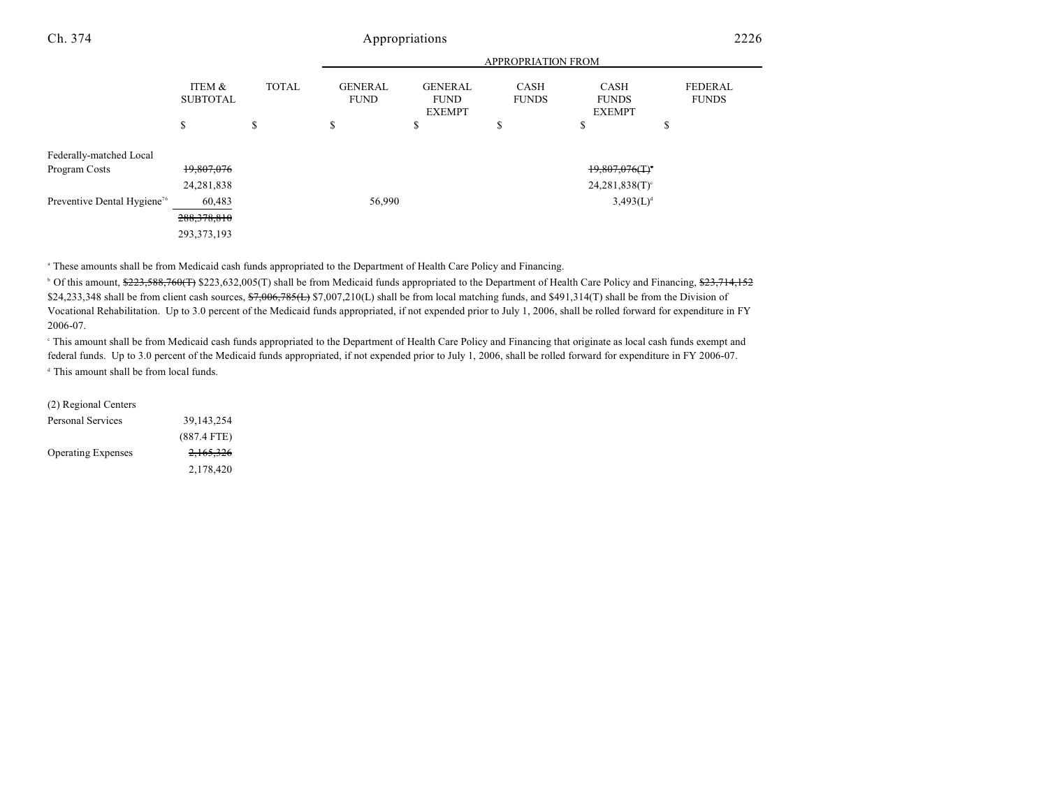|                                         |                           |              | <b>APPROPRIATION FROM</b>     |                                                |                             |                                                |                                |
|-----------------------------------------|---------------------------|--------------|-------------------------------|------------------------------------------------|-----------------------------|------------------------------------------------|--------------------------------|
|                                         | ITEM &<br><b>SUBTOTAL</b> | <b>TOTAL</b> | <b>GENERAL</b><br><b>FUND</b> | <b>GENERAL</b><br><b>FUND</b><br><b>EXEMPT</b> | <b>CASH</b><br><b>FUNDS</b> | <b>CASH</b><br><b>FUNDS</b><br><b>EXEMPT</b>   | <b>FEDERAL</b><br><b>FUNDS</b> |
|                                         | \$                        | \$           | \$                            | ¢<br>Ф                                         | \$                          | \$                                             | \$                             |
| Federally-matched Local                 |                           |              |                               |                                                |                             |                                                |                                |
| Program Costs                           | 19,807,076                |              |                               |                                                |                             | $19,807,076($ T) <sup><math>\cdot</math></sup> |                                |
|                                         | 24, 281, 838              |              |                               |                                                |                             | $24,281,838(T)$ <sup>c</sup>                   |                                |
| Preventive Dental Hygiene <sup>76</sup> | 60,483                    |              | 56,990                        |                                                |                             | $3,493(L)^{d}$                                 |                                |
|                                         | 288, 378, 810             |              |                               |                                                |                             |                                                |                                |
|                                         | 293, 373, 193             |              |                               |                                                |                             |                                                |                                |

<sup>a</sup> These amounts shall be from Medicaid cash funds appropriated to the Department of Health Care Policy and Financing.

<sup>b</sup> Of this amount, \$223,588,760(T) \$223,632,005(T) shall be from Medicaid funds appropriated to the Department of Health Care Policy and Financing, \$23,714,152 \$24,233,348 shall be from client cash sources,  $\frac{67,006,785(1)}{7,007,210(1)}$  shall be from local matching funds, and \$491,314(T) shall be from the Division of Vocational Rehabilitation. Up to 3.0 percent of the Medicaid funds appropriated, if not expended prior to July 1, 2006, shall be rolled forward for expenditure in FY 2006-07.

<sup>e</sup> This amount shall be from Medicaid cash funds appropriated to the Department of Health Care Policy and Financing that originate as local cash funds exempt and federal funds. Up to 3.0 percent of the Medicaid funds appropriated, if not expended prior to July 1, 2006, shall be rolled forward for expenditure in FY 2006-07. <sup>d</sup> This amount shall be from local funds.

(2) Regional Centers

| 39,143,254    |
|---------------|
| $(887.4$ FTE) |
| 2,165,326     |
| 2,178,420     |
|               |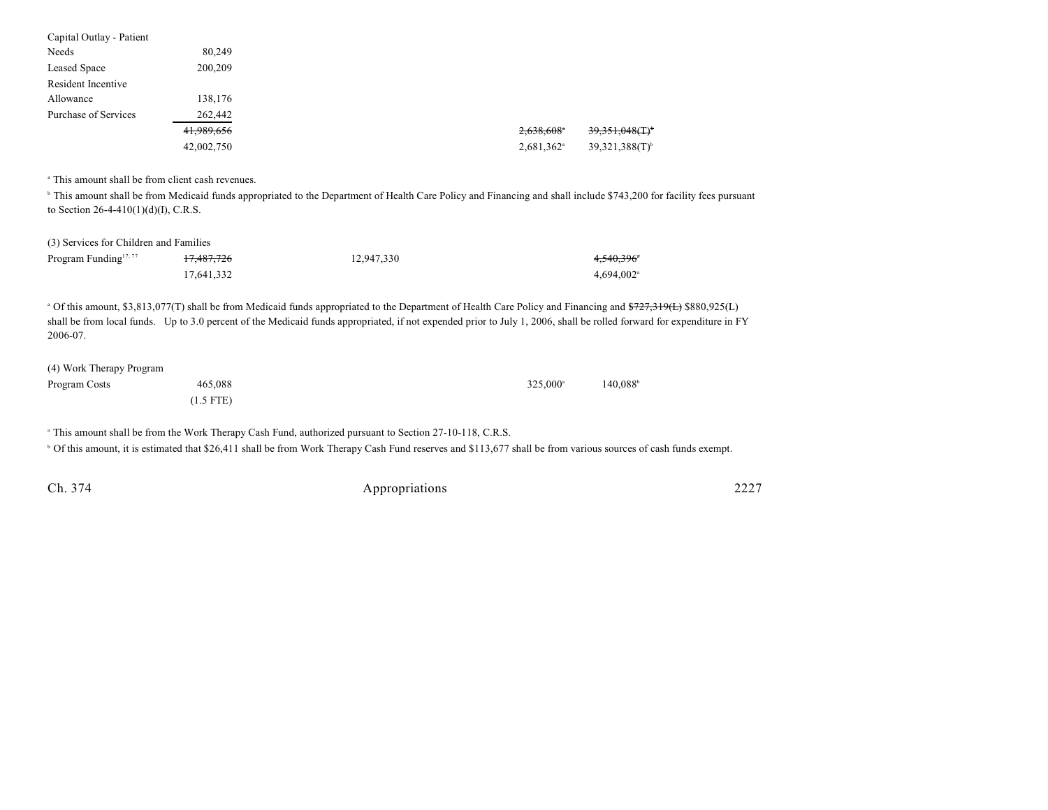| Capital Outlay - Patient |            |                        |                               |
|--------------------------|------------|------------------------|-------------------------------|
| Needs                    | 80.249     |                        |                               |
| Leased Space             | 200,209    |                        |                               |
| Resident Incentive       |            |                        |                               |
| Allowance                | 138,176    |                        |                               |
| Purchase of Services     | 262,442    |                        |                               |
|                          | 41,989,656 | 2,638,608              | $39,351,048($ T) <sup>*</sup> |
|                          | 42,002,750 | 2,681,362 <sup>a</sup> | $39,321,388(T)$ <sup>b</sup>  |

<sup>a</sup> This amount shall be from client cash revenues.

<sup>h</sup> This amount shall be from Medicaid funds appropriated to the Department of Health Care Policy and Financing and shall include \$743,200 for facility fees pursuant to Section 26-4-410(1)(d)(I), C.R.S.

#### (3) Services for Children and Families

| Program Funding <sup>17, 77</sup> | 17,487,726 | 12.947.330 | 4,540,396°               |
|-----------------------------------|------------|------------|--------------------------|
|                                   | 17.641.332 |            | $4.694.002$ <sup>a</sup> |

<sup>a</sup> Of this amount, \$3,813,077(T) shall be from Medicaid funds appropriated to the Department of Health Care Policy and Financing and <del>\$727,319(L)</del> \$880,925(L) shall be from local funds. Up to 3.0 percent of the Medicaid funds appropriated, if not expended prior to July 1, 2006, shall be rolled forward for expenditure in FY 2006-07.

| (4) Work Therapy Program |             |                   |         |
|--------------------------|-------------|-------------------|---------|
| Program Costs            | 465,088     | $325.000^{\circ}$ | 140.088 |
|                          | $(1.5$ FTE) |                   |         |

<sup>a</sup> This amount shall be from the Work Therapy Cash Fund, authorized pursuant to Section 27-10-118, C.R.S.

<sup>b</sup> Of this amount, it is estimated that \$26,411 shall be from Work Therapy Cash Fund reserves and \$113,677 shall be from various sources of cash funds exempt.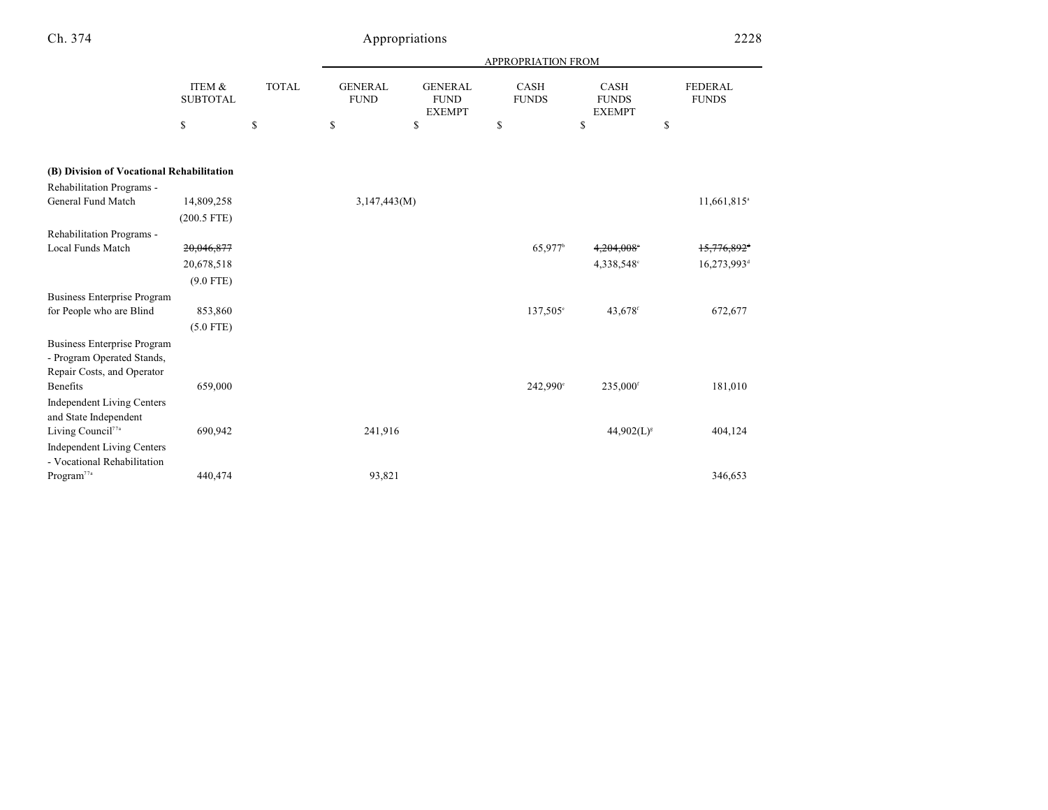| v. |  |
|----|--|
|    |  |
| ۰. |  |
|    |  |
|    |  |

# Appropriations 2228

|                                                       |                           |              | APPROPRIATION FROM            |                                                |                      |                                       |                                |
|-------------------------------------------------------|---------------------------|--------------|-------------------------------|------------------------------------------------|----------------------|---------------------------------------|--------------------------------|
|                                                       | ITEM &<br><b>SUBTOTAL</b> | <b>TOTAL</b> | <b>GENERAL</b><br><b>FUND</b> | <b>GENERAL</b><br><b>FUND</b><br><b>EXEMPT</b> | CASH<br><b>FUNDS</b> | CASH<br><b>FUNDS</b><br><b>EXEMPT</b> | <b>FEDERAL</b><br><b>FUNDS</b> |
|                                                       | \$                        | \$           | \$                            | \$                                             | \$                   | \$<br>\$                              |                                |
| (B) Division of Vocational Rehabilitation             |                           |              |                               |                                                |                      |                                       |                                |
| <b>Rehabilitation Programs -</b>                      |                           |              |                               |                                                |                      |                                       |                                |
| General Fund Match                                    | 14,809,258                |              | 3,147,443(M)                  |                                                |                      |                                       | 11,661,815 <sup>a</sup>        |
|                                                       | $(200.5$ FTE)             |              |                               |                                                |                      |                                       |                                |
| <b>Rehabilitation Programs -</b>                      |                           |              |                               |                                                |                      |                                       |                                |
| Local Funds Match                                     | 20,046,877                |              |                               |                                                | 65,977 <sup>b</sup>  | 4,204,008                             | 15,776,892 <sup>d</sup>        |
|                                                       | 20,678,518                |              |                               |                                                |                      | 4,338,548°                            | 16,273,993 <sup>d</sup>        |
|                                                       | $(9.0$ FTE)               |              |                               |                                                |                      |                                       |                                |
| <b>Business Enterprise Program</b>                    |                           |              |                               |                                                |                      |                                       |                                |
| for People who are Blind                              | 853,860                   |              |                               |                                                | 137,505°             | 43,678 <sup>f</sup>                   | 672,677                        |
|                                                       | $(5.0$ FTE)               |              |                               |                                                |                      |                                       |                                |
| <b>Business Enterprise Program</b>                    |                           |              |                               |                                                |                      |                                       |                                |
| - Program Operated Stands,                            |                           |              |                               |                                                |                      |                                       |                                |
| Repair Costs, and Operator                            |                           |              |                               |                                                |                      |                                       |                                |
| Benefits                                              | 659,000                   |              |                               |                                                | 242,990°             | 235,000 <sup>f</sup>                  | 181,010                        |
| <b>Independent Living Centers</b>                     |                           |              |                               |                                                |                      |                                       |                                |
| and State Independent                                 |                           |              |                               |                                                |                      |                                       |                                |
| Living Council <sup>77a</sup>                         | 690,942                   |              | 241,916                       |                                                |                      | $44,902(L)^{s}$                       | 404,124                        |
| <b>Independent Living Centers</b>                     |                           |              |                               |                                                |                      |                                       |                                |
| - Vocational Rehabilitation<br>Program <sup>77a</sup> | 440,474                   |              | 93,821                        |                                                |                      |                                       | 346,653                        |
|                                                       |                           |              |                               |                                                |                      |                                       |                                |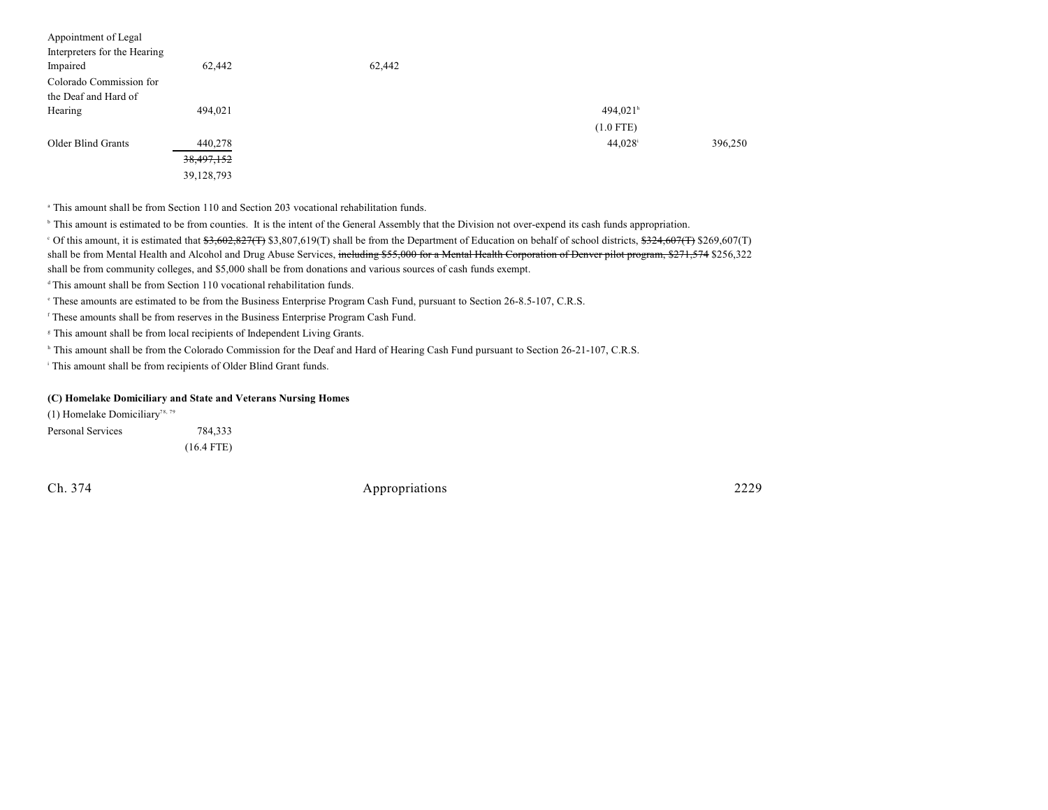| Appointment of Legal<br>Interpreters for the Hearing<br>Impaired | 62,442     | 62,442 |                        |         |
|------------------------------------------------------------------|------------|--------|------------------------|---------|
| Colorado Commission for                                          |            |        |                        |         |
| the Deaf and Hard of                                             |            |        |                        |         |
| Hearing                                                          | 494,021    |        | $494,021$ <sup>h</sup> |         |
|                                                                  |            |        | $(1.0$ FTE)            |         |
| Older Blind Grants                                               | 440,278    |        | 44,028 <sup>i</sup>    | 396,250 |
|                                                                  | 38,497,152 |        |                        |         |
|                                                                  | 39,128,793 |        |                        |         |

<sup>a</sup> This amount shall be from Section 110 and Section 203 vocational rehabilitation funds.

<sup>b</sup> This amount is estimated to be from counties. It is the intent of the General Assembly that the Division not over-expend its cash funds appropriation.

<sup>c</sup> Of this amount, it is estimated that  $33,602,827$ (T) \$3,807,619(T) shall be from the Department of Education on behalf of school districts,  $324,607$ (T) \$269,607(T) shall be from Mental Health and Alcohol and Drug Abuse Services, including \$55,000 for a Mental Health Corporation of Denver pilot program, \$271,574 \$256,322 shall be from community colleges, and \$5,000 shall be from donations and various sources of cash funds exempt.

 $\alpha$ <sup>t</sup> This amount shall be from Section 110 vocational rehabilitation funds.

These amounts are estimated to be from the Business Enterprise Program Cash Fund, pursuant to Section 26-8.5-107, C.R.S. <sup>e</sup>

<sup>f</sup> These amounts shall be from reserves in the Business Enterprise Program Cash Fund.

<sup>8</sup> This amount shall be from local recipients of Independent Living Grants.

<sup>h</sup> This amount shall be from the Colorado Commission for the Deaf and Hard of Hearing Cash Fund pursuant to Section 26-21-107, C.R.S.

<sup>i</sup> This amount shall be from recipients of Older Blind Grant funds.

#### **(C) Homelake Domiciliary and State and Veterans Nursing Homes**

(1) Homelake Domiciliary<sup>78, 79</sup> Personal Services 784,333 (16.4 FTE)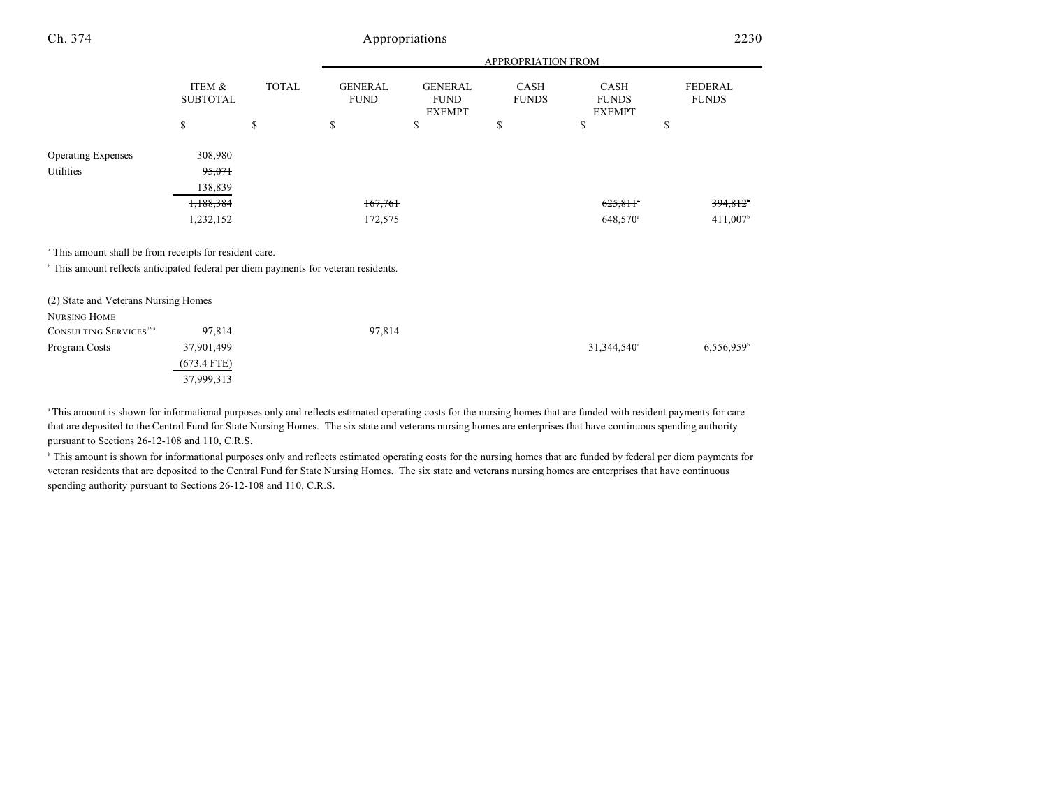|                                                                                                                                                                      |                                                        |              | APPROPRIATION FROM            |                                                |                      |                                       |                                   |
|----------------------------------------------------------------------------------------------------------------------------------------------------------------------|--------------------------------------------------------|--------------|-------------------------------|------------------------------------------------|----------------------|---------------------------------------|-----------------------------------|
|                                                                                                                                                                      | ITEM &<br><b>SUBTOTAL</b>                              | <b>TOTAL</b> | <b>GENERAL</b><br><b>FUND</b> | <b>GENERAL</b><br><b>FUND</b><br><b>EXEMPT</b> | CASH<br><b>FUNDS</b> | CASH<br><b>FUNDS</b><br><b>EXEMPT</b> | <b>FEDERAL</b><br><b>FUNDS</b>    |
|                                                                                                                                                                      | \$                                                     | \$           | \$                            | \$                                             | S                    | \$                                    | \$                                |
| <b>Operating Expenses</b><br>Utilities                                                                                                                               | 308,980<br>95,071<br>138,839<br>1,188,384<br>1,232,152 |              | 167,761<br>172,575            |                                                |                      | 625,811<br>648,570 <sup>a</sup>       | 394,812<br>$411,007$ <sup>b</sup> |
| <sup>a</sup> This amount shall be from receipts for resident care.<br><sup>b</sup> This amount reflects anticipated federal per diem payments for veteran residents. |                                                        |              |                               |                                                |                      |                                       |                                   |

| (2) State and Veterans Nursing Homes |               |        |                         |                          |
|--------------------------------------|---------------|--------|-------------------------|--------------------------|
| NURSING HOME                         |               |        |                         |                          |
| CONSULTING SERVICES <sup>79a</sup>   | 97.814        | 97,814 |                         |                          |
| Program Costs                        | 37,901,499    |        | 31,344,540 <sup>a</sup> | $6,556,959$ <sup>b</sup> |
|                                      | $(673.4$ FTE) |        |                         |                          |
|                                      | 37,999,313    |        |                         |                          |

<sup>a</sup>This amount is shown for informational purposes only and reflects estimated operating costs for the nursing homes that are funded with resident payments for care that are deposited to the Central Fund for State Nursing Homes. The six state and veterans nursing homes are enterprises that have continuous spending authority pursuant to Sections 26-12-108 and 110, C.R.S.

<sup>b</sup> This amount is shown for informational purposes only and reflects estimated operating costs for the nursing homes that are funded by federal per diem payments for veteran residents that are deposited to the Central Fund for State Nursing Homes. The six state and veterans nursing homes are enterprises that have continuous spending authority pursuant to Sections 26-12-108 and 110, C.R.S.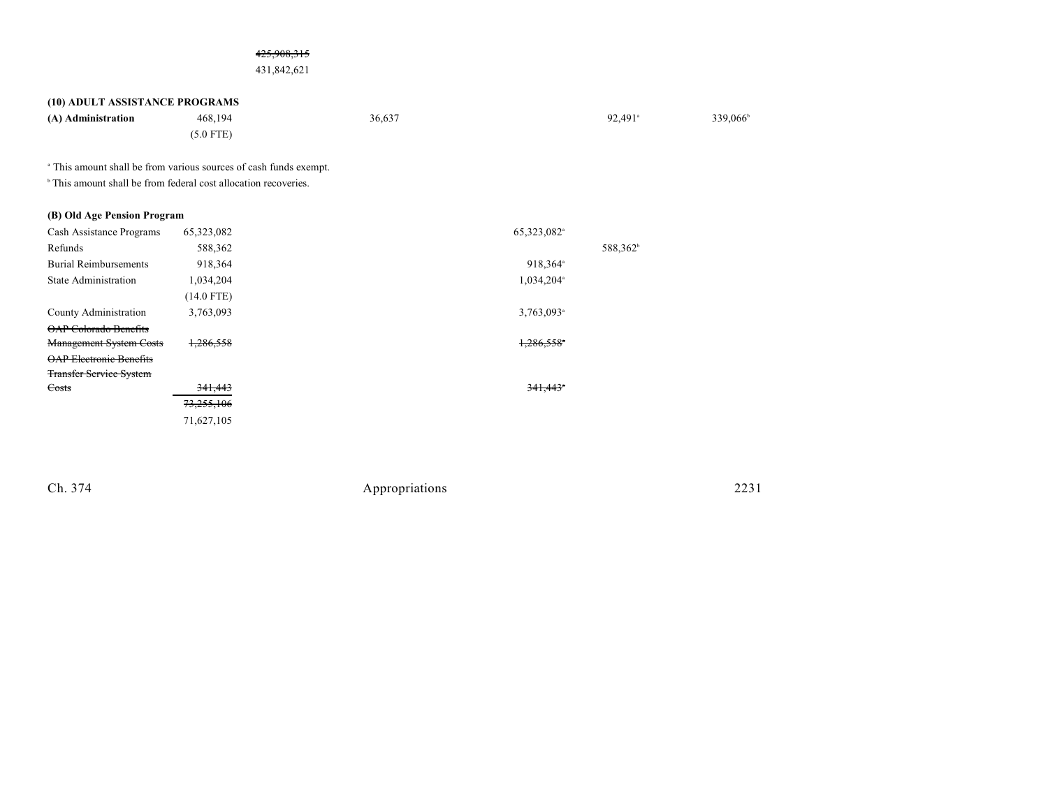### 425,908,315

### 431,842,621

### **(10) ADULT ASSISTANCE PROGRAMS**

| (A) Administration | 468,194     | 36,637 | $92.491$ <sup>a</sup> | 339,066 |
|--------------------|-------------|--------|-----------------------|---------|
|                    | $(5.0$ FTE) |        |                       |         |

<sup>a</sup> This amount shall be from various sources of cash funds exempt.

 $\,^{\circ}$  This amount shall be from federal cost allocation recoveries.

### **(B) Old Age Pension Program**

| Cash Assistance Programs       | 65,323,082 | 65,323,082 <sup>a</sup> |
|--------------------------------|------------|-------------------------|
| Refunds                        | 588,362    | 588,362 <sup>b</sup>    |
| <b>Burial Reimbursements</b>   | 918,364    | 918,364 <sup>a</sup>    |
| <b>State Administration</b>    | 1,034,204  | 1,034,204 <sup>a</sup>  |
|                                | (14.0 FTE) |                         |
| County Administration          | 3,763,093  | 3,763,093 <sup>a</sup>  |
| <b>OAP Colorado Benefits</b>   |            |                         |
| <b>Management System Costs</b> | 1,286,558  | 1,286,558               |
| <b>OAP Electronic Benefits</b> |            |                         |
| <b>Transfer Service System</b> |            |                         |
| Costs                          | 341,443    | $341,443$ <sup>*</sup>  |
|                                | 73,255,106 |                         |
|                                | 71,627,105 |                         |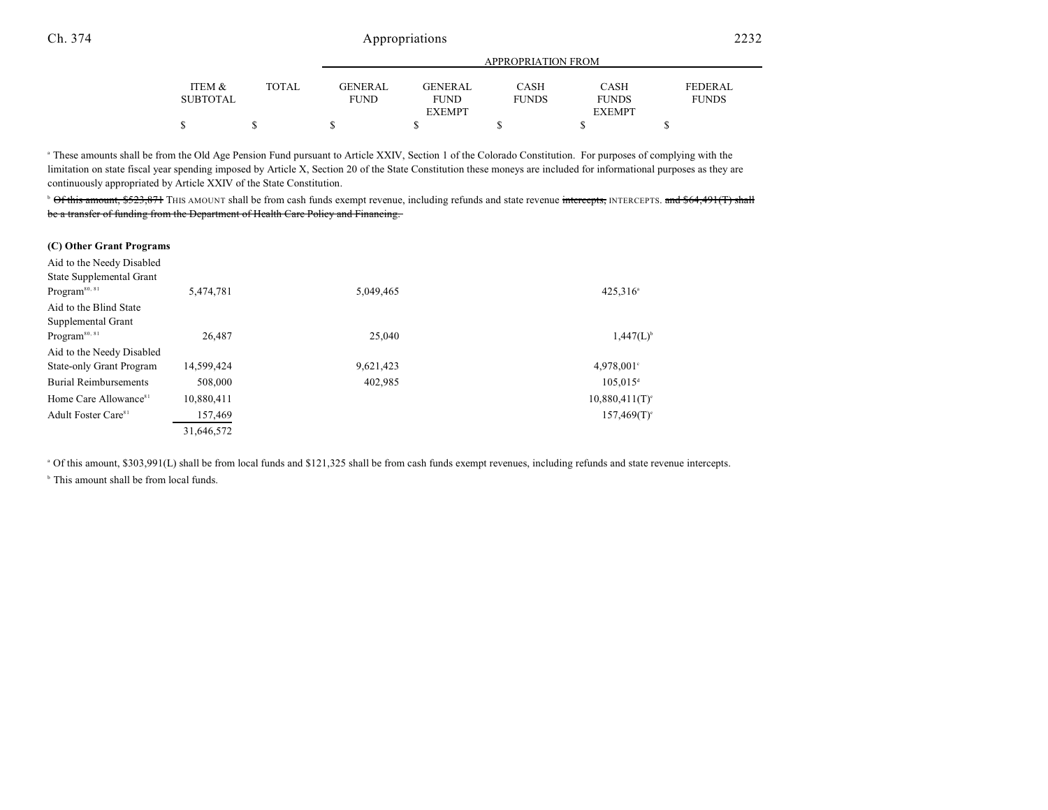|                 |              | APPROPRIATION FROM |               |              |               |                |  |
|-----------------|--------------|--------------------|---------------|--------------|---------------|----------------|--|
| ITEM &          | <b>TOTAL</b> | <b>GENERAL</b>     | GENERAL       | CASH         | CASH          | <b>FEDERAL</b> |  |
| <b>SUBTOTAL</b> |              | <b>FUND</b>        | <b>FUND</b>   | <b>FUNDS</b> | <b>FUNDS</b>  | <b>FUNDS</b>   |  |
|                 |              |                    | <b>EXEMPT</b> |              | <b>EXEMPT</b> |                |  |
|                 |              |                    |               |              |               |                |  |

<sup>a</sup> These amounts shall be from the Old Age Pension Fund pursuant to Article XXIV, Section 1 of the Colorado Constitution. For purposes of complying with the limitation on state fiscal year spending imposed by Article X, Section 20 of the State Constitution these moneys are included for informational purposes as they are continuously appropriated by Article XXIV of the State Constitution.

<sup>b</sup> Of this amount, \$523,871</del> THIS AMOUNT shall be from cash funds exempt revenue, including refunds and state revenue intercepts, INTERCEPTS. and \$64,491(T) shall be a transfer of funding from the Department of Health Care Policy and Financing.

#### **(C) Other Grant Programs**

| Aid to the Needy Disabled<br>State Supplemental Grant |            |           |                               |
|-------------------------------------------------------|------------|-----------|-------------------------------|
| Program <sup>80, 81</sup>                             | 5,474,781  | 5,049,465 | $425.316^a$                   |
| Aid to the Blind State                                |            |           |                               |
| Supplemental Grant                                    |            |           |                               |
| Program <sup>80, 81</sup>                             | 26.487     | 25,040    | $1,447(L)^{b}$                |
| Aid to the Needy Disabled                             |            |           |                               |
| <b>State-only Grant Program</b>                       | 14,599,424 | 9,621,423 | $4.978,001$ °                 |
| <b>Burial Reimbursements</b>                          | 508,000    | 402,985   | $105.015$ <sup>d</sup>        |
| Home Care Allowance <sup>81</sup>                     | 10,880,411 |           | $10,880,411$ (T) <sup>e</sup> |
| Adult Foster Care <sup>81</sup>                       | 157,469    |           | $157,469(T)$ <sup>e</sup>     |
|                                                       | 31,646,572 |           |                               |

Of this amount, \$303,991(L) shall be from local funds and \$121,325 shall be from cash funds exempt revenues, including refunds and state revenue intercepts. <sup>a</sup>

 $b$  This amount shall be from local funds.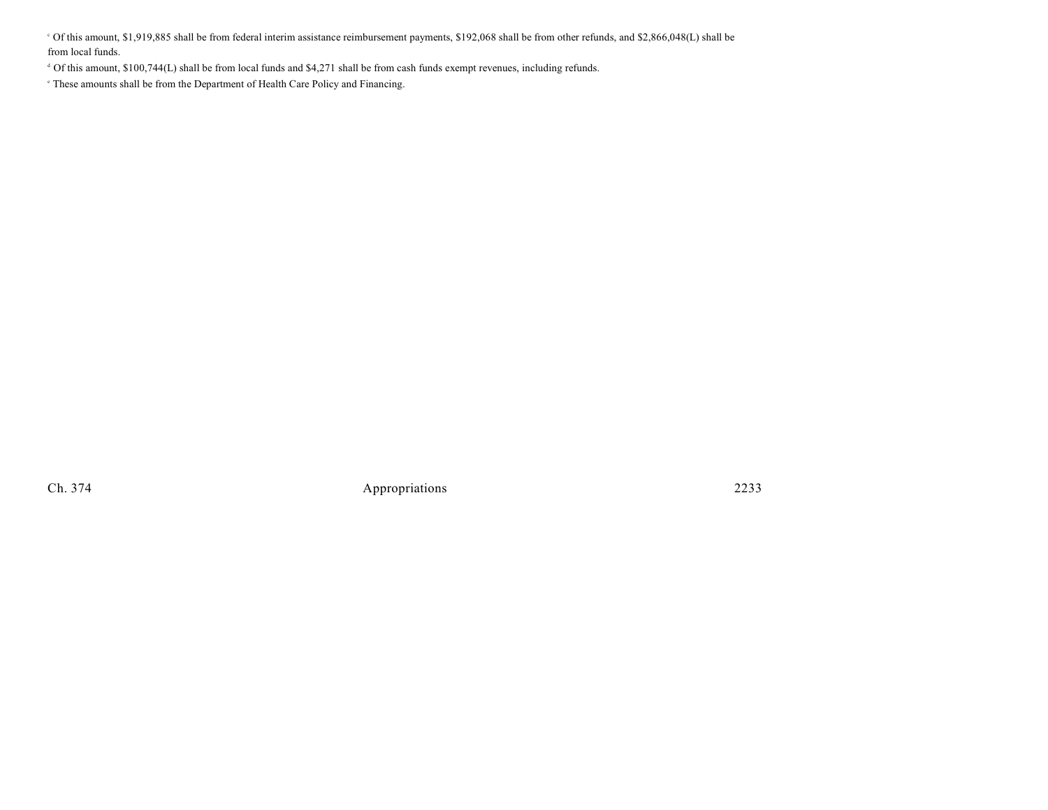Of this amount, \$1,919,885 shall be from federal interim assistance reimbursement payments, \$192,068 shall be from other refunds, and \$2,866,048(L) shall be <sup>c</sup> from local funds.

<sup>4</sup> Of this amount, \$100,744(L) shall be from local funds and \$4,271 shall be from cash funds exempt revenues, including refunds.

 $\degree$  These amounts shall be from the Department of Health Care Policy and Financing.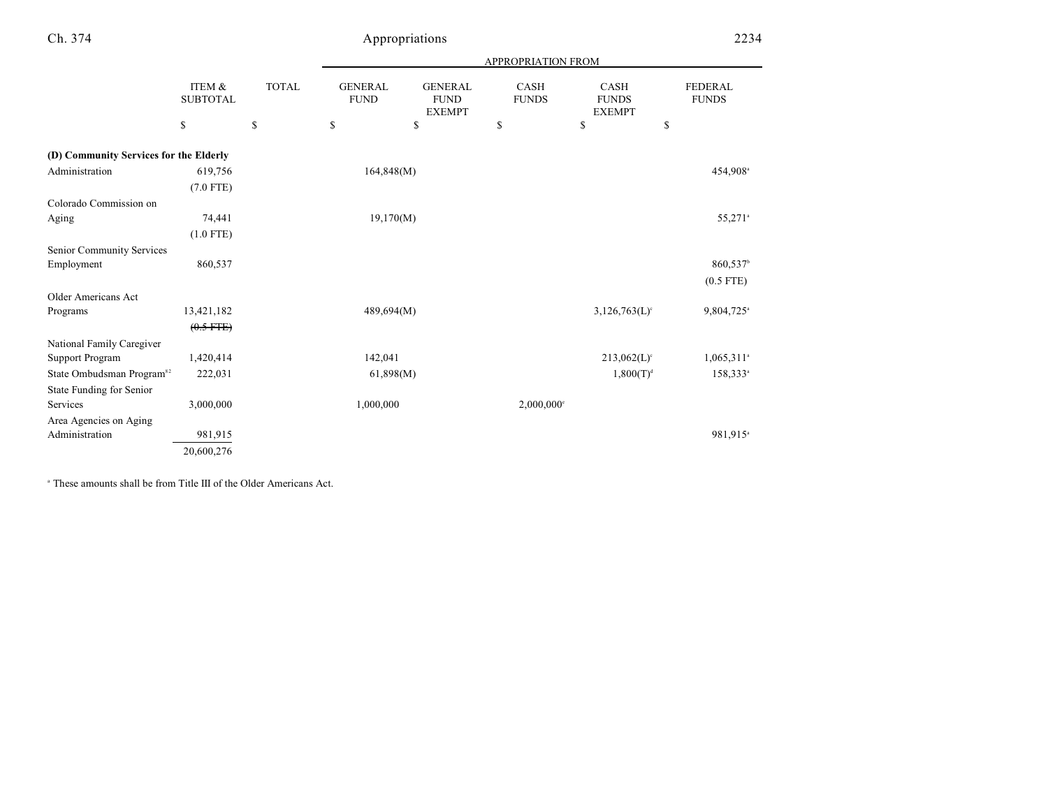|                                        |                           |              | <b>APPROPRIATION FROM</b>     |                                                |                             |                                       |                                |
|----------------------------------------|---------------------------|--------------|-------------------------------|------------------------------------------------|-----------------------------|---------------------------------------|--------------------------------|
|                                        | ITEM &<br><b>SUBTOTAL</b> | <b>TOTAL</b> | <b>GENERAL</b><br><b>FUND</b> | <b>GENERAL</b><br><b>FUND</b><br><b>EXEMPT</b> | <b>CASH</b><br><b>FUNDS</b> | CASH<br><b>FUNDS</b><br><b>EXEMPT</b> | <b>FEDERAL</b><br><b>FUNDS</b> |
|                                        | \$                        | \$           | \$                            | \$                                             | \$                          | \$<br>\$                              |                                |
| (D) Community Services for the Elderly |                           |              |                               |                                                |                             |                                       |                                |
| Administration                         | 619,756                   |              | 164,848(M)                    |                                                |                             |                                       | 454,908 <sup>a</sup>           |
|                                        | $(7.0$ FTE)               |              |                               |                                                |                             |                                       |                                |
| Colorado Commission on                 |                           |              |                               |                                                |                             |                                       |                                |
| Aging                                  | 74,441                    |              | 19,170(M)                     |                                                |                             |                                       | 55,271 <sup>a</sup>            |
|                                        | $(1.0$ FTE)               |              |                               |                                                |                             |                                       |                                |
| Senior Community Services              |                           |              |                               |                                                |                             |                                       |                                |
| Employment                             | 860,537                   |              |                               |                                                |                             |                                       | 860,537 <sup>b</sup>           |
|                                        |                           |              |                               |                                                |                             |                                       | $(0.5$ FTE)                    |
| <b>Older Americans Act</b>             |                           |              |                               |                                                |                             |                                       |                                |
| Programs                               | 13,421,182                |              | 489,694(M)                    |                                                |                             | $3,126,763(L)$ <sup>c</sup>           | 9,804,725 <sup>a</sup>         |
|                                        | $(0.5$ FTE)               |              |                               |                                                |                             |                                       |                                |
| National Family Caregiver              |                           |              |                               |                                                |                             |                                       |                                |
| <b>Support Program</b>                 | 1,420,414                 |              | 142,041                       |                                                |                             | $213,062(L)$ <sup>c</sup>             | $1,065,311$ <sup>a</sup>       |
| State Ombudsman Program <sup>82</sup>  | 222,031                   |              | 61,898(M)                     |                                                |                             | $1,800(T)^{d}$                        | 158,333 <sup>a</sup>           |
| State Funding for Senior               |                           |              |                               |                                                |                             |                                       |                                |
| Services                               | 3,000,000                 |              | 1,000,000                     |                                                | $2,000,000$ <sup>c</sup>    |                                       |                                |
| Area Agencies on Aging                 |                           |              |                               |                                                |                             |                                       |                                |
| Administration                         | 981,915                   |              |                               |                                                |                             |                                       | 981,915 <sup>a</sup>           |
|                                        | 20,600,276                |              |                               |                                                |                             |                                       |                                |

<sup>a</sup> These amounts shall be from Title III of the Older Americans Act.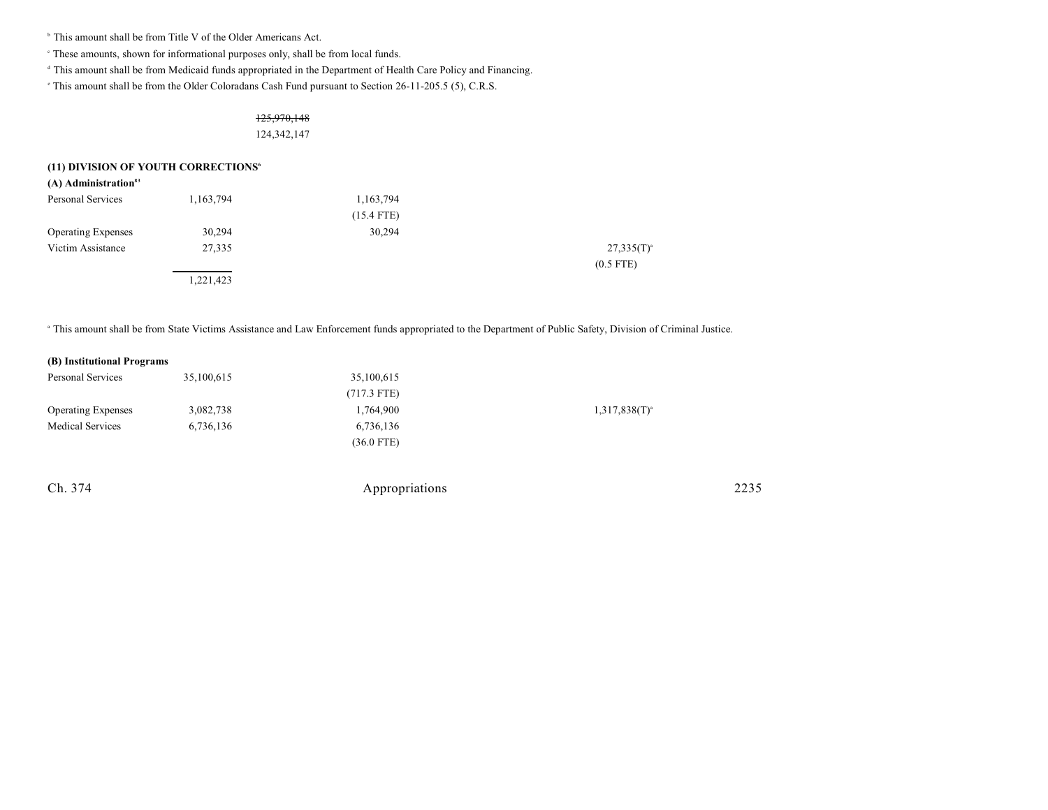<sup>b</sup> This amount shall be from Title V of the Older Americans Act.

These amounts, shown for informational purposes only, shall be from local funds. <sup>c</sup>

<sup>d</sup> This amount shall be from Medicaid funds appropriated in the Department of Health Care Policy and Financing.

<sup>e</sup> This amount shall be from the Older Coloradans Cash Fund pursuant to Section 26-11-205.5 (5), C.R.S.

### 125,970,148 124,342,147

### **(11) DIVISION OF YOUTH CORRECTIONS<sup>6</sup>**

| $(A)$ Administration <sup>83</sup> |           |              |                 |
|------------------------------------|-----------|--------------|-----------------|
| Personal Services                  | 1,163,794 | 1,163,794    |                 |
|                                    |           | $(15.4$ FTE) |                 |
| <b>Operating Expenses</b>          | 30,294    | 30,294       |                 |
| Victim Assistance                  | 27,335    |              | $27,335(T)^{a}$ |
|                                    |           |              | $(0.5$ FTE)     |
|                                    | 1,221,423 |              |                 |

<sup>a</sup> This amount shall be from State Victims Assistance and Law Enforcement funds appropriated to the Department of Public Safety, Division of Criminal Justice.

### **(B) Institutional Programs**

| Personal Services         | 35,100,615 | 35,100,615    |                    |
|---------------------------|------------|---------------|--------------------|
|                           |            | $(717.3$ FTE) |                    |
| <b>Operating Expenses</b> | 3,082,738  | 1,764,900     | $1,317,838(T)^{a}$ |
| <b>Medical Services</b>   | 6,736,136  | 6,736,136     |                    |
|                           |            | $(36.0$ FTE)  |                    |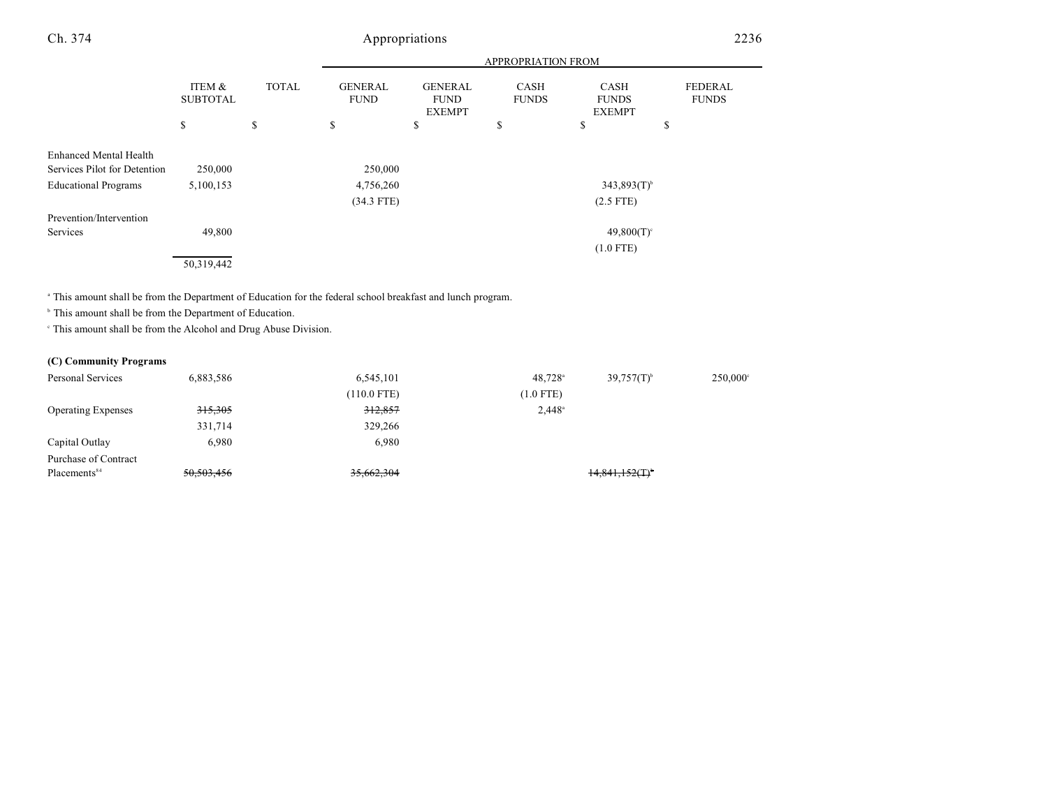|                               |                           |              | <b>APPROPRIATION FROM</b>     |                                                |                             |                                       |                                |
|-------------------------------|---------------------------|--------------|-------------------------------|------------------------------------------------|-----------------------------|---------------------------------------|--------------------------------|
|                               | ITEM &<br><b>SUBTOTAL</b> | <b>TOTAL</b> | <b>GENERAL</b><br><b>FUND</b> | <b>GENERAL</b><br><b>FUND</b><br><b>EXEMPT</b> | <b>CASH</b><br><b>FUNDS</b> | CASH<br><b>FUNDS</b><br><b>EXEMPT</b> | <b>FEDERAL</b><br><b>FUNDS</b> |
|                               | \$                        | \$           | \$                            | \$                                             | \$                          | \$                                    | \$                             |
| <b>Enhanced Mental Health</b> |                           |              |                               |                                                |                             |                                       |                                |
| Services Pilot for Detention  | 250,000                   |              | 250,000                       |                                                |                             |                                       |                                |
| <b>Educational Programs</b>   | 5,100,153                 |              | 4,756,260                     |                                                |                             | $343,893(T)$ <sup>b</sup>             |                                |
|                               |                           |              | $(34.3$ FTE)                  |                                                |                             | $(2.5$ FTE)                           |                                |
| Prevention/Intervention       |                           |              |                               |                                                |                             |                                       |                                |
| Services                      | 49,800                    |              |                               |                                                |                             | $49,800(T)$ <sup>c</sup>              |                                |
|                               |                           |              |                               |                                                |                             | $(1.0$ FTE)                           |                                |
|                               | 50,319,442                |              |                               |                                                |                             |                                       |                                |

<sup>a</sup> This amount shall be from the Department of Education for the federal school breakfast and lunch program.

 $\,^{\circ}$  This amount shall be from the Department of Education.

 $\,^{\circ}$  This amount shall be from the Alcohol and Drug Abuse Division.

### **(C) Community Programs**

| Personal Services         | 6,883,586          | 6,545,101     | $48.728$ <sup>a</sup> | $39,757(T)^{6}$               | $250,000$ ° |
|---------------------------|--------------------|---------------|-----------------------|-------------------------------|-------------|
|                           |                    | $(110.0$ FTE) | $(1.0$ FTE)           |                               |             |
| <b>Operating Expenses</b> | <del>315,305</del> | 312,857       | $2,448^{\circ}$       |                               |             |
|                           | 331,714            | 329,266       |                       |                               |             |
| Capital Outlay            | 6,980              | 6.980         |                       |                               |             |
| Purchase of Contract      |                    |               |                       |                               |             |
| Placements <sup>84</sup>  | 50,503,456         | 35,662,304    |                       | $14,841,152($ T) <sup>*</sup> |             |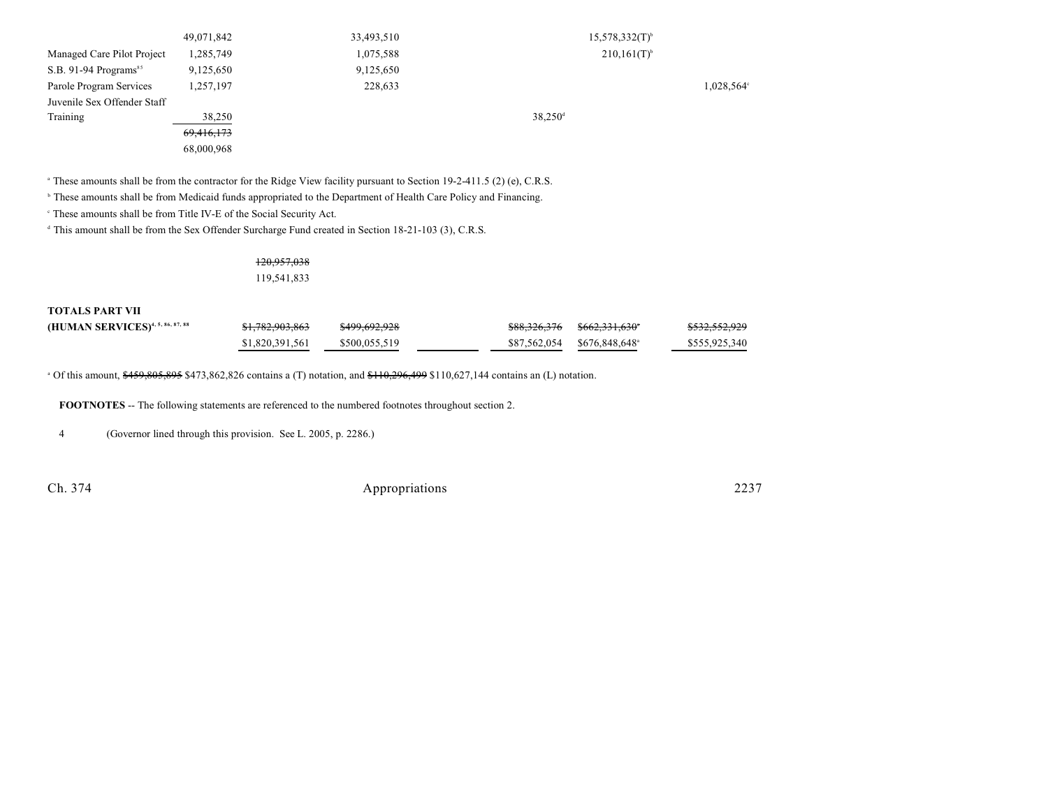|                             | 49,071,842 | 33,493,510 | $15,578,332(T)^{b}$       |
|-----------------------------|------------|------------|---------------------------|
| Managed Care Pilot Project  | 1,285,749  | 1,075,588  | $210,161(T)$ <sup>b</sup> |
| S.B. 91-94 Programs $s5$    | 9,125,650  | 9,125,650  |                           |
| Parole Program Services     | 1,257,197  | 228,633    | 1,028,564°                |
| Juvenile Sex Offender Staff |            |            |                           |
| Training                    | 38,250     |            | $38,250$ <sup>d</sup>     |
|                             | 69,416,173 |            |                           |
|                             | 68,000,968 |            |                           |

<sup>a</sup> These amounts shall be from the contractor for the Ridge View facility pursuant to Section 19-2-411.5 (2) (e), C.R.S.

<sup>b</sup> These amounts shall be from Medicaid funds appropriated to the Department of Health Care Policy and Financing.

<sup>c</sup> These amounts shall be from Title IV-E of the Social Security Act.

 $<sup>d</sup>$  This amount shall be from the Sex Offender Surcharge Fund created in Section 18-21-103 (3), C.R.S.</sup>

### 120,957,038 119,541,833

**TOTALS PART VII**

| (HUMAN SERVICES) <sup>4, 5, 86, 87, 88</sup> | <del>\$1,782,903,863</del> | <del>\$499,692,928</del> |                            | \$532,552,929 |
|----------------------------------------------|----------------------------|--------------------------|----------------------------|---------------|
|                                              | \$1,820,391,561            | \$500,055,519            | \$87,562,054 \$676,848,648 | \$555,925,340 |

 $\degree$  Of this amount,  $\frac{$459,805,895}{9605,895}$  \$473,862,826 contains a (T) notation, and  $\frac{$110,296,499}{100,627,144}$  contains an (L) notation.

**FOOTNOTES** -- The following statements are referenced to the numbered footnotes throughout section 2.

4 (Governor lined through this provision. See L. 2005, p. 2286.)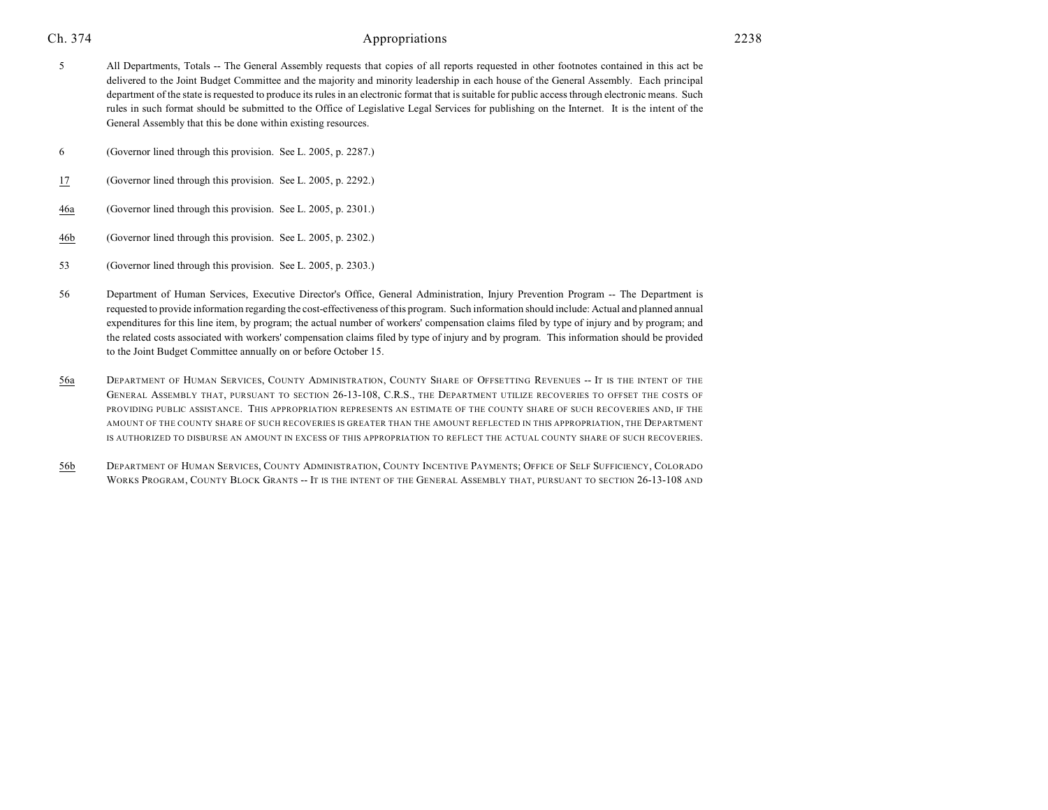- 5 All Departments, Totals -- The General Assembly requests that copies of all reports requested in other footnotes contained in this act be delivered to the Joint Budget Committee and the majority and minority leadership in each house of the General Assembly. Each principal department of the state is requested to produce its rules in an electronic format that is suitable for public access through electronic means. Such rules in such format should be submitted to the Office of Legislative Legal Services for publishing on the Internet. It is the intent of the General Assembly that this be done within existing resources.
- 6 (Governor lined through this provision. See L. 2005, p. 2287.)
- 17 (Governor lined through this provision. See L. 2005, p. 2292.)
- 46a (Governor lined through this provision. See L. 2005, p. 2301.)
- 46b (Governor lined through this provision. See L. 2005, p. 2302.)
- 53 (Governor lined through this provision. See L. 2005, p. 2303.)
- 56 Department of Human Services, Executive Director's Office, General Administration, Injury Prevention Program -- The Department is requested to provide information regarding the cost-effectiveness of this program. Such information should include: Actual and planned annual expenditures for this line item, by program; the actual number of workers' compensation claims filed by type of injury and by program; and the related costs associated with workers' compensation claims filed by type of injury and by program. This information should be provided to the Joint Budget Committee annually on or before October 15.
- 56a DEPARTMENT OF HUMAN SERVICES, COUNTY ADMINISTRATION, COUNTY SHARE OF OFFSETTING REVENUES -- IT IS THE INTENT OF THE GENERAL ASSEMBLY THAT, PURSUANT TO SECTION 26-13-108, C.R.S., THE DEPARTMENT UTILIZE RECOVERIES TO OFFSET THE COSTS OF PROVIDING PUBLIC ASSISTANCE. THIS APPROPRIATION REPRESENTS AN ESTIMATE OF THE COUNTY SHARE OF SUCH RECOVERIES AND, IF THE AMOUNT OF THE COUNTY SHARE OF SUCH RECOVERIES IS GREATER THAN THE AMOUNT REFLECTED IN THIS APPROPRIATION, THE DEPARTMENT IS AUTHORIZED TO DISBURSE AN AMOUNT IN EXCESS OF THIS APPROPRIATION TO REFLECT THE ACTUAL COUNTY SHARE OF SUCH RECOVERIES.
- 56b DEPARTMENT OF HUMAN SERVICES, COUNTY ADMINISTRATION, COUNTY INCENTIVE PAYMENTS; OFFICE OF SELF SUFFICIENCY, COLORADO WORKS PROGRAM, COUNTY BLOCK GRANTS -- IT IS THE INTENT OF THE GENERAL ASSEMBLY THAT, PURSUANT TO SECTION 26-13-108 AND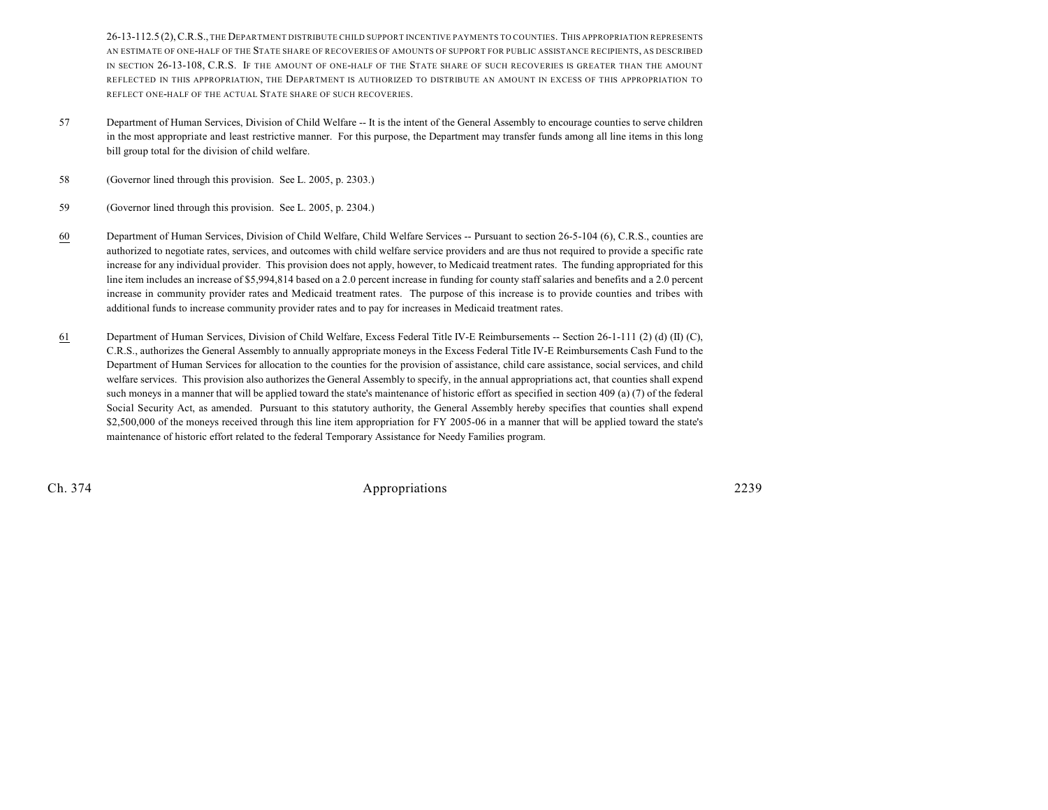26-13-112.5 (2),C.R.S., THE DEPARTMENT DISTRIBUTE CHILD SUPPORT INCENTIVE PAYMENTS TO COUNTIES. THIS APPROPRIATION REPRESENTS AN ESTIMATE OF ONE-HALF OF THE STATE SHARE OF RECOVERIES OF AMOUNTS OF SUPPORT FOR PUBLIC ASSISTANCE RECIPIENTS, AS DESCRIBED IN SECTION 26-13-108, C.R.S. IF THE AMOUNT OF ONE-HALF OF THE STATE SHARE OF SUCH RECOVERIES IS GREATER THAN THE AMOUNT REFLECTED IN THIS APPROPRIATION, THE DEPARTMENT IS AUTHORIZED TO DISTRIBUTE AN AMOUNT IN EXCESS OF THIS APPROPRIATION TO REFLECT ONE-HALF OF THE ACTUAL STATE SHARE OF SUCH RECOVERIES.

- 57 Department of Human Services, Division of Child Welfare -- It is the intent of the General Assembly to encourage counties to serve children in the most appropriate and least restrictive manner. For this purpose, the Department may transfer funds among all line items in this long bill group total for the division of child welfare.
- 58 (Governor lined through this provision. See L. 2005, p. 2303.)
- 59 (Governor lined through this provision. See L. 2005, p. 2304.)
- 60 Department of Human Services, Division of Child Welfare, Child Welfare Services -- Pursuant to section 26-5-104 (6), C.R.S., counties are authorized to negotiate rates, services, and outcomes with child welfare service providers and are thus not required to provide a specific rate increase for any individual provider. This provision does not apply, however, to Medicaid treatment rates. The funding appropriated for this line item includes an increase of \$5,994,814 based on a 2.0 percent increase in funding for county staff salaries and benefits and a 2.0 percent increase in community provider rates and Medicaid treatment rates. The purpose of this increase is to provide counties and tribes with additional funds to increase community provider rates and to pay for increases in Medicaid treatment rates.
- 61 Department of Human Services, Division of Child Welfare, Excess Federal Title IV-E Reimbursements -- Section 26-1-111 (2) (d) (II) (C), C.R.S., authorizes the General Assembly to annually appropriate moneys in the Excess Federal Title IV-E Reimbursements Cash Fund to the Department of Human Services for allocation to the counties for the provision of assistance, child care assistance, social services, and child welfare services. This provision also authorizes the General Assembly to specify, in the annual appropriations act, that counties shall expend such moneys in a manner that will be applied toward the state's maintenance of historic effort as specified in section 409 (a) (7) of the federal Social Security Act, as amended. Pursuant to this statutory authority, the General Assembly hereby specifies that counties shall expend \$2,500,000 of the moneys received through this line item appropriation for FY 2005-06 in a manner that will be applied toward the state's maintenance of historic effort related to the federal Temporary Assistance for Needy Families program.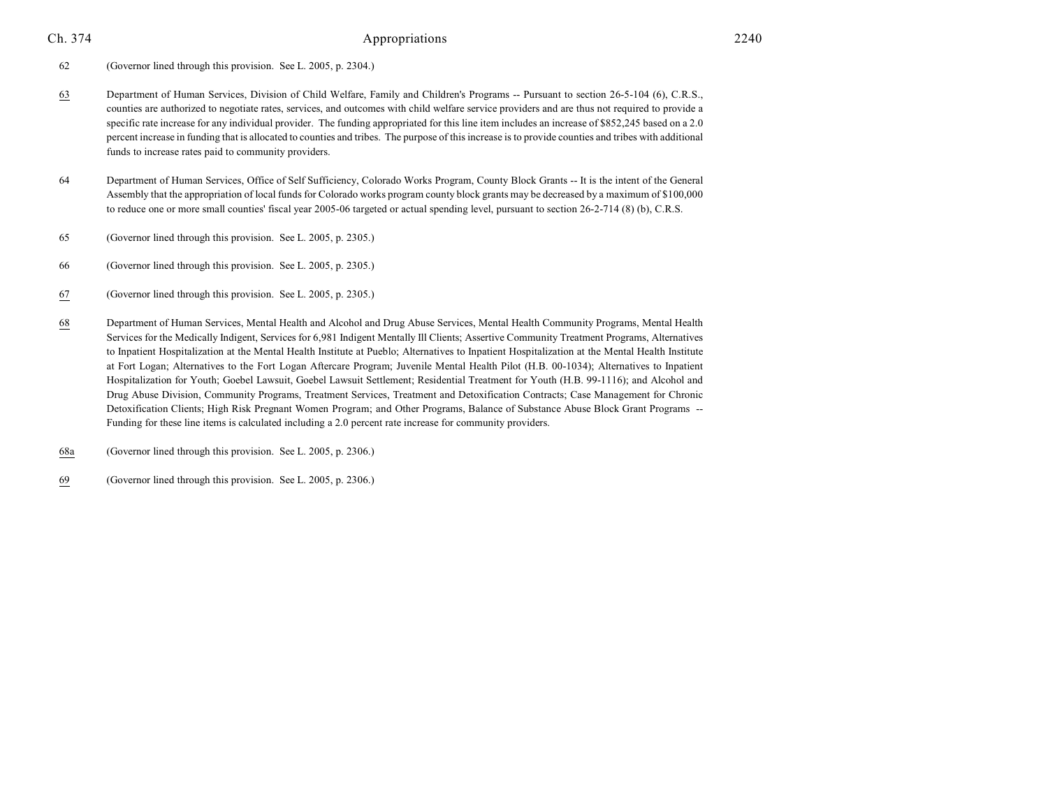62 (Governor lined through this provision. See L. 2005, p. 2304.)

- 63 Department of Human Services, Division of Child Welfare, Family and Children's Programs -- Pursuant to section 26-5-104 (6), C.R.S., counties are authorized to negotiate rates, services, and outcomes with child welfare service providers and are thus not required to provide a specific rate increase for any individual provider. The funding appropriated for this line item includes an increase of \$852,245 based on a 2.0 percent increase in funding that is allocated to counties and tribes. The purpose of this increase is to provide counties and tribes with additional funds to increase rates paid to community providers.
- 64 Department of Human Services, Office of Self Sufficiency, Colorado Works Program, County Block Grants -- It is the intent of the General Assembly that the appropriation of local funds for Colorado works program county block grants may be decreased by a maximum of \$100,000 to reduce one or more small counties' fiscal year 2005-06 targeted or actual spending level, pursuant to section 26-2-714 (8) (b), C.R.S.
- 65 (Governor lined through this provision. See L. 2005, p. 2305.)
- 66 (Governor lined through this provision. See L. 2005, p. 2305.)
- 67 (Governor lined through this provision. See L. 2005, p. 2305.)
- 68 Department of Human Services, Mental Health and Alcohol and Drug Abuse Services, Mental Health Community Programs, Mental Health Services for the Medically Indigent, Services for 6,981 Indigent Mentally Ill Clients; Assertive Community Treatment Programs, Alternatives to Inpatient Hospitalization at the Mental Health Institute at Pueblo; Alternatives to Inpatient Hospitalization at the Mental Health Institute at Fort Logan; Alternatives to the Fort Logan Aftercare Program; Juvenile Mental Health Pilot (H.B. 00-1034); Alternatives to Inpatient Hospitalization for Youth; Goebel Lawsuit, Goebel Lawsuit Settlement; Residential Treatment for Youth (H.B. 99-1116); and Alcohol and Drug Abuse Division, Community Programs, Treatment Services, Treatment and Detoxification Contracts; Case Management for Chronic Detoxification Clients; High Risk Pregnant Women Program; and Other Programs, Balance of Substance Abuse Block Grant Programs -- Funding for these line items is calculated including a 2.0 percent rate increase for community providers.
- 68a (Governor lined through this provision. See L. 2005, p. 2306.)
- 69 (Governor lined through this provision. See L. 2005, p. 2306.)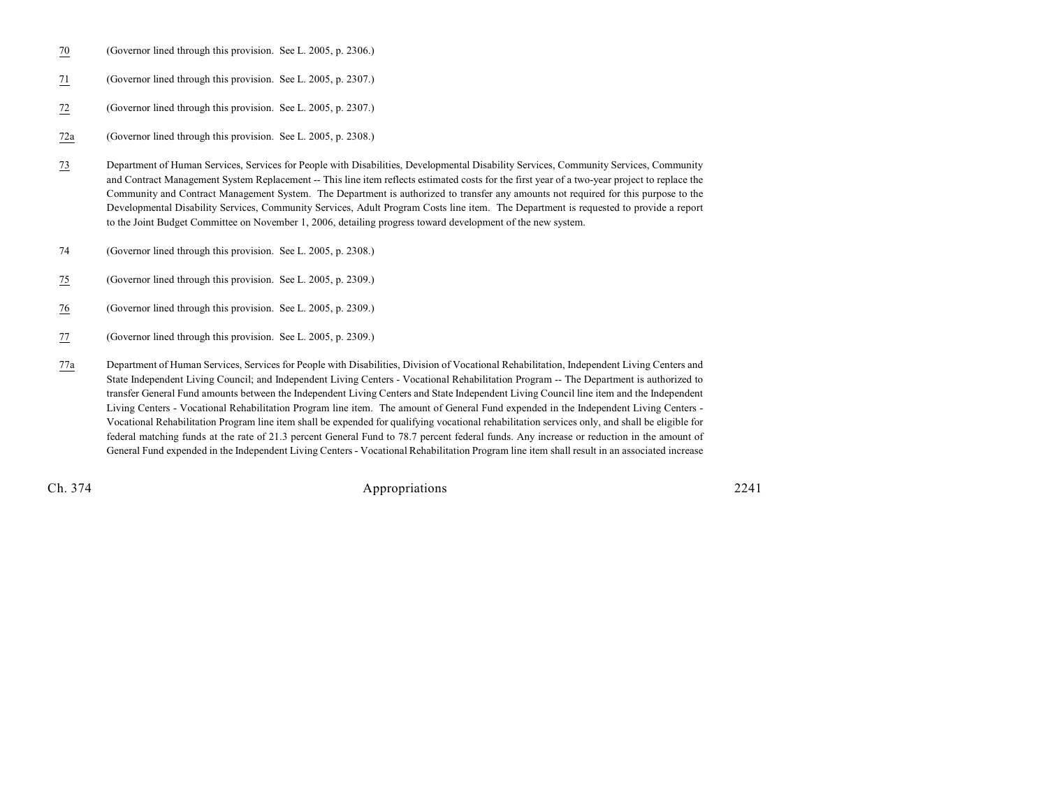- 70 (Governor lined through this provision. See L. 2005, p. 2306.)
- 71 (Governor lined through this provision. See L. 2005, p. 2307.)
- 72 (Governor lined through this provision. See L. 2005, p. 2307.)

72a (Governor lined through this provision. See L. 2005, p. 2308.)

- 73 Department of Human Services, Services for People with Disabilities, Developmental Disability Services, Community Services, Community and Contract Management System Replacement -- This line item reflects estimated costs for the first year of a two-year project to replace the Community and Contract Management System. The Department is authorized to transfer any amounts not required for this purpose to the Developmental Disability Services, Community Services, Adult Program Costs line item. The Department is requested to provide a report to the Joint Budget Committee on November 1, 2006, detailing progress toward development of the new system.
- 74 (Governor lined through this provision. See L. 2005, p. 2308.)
- 75 (Governor lined through this provision. See L. 2005, p. 2309.)
- 76 (Governor lined through this provision. See L. 2005, p. 2309.)
- 77 (Governor lined through this provision. See L. 2005, p. 2309.)
- 77a Department of Human Services, Services for People with Disabilities, Division of Vocational Rehabilitation, Independent Living Centers and State Independent Living Council; and Independent Living Centers - Vocational Rehabilitation Program -- The Department is authorized to transfer General Fund amounts between the Independent Living Centers and State Independent Living Council line item and the Independent Living Centers - Vocational Rehabilitation Program line item. The amount of General Fund expended in the Independent Living Centers - Vocational Rehabilitation Program line item shall be expended for qualifying vocational rehabilitation services only, and shall be eligible for federal matching funds at the rate of 21.3 percent General Fund to 78.7 percent federal funds. Any increase or reduction in the amount of General Fund expended in the Independent Living Centers - Vocational Rehabilitation Program line item shall result in an associated increase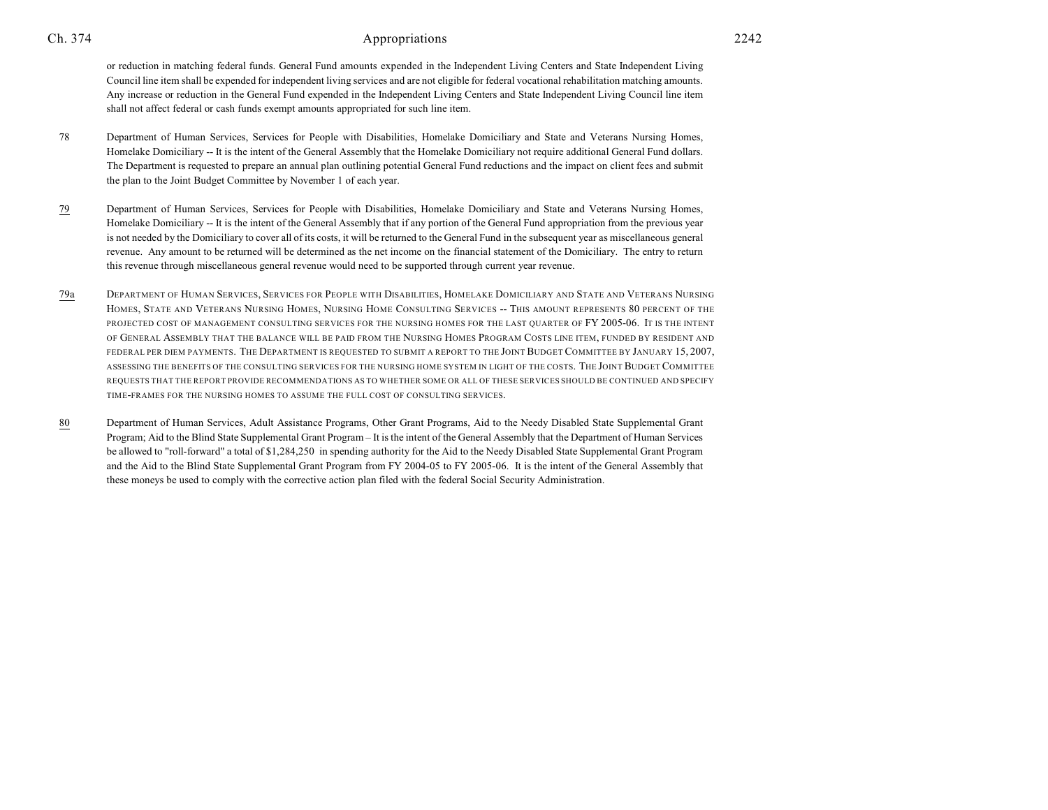or reduction in matching federal funds. General Fund amounts expended in the Independent Living Centers and State Independent Living Council line item shall be expended for independent living services and are not eligible for federal vocational rehabilitation matching amounts. Any increase or reduction in the General Fund expended in the Independent Living Centers and State Independent Living Council line item shall not affect federal or cash funds exempt amounts appropriated for such line item.

- 78 Department of Human Services, Services for People with Disabilities, Homelake Domiciliary and State and Veterans Nursing Homes, Homelake Domiciliary -- It is the intent of the General Assembly that the Homelake Domiciliary not require additional General Fund dollars. The Department is requested to prepare an annual plan outlining potential General Fund reductions and the impact on client fees and submit the plan to the Joint Budget Committee by November 1 of each year.
- 79 Department of Human Services, Services for People with Disabilities, Homelake Domiciliary and State and Veterans Nursing Homes, Homelake Domiciliary -- It is the intent of the General Assembly that if any portion of the General Fund appropriation from the previous year is not needed by the Domiciliary to cover all of its costs, it will be returned to the General Fund in the subsequent year as miscellaneous general revenue. Any amount to be returned will be determined as the net income on the financial statement of the Domiciliary. The entry to return this revenue through miscellaneous general revenue would need to be supported through current year revenue.
- 79a DEPARTMENT OF HUMAN SERVICES, SERVICES FOR PEOPLE WITH DISABILITIES, HOMELAKE DOMICILIARY AND STATE AND VETERANS NURSING HOMES, STATE AND VETERANS NURSING HOMES, NURSING HOME CONSULTING SERVICES -- THIS AMOUNT REPRESENTS 80 PERCENT OF THE PROJECTED COST OF MANAGEMENT CONSULTING SERVICES FOR THE NURSING HOMES FOR THE LAST QUARTER OF FY 2005-06. IT IS THE INTENT OF GENERAL ASSEMBLY THAT THE BALANCE WILL BE PAID FROM THE NURSING HOMES PROGRAM COSTS LINE ITEM, FUNDED BY RESIDENT AND FEDERAL PER DIEM PAYMENTS. THE DEPARTMENT IS REQUESTED TO SUBMIT A REPORT TO THE JOINT BUDGET COMMITTEE BY JANUARY 15,2007, ASSESSING THE BENEFITS OF THE CONSULTING SERVICES FOR THE NURSING HOME SYSTEM IN LIGHT OF THE COSTS. THE JOINT BUDGET COMMITTEE REQUESTS THAT THE REPORT PROVIDE RECOMMENDATIONS AS TO WHETHER SOME OR ALL OF THESE SERVICES SHOULD BE CONTINUED AND SPECIFY TIME-FRAMES FOR THE NURSING HOMES TO ASSUME THE FULL COST OF CONSULTING SERVICES.
- 80 Department of Human Services, Adult Assistance Programs, Other Grant Programs, Aid to the Needy Disabled State Supplemental Grant Program; Aid to the Blind State Supplemental Grant Program – It is the intent of the General Assembly that the Department of Human Services be allowed to "roll-forward" a total of \$1,284,250 in spending authority for the Aid to the Needy Disabled State Supplemental Grant Program and the Aid to the Blind State Supplemental Grant Program from FY 2004-05 to FY 2005-06. It is the intent of the General Assembly that these moneys be used to comply with the corrective action plan filed with the federal Social Security Administration.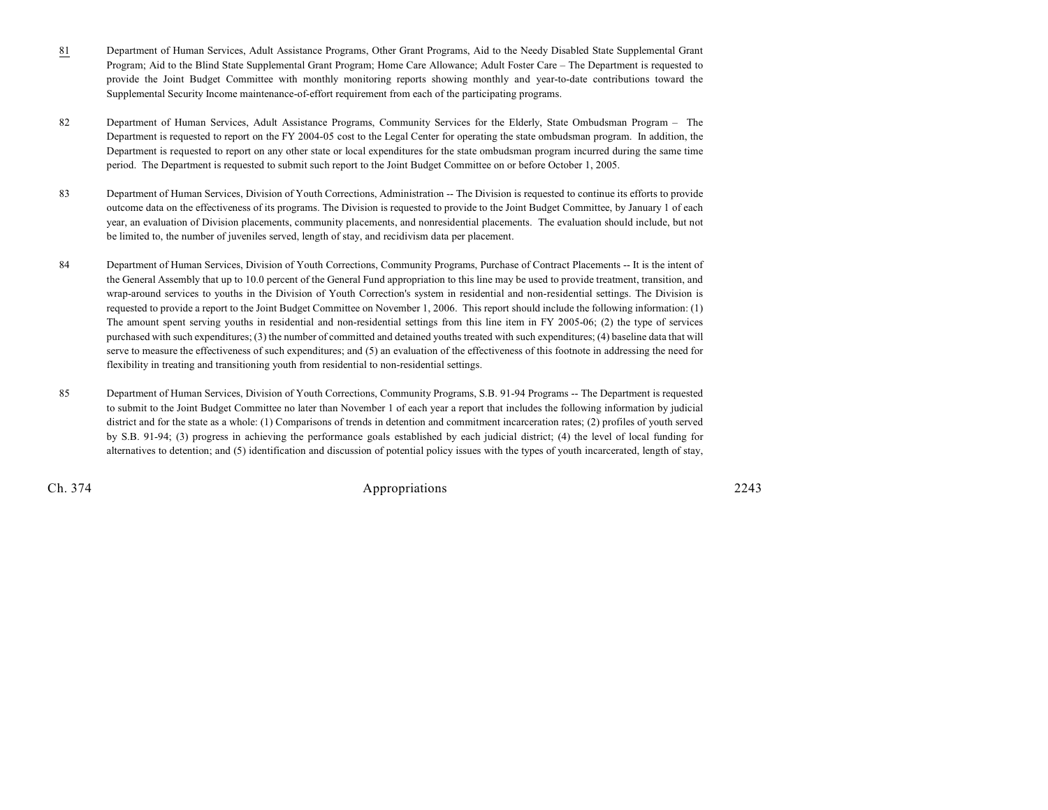- 81 Department of Human Services, Adult Assistance Programs, Other Grant Programs, Aid to the Needy Disabled State Supplemental Grant Program; Aid to the Blind State Supplemental Grant Program; Home Care Allowance; Adult Foster Care – The Department is requested to provide the Joint Budget Committee with monthly monitoring reports showing monthly and year-to-date contributions toward the Supplemental Security Income maintenance-of-effort requirement from each of the participating programs.
- 82 Department of Human Services, Adult Assistance Programs, Community Services for the Elderly, State Ombudsman Program The Department is requested to report on the FY 2004-05 cost to the Legal Center for operating the state ombudsman program. In addition, the Department is requested to report on any other state or local expenditures for the state ombudsman program incurred during the same time period. The Department is requested to submit such report to the Joint Budget Committee on or before October 1, 2005.
- 83 Department of Human Services, Division of Youth Corrections, Administration -- The Division is requested to continue its efforts to provide outcome data on the effectiveness of its programs. The Division is requested to provide to the Joint Budget Committee, by January 1 of each year, an evaluation of Division placements, community placements, and nonresidential placements. The evaluation should include, but not be limited to, the number of juveniles served, length of stay, and recidivism data per placement.
- 84 Department of Human Services, Division of Youth Corrections, Community Programs, Purchase of Contract Placements -- It is the intent of the General Assembly that up to 10.0 percent of the General Fund appropriation to this line may be used to provide treatment, transition, and wrap-around services to youths in the Division of Youth Correction's system in residential and non-residential settings. The Division is requested to provide a report to the Joint Budget Committee on November 1, 2006. This report should include the following information: (1) The amount spent serving youths in residential and non-residential settings from this line item in FY 2005-06; (2) the type of services purchased with such expenditures; (3) the number of committed and detained youths treated with such expenditures; (4) baseline data that will serve to measure the effectiveness of such expenditures; and (5) an evaluation of the effectiveness of this footnote in addressing the need for flexibility in treating and transitioning youth from residential to non-residential settings.
- 85 Department of Human Services, Division of Youth Corrections, Community Programs, S.B. 91-94 Programs -- The Department is requested to submit to the Joint Budget Committee no later than November 1 of each year a report that includes the following information by judicial district and for the state as a whole: (1) Comparisons of trends in detention and commitment incarceration rates; (2) profiles of youth served by S.B. 91-94; (3) progress in achieving the performance goals established by each judicial district; (4) the level of local funding for alternatives to detention; and (5) identification and discussion of potential policy issues with the types of youth incarcerated, length of stay,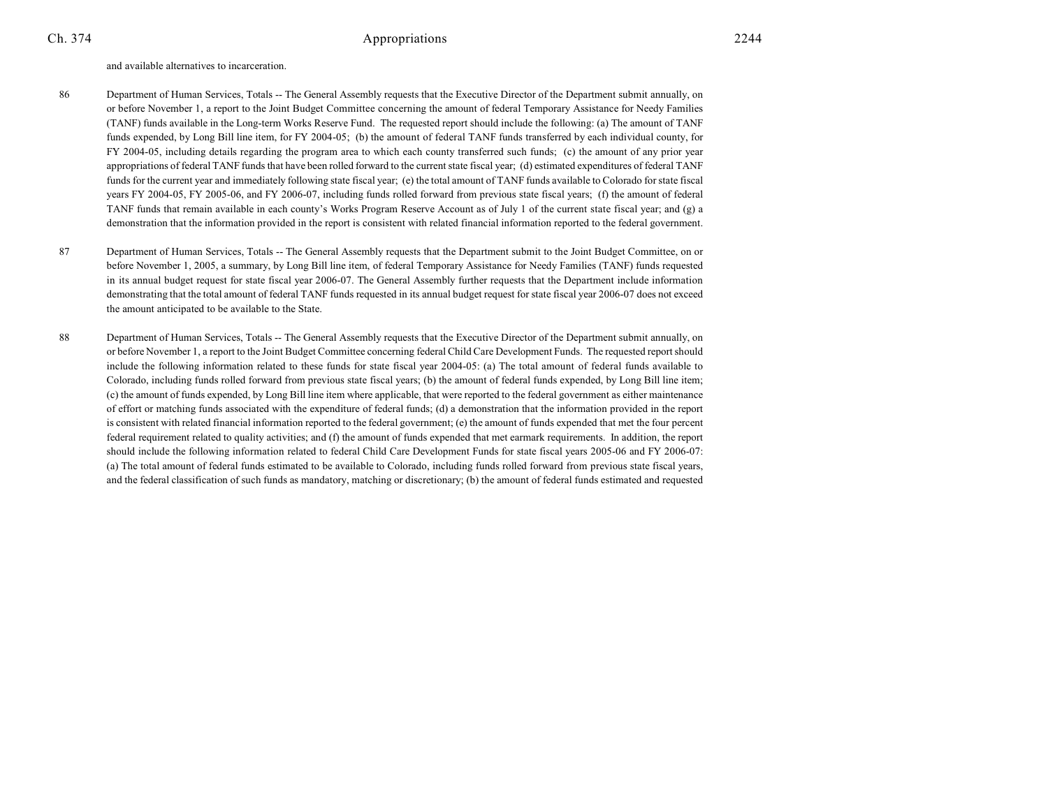and available alternatives to incarceration.

- 86 Department of Human Services, Totals -- The General Assembly requests that the Executive Director of the Department submit annually, on or before November 1, a report to the Joint Budget Committee concerning the amount of federal Temporary Assistance for Needy Families (TANF) funds available in the Long-term Works Reserve Fund. The requested report should include the following: (a) The amount of TANF funds expended, by Long Bill line item, for FY 2004-05; (b) the amount of federal TANF funds transferred by each individual county, for FY 2004-05, including details regarding the program area to which each county transferred such funds; (c) the amount of any prior year appropriations of federal TANF funds that have been rolled forward to the current state fiscal year; (d) estimated expenditures of federal TANF funds for the current year and immediately following state fiscal year; (e) the total amount of TANF funds available to Colorado for state fiscal years FY 2004-05, FY 2005-06, and FY 2006-07, including funds rolled forward from previous state fiscal years; (f) the amount of federal TANF funds that remain available in each county's Works Program Reserve Account as of July 1 of the current state fiscal year; and (g) a demonstration that the information provided in the report is consistent with related financial information reported to the federal government.
- 87 Department of Human Services, Totals -- The General Assembly requests that the Department submit to the Joint Budget Committee, on or before November 1, 2005, a summary, by Long Bill line item, of federal Temporary Assistance for Needy Families (TANF) funds requested in its annual budget request for state fiscal year 2006-07. The General Assembly further requests that the Department include information demonstrating that the total amount of federal TANF funds requested in its annual budget request for state fiscal year 2006-07 does not exceed the amount anticipated to be available to the State.
- 88 Department of Human Services, Totals -- The General Assembly requests that the Executive Director of the Department submit annually, on or before November 1, a report to the Joint Budget Committee concerning federal Child Care Development Funds. The requested report should include the following information related to these funds for state fiscal year 2004-05: (a) The total amount of federal funds available to Colorado, including funds rolled forward from previous state fiscal years; (b) the amount of federal funds expended, by Long Bill line item; (c) the amount of funds expended, by Long Bill line item where applicable, that were reported to the federal government as either maintenance of effort or matching funds associated with the expenditure of federal funds; (d) a demonstration that the information provided in the report is consistent with related financial information reported to the federal government; (e) the amount of funds expended that met the four percent federal requirement related to quality activities; and (f) the amount of funds expended that met earmark requirements. In addition, the report should include the following information related to federal Child Care Development Funds for state fiscal years 2005-06 and FY 2006-07: (a) The total amount of federal funds estimated to be available to Colorado, including funds rolled forward from previous state fiscal years, and the federal classification of such funds as mandatory, matching or discretionary; (b) the amount of federal funds estimated and requested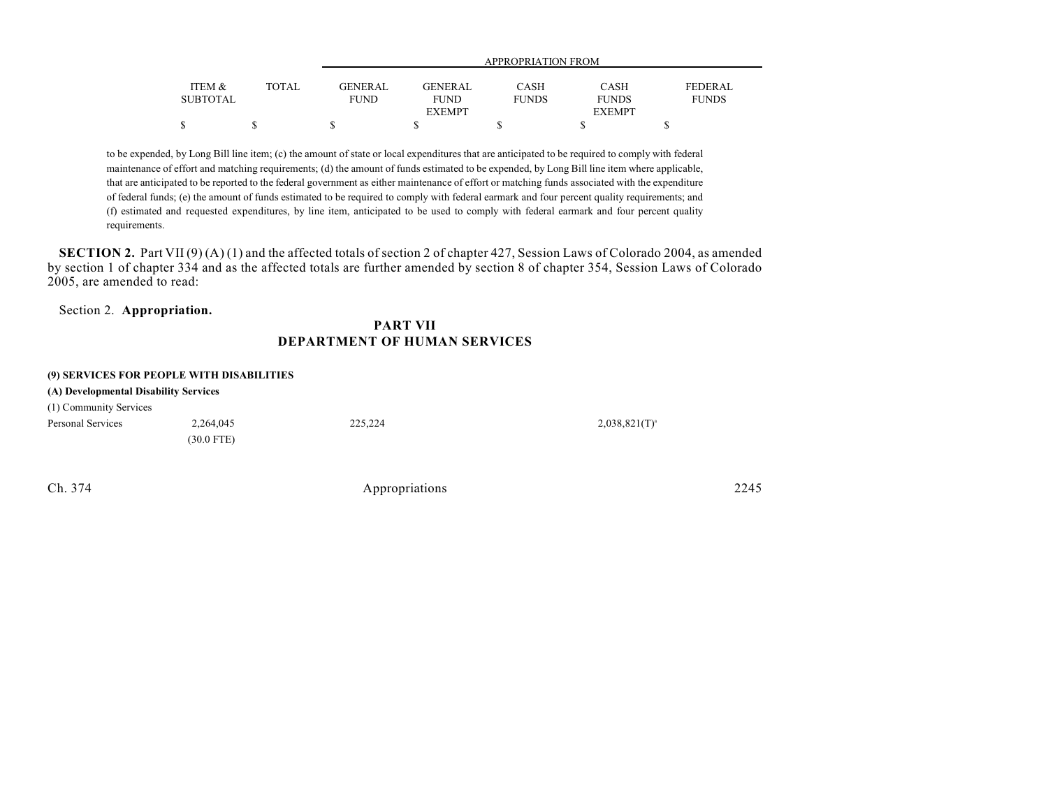| ITEM &          | TOTAL | <b>GENERAL</b> | <b>GENERAL</b> | CASH         | CASH          | <b>FEDERAL</b> |
|-----------------|-------|----------------|----------------|--------------|---------------|----------------|
| <b>SUBTOTAL</b> |       | <b>FUND</b>    | <b>FUND</b>    | <b>FUNDS</b> | <b>FUNDS</b>  | <b>FUNDS</b>   |
|                 |       |                | <b>EXEMPT</b>  |              | <b>EXEMPT</b> |                |
|                 |       |                |                |              |               |                |

to be expended, by Long Bill line item; (c) the amount of state or local expenditures that are anticipated to be required to comply with federal maintenance of effort and matching requirements; (d) the amount of funds estimated to be expended, by Long Bill line item where applicable, that are anticipated to be reported to the federal government as either maintenance of effort or matching funds associated with the expenditure of federal funds; (e) the amount of funds estimated to be required to comply with federal earmark and four percent quality requirements; and (f) estimated and requested expenditures, by line item, anticipated to be used to comply with federal earmark and four percent quality requirements.

**SECTION 2.** Part VII (9) (A) (1) and the affected totals of section 2 of chapter 427, Session Laws of Colorado 2004, as amended by section 1 of chapter 334 and as the affected totals are further amended by section 8 of chapter 354, Session Laws of Colorado 2005, are amended to read:

### Section 2. **Appropriation.**

### **PART VII DEPARTMENT OF HUMAN SERVICES**

#### **(9) SERVICES FOR PEOPLE WITH DISABILITIES**

| (A) Developmental Disability Services |              |         |                  |  |  |  |
|---------------------------------------|--------------|---------|------------------|--|--|--|
| (1) Community Services                |              |         |                  |  |  |  |
| Personal Services                     | 2.264,045    | 225,224 | $2,038,821(T)^4$ |  |  |  |
|                                       | $(30.0$ FTE) |         |                  |  |  |  |
|                                       |              |         |                  |  |  |  |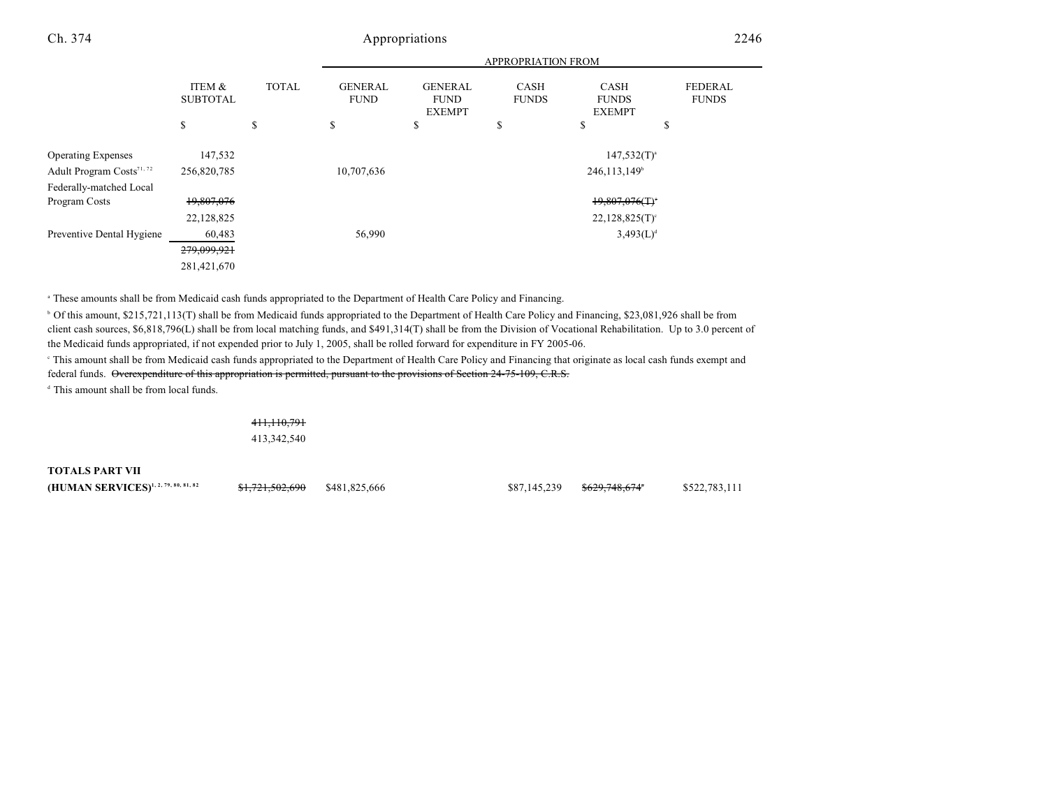|                                       |                           |              | <b>APPROPRIATION FROM</b>     |                                                |                             |                                              |                                |
|---------------------------------------|---------------------------|--------------|-------------------------------|------------------------------------------------|-----------------------------|----------------------------------------------|--------------------------------|
|                                       | ITEM &<br><b>SUBTOTAL</b> | <b>TOTAL</b> | <b>GENERAL</b><br><b>FUND</b> | <b>GENERAL</b><br><b>FUND</b><br><b>EXEMPT</b> | <b>CASH</b><br><b>FUNDS</b> | <b>CASH</b><br><b>FUNDS</b><br><b>EXEMPT</b> | <b>FEDERAL</b><br><b>FUNDS</b> |
|                                       | \$                        | \$           | \$                            | \$                                             | \$                          | \$                                           | \$                             |
| <b>Operating Expenses</b>             | 147,532                   |              |                               |                                                |                             | $147,532(T)^{a}$                             |                                |
| Adult Program Costs <sup>71, 72</sup> | 256,820,785               |              | 10,707,636                    |                                                |                             | 246,113,149 <sup>b</sup>                     |                                |
| Federally-matched Local               |                           |              |                               |                                                |                             |                                              |                                |
| Program Costs                         | 19,807,076                |              |                               |                                                |                             | $19,807,076($ T) <sup>*</sup>                |                                |
|                                       | 22,128,825                |              |                               |                                                |                             | $22,128,825(T)$ <sup>c</sup>                 |                                |
| Preventive Dental Hygiene             | 60,483                    |              | 56,990                        |                                                |                             | $3,493(L)^{d}$                               |                                |
|                                       | 279,099,921               |              |                               |                                                |                             |                                              |                                |
|                                       | 281,421,670               |              |                               |                                                |                             |                                              |                                |

These amounts shall be from Medicaid cash funds appropriated to the Department of Health Care Policy and Financing. <sup>a</sup>

<sup>b</sup> Of this amount, \$215,721,113(T) shall be from Medicaid funds appropriated to the Department of Health Care Policy and Financing, \$23,081,926 shall be from client cash sources, \$6,818,796(L) shall be from local matching funds, and \$491,314(T) shall be from the Division of Vocational Rehabilitation. Up to 3.0 percent of the Medicaid funds appropriated, if not expended prior to July 1, 2005, shall be rolled forward for expenditure in FY 2005-06.

<sup>e</sup> This amount shall be from Medicaid cash funds appropriated to the Department of Health Care Policy and Financing that originate as local cash funds exempt and federal funds. Overexpenditure of this appropriation is permitted, pursuant to the provisions of Section 24-75-109, C.R.S.

<sup>d</sup> This amount shall be from local funds.

411,110,791 413,342,540

**TOTALS PART VII** 

**(HUMAN SERVICES)**<sup>1,2,79,80,81,82 **\$1,721,502,690** \$481,825,666 \$\$87,145,239 \$629,748,674 \$522,783,111</sup>